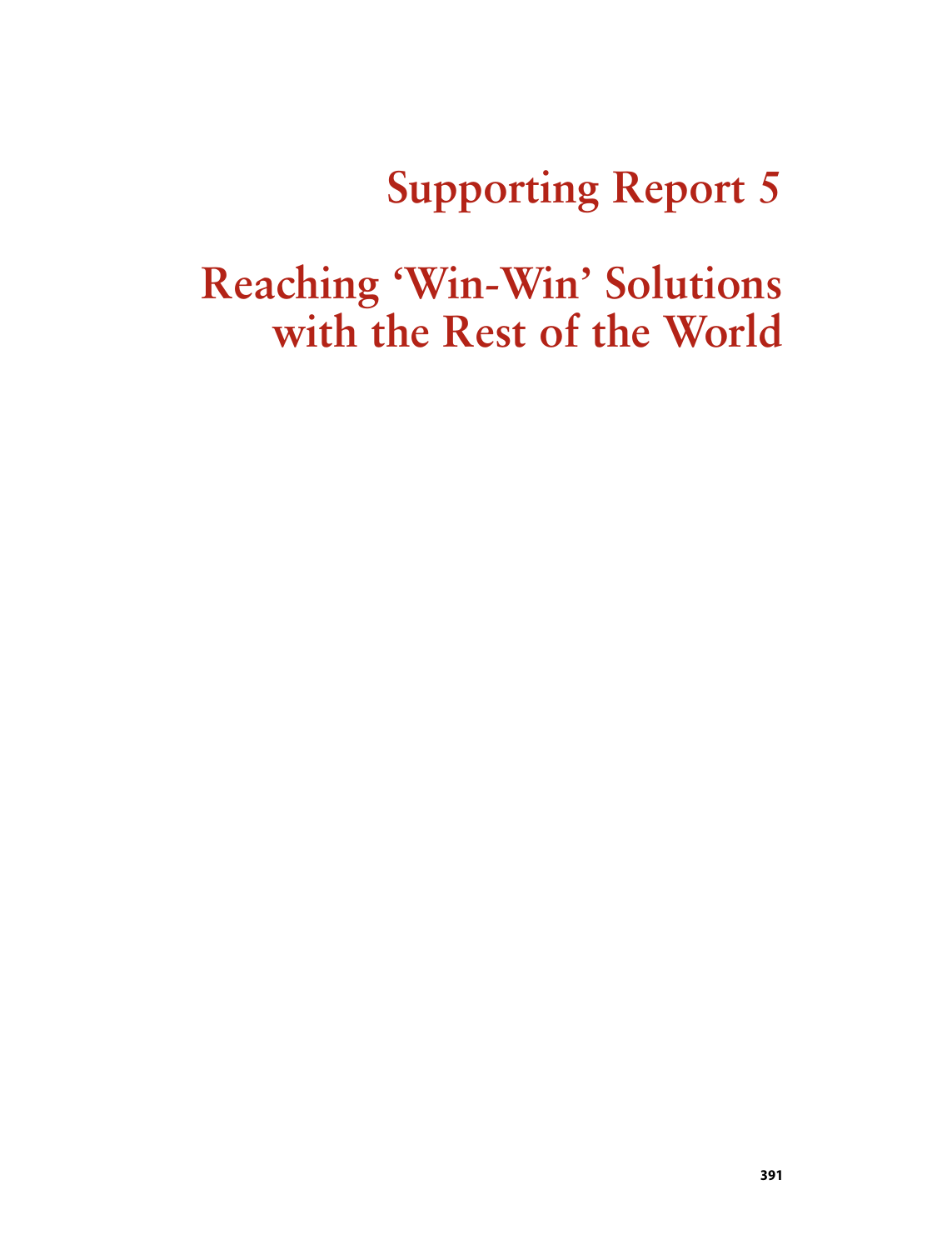# **Supporting Report 5**

# **Reaching 'Win-Win' Solutions with the Rest of the World**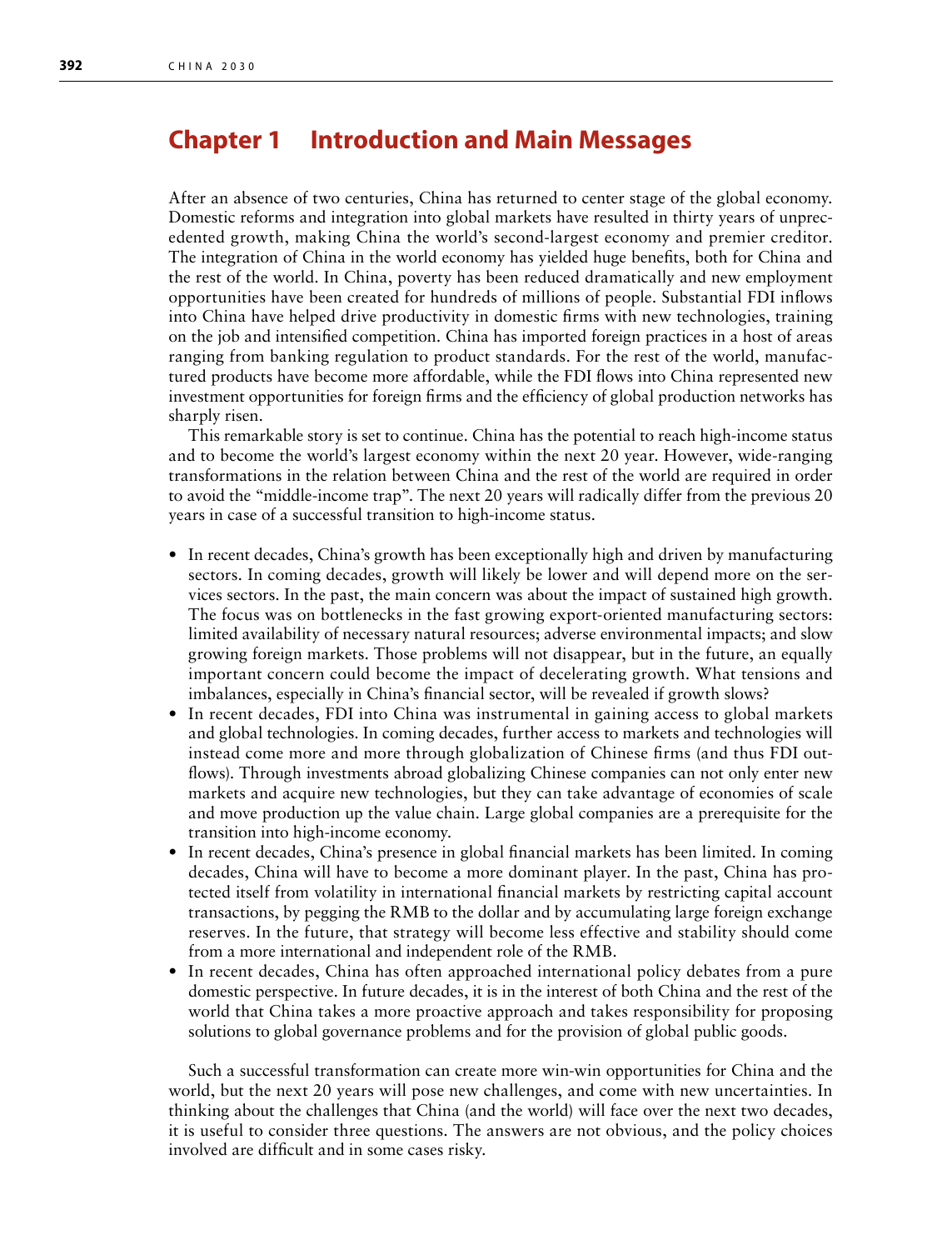# **Chapter 1 Introduction and Main Messages**

After an absence of two centuries, China has returned to center stage of the global economy. Domestic reforms and integration into global markets have resulted in thirty years of unprecedented growth, making China the world's second-largest economy and premier creditor. The integration of China in the world economy has yielded huge benefits, both for China and the rest of the world. In China, poverty has been reduced dramatically and new employment opportunities have been created for hundreds of millions of people. Substantial FDI inflows into China have helped drive productivity in domestic firms with new technologies, training on the job and intensified competition. China has imported foreign practices in a host of areas ranging from banking regulation to product standards. For the rest of the world, manufactured products have become more affordable, while the FDI flows into China represented new investment opportunities for foreign firms and the efficiency of global production networks has sharply risen.

This remarkable story is set to continue. China has the potential to reach high-income status and to become the world's largest economy within the next 20 year. However, wide-ranging transformations in the relation between China and the rest of the world are required in order to avoid the "middle-income trap". The next 20 years will radically differ from the previous 20 years in case of a successful transition to high-income status.

- In recent decades, China's growth has been exceptionally high and driven by manufacturing sectors. In coming decades, growth will likely be lower and will depend more on the services sectors. In the past, the main concern was about the impact of sustained high growth. The focus was on bottlenecks in the fast growing export-oriented manufacturing sectors: limited availability of necessary natural resources; adverse environmental impacts; and slow growing foreign markets. Those problems will not disappear, but in the future, an equally important concern could become the impact of decelerating growth. What tensions and imbalances, especially in China's financial sector, will be revealed if growth slows?
- In recent decades, FDI into China was instrumental in gaining access to global markets and global technologies. In coming decades, further access to markets and technologies will instead come more and more through globalization of Chinese firms (and thus FDI outflows). Through investments abroad globalizing Chinese companies can not only enter new markets and acquire new technologies, but they can take advantage of economies of scale and move production up the value chain. Large global companies are a prerequisite for the transition into high-income economy.
- In recent decades, China's presence in global financial markets has been limited. In coming decades, China will have to become a more dominant player. In the past, China has protected itself from volatility in international financial markets by restricting capital account transactions, by pegging the RMB to the dollar and by accumulating large foreign exchange reserves. In the future, that strategy will become less effective and stability should come from a more international and independent role of the RMB.
- In recent decades, China has often approached international policy debates from a pure domestic perspective. In future decades, it is in the interest of both China and the rest of the world that China takes a more proactive approach and takes responsibility for proposing solutions to global governance problems and for the provision of global public goods.

Such a successful transformation can create more win-win opportunities for China and the world, but the next 20 years will pose new challenges, and come with new uncertainties. In thinking about the challenges that China (and the world) will face over the next two decades, it is useful to consider three questions. The answers are not obvious, and the policy choices involved are difficult and in some cases risky.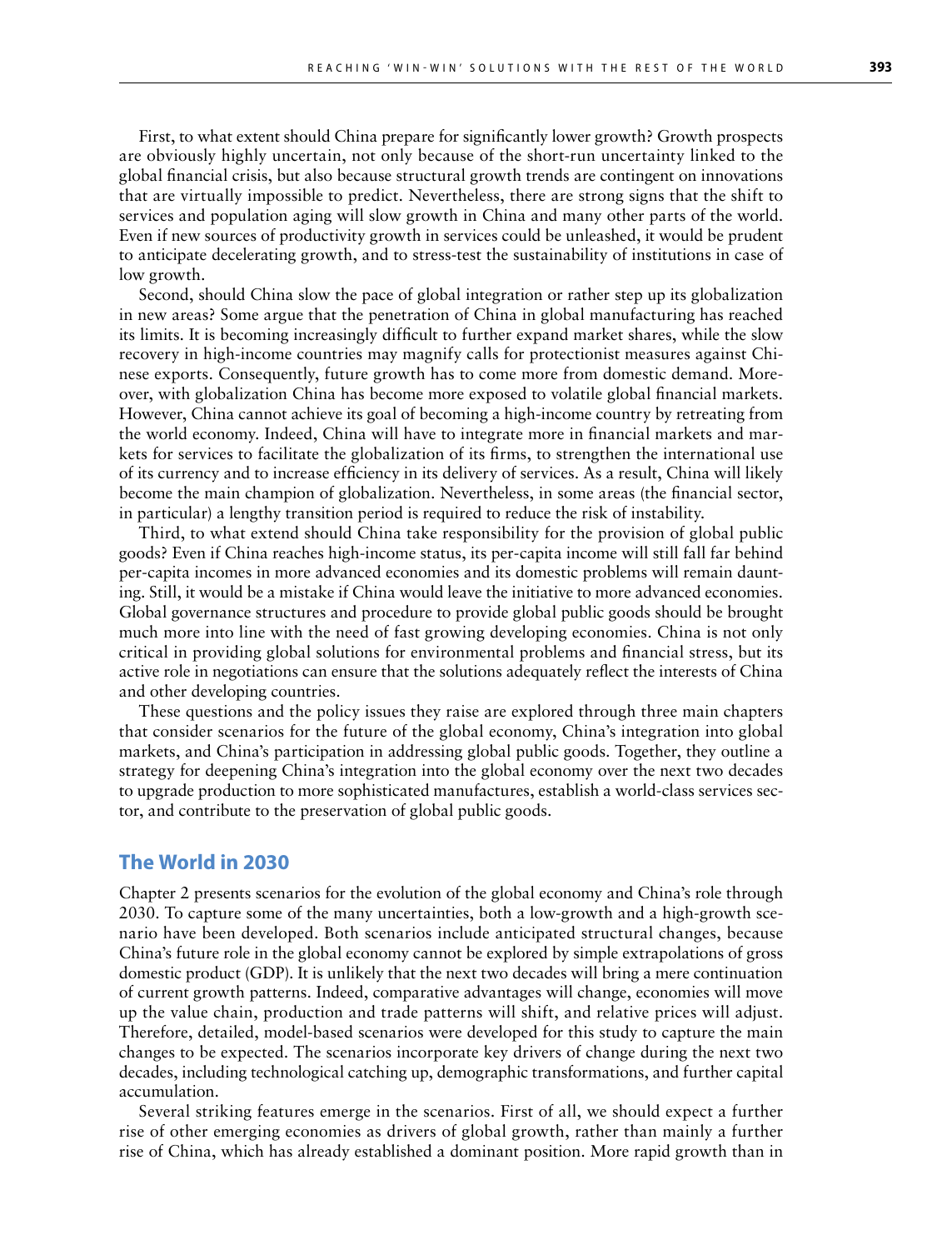First, to what extent should China prepare for significantly lower growth? Growth prospects are obviously highly uncertain, not only because of the short-run uncertainty linked to the global financial crisis, but also because structural growth trends are contingent on innovations that are virtually impossible to predict. Nevertheless, there are strong signs that the shift to services and population aging will slow growth in China and many other parts of the world. Even if new sources of productivity growth in services could be unleashed, it would be prudent to anticipate decelerating growth, and to stress-test the sustainability of institutions in case of low growth.

Second, should China slow the pace of global integration or rather step up its globalization in new areas? Some argue that the penetration of China in global manufacturing has reached its limits. It is becoming increasingly difficult to further expand market shares, while the slow recovery in high-income countries may magnify calls for protectionist measures against Chinese exports. Consequently, future growth has to come more from domestic demand. Moreover, with globalization China has become more exposed to volatile global financial markets. However, China cannot achieve its goal of becoming a high-income country by retreating from the world economy. Indeed, China will have to integrate more in financial markets and markets for services to facilitate the globalization of its firms, to strengthen the international use of its currency and to increase efficiency in its delivery of services. As a result, China will likely become the main champion of globalization. Nevertheless, in some areas (the financial sector, in particular) a lengthy transition period is required to reduce the risk of instability.

Third, to what extend should China take responsibility for the provision of global public goods? Even if China reaches high-income status, its per-capita income will still fall far behind per-capita incomes in more advanced economies and its domestic problems will remain daunting. Still, it would be a mistake if China would leave the initiative to more advanced economies. Global governance structures and procedure to provide global public goods should be brought much more into line with the need of fast growing developing economies. China is not only critical in providing global solutions for environmental problems and financial stress, but its active role in negotiations can ensure that the solutions adequately reflect the interests of China and other developing countries.

These questions and the policy issues they raise are explored through three main chapters that consider scenarios for the future of the global economy, China's integration into global markets, and China's participation in addressing global public goods. Together, they outline a strategy for deepening China's integration into the global economy over the next two decades to upgrade production to more sophisticated manufactures, establish a world-class services sector, and contribute to the preservation of global public goods.

## **The World in 2030**

Chapter 2 presents scenarios for the evolution of the global economy and China's role through 2030. To capture some of the many uncertainties, both a low-growth and a high-growth scenario have been developed. Both scenarios include anticipated structural changes, because China's future role in the global economy cannot be explored by simple extrapolations of gross domestic product (GDP). It is unlikely that the next two decades will bring a mere continuation of current growth patterns. Indeed, comparative advantages will change, economies will move up the value chain, production and trade patterns will shift, and relative prices will adjust. Therefore, detailed, model-based scenarios were developed for this study to capture the main changes to be expected. The scenarios incorporate key drivers of change during the next two decades, including technological catching up, demographic transformations, and further capital accumulation.

Several striking features emerge in the scenarios. First of all, we should expect a further rise of other emerging economies as drivers of global growth, rather than mainly a further rise of China, which has already established a dominant position. More rapid growth than in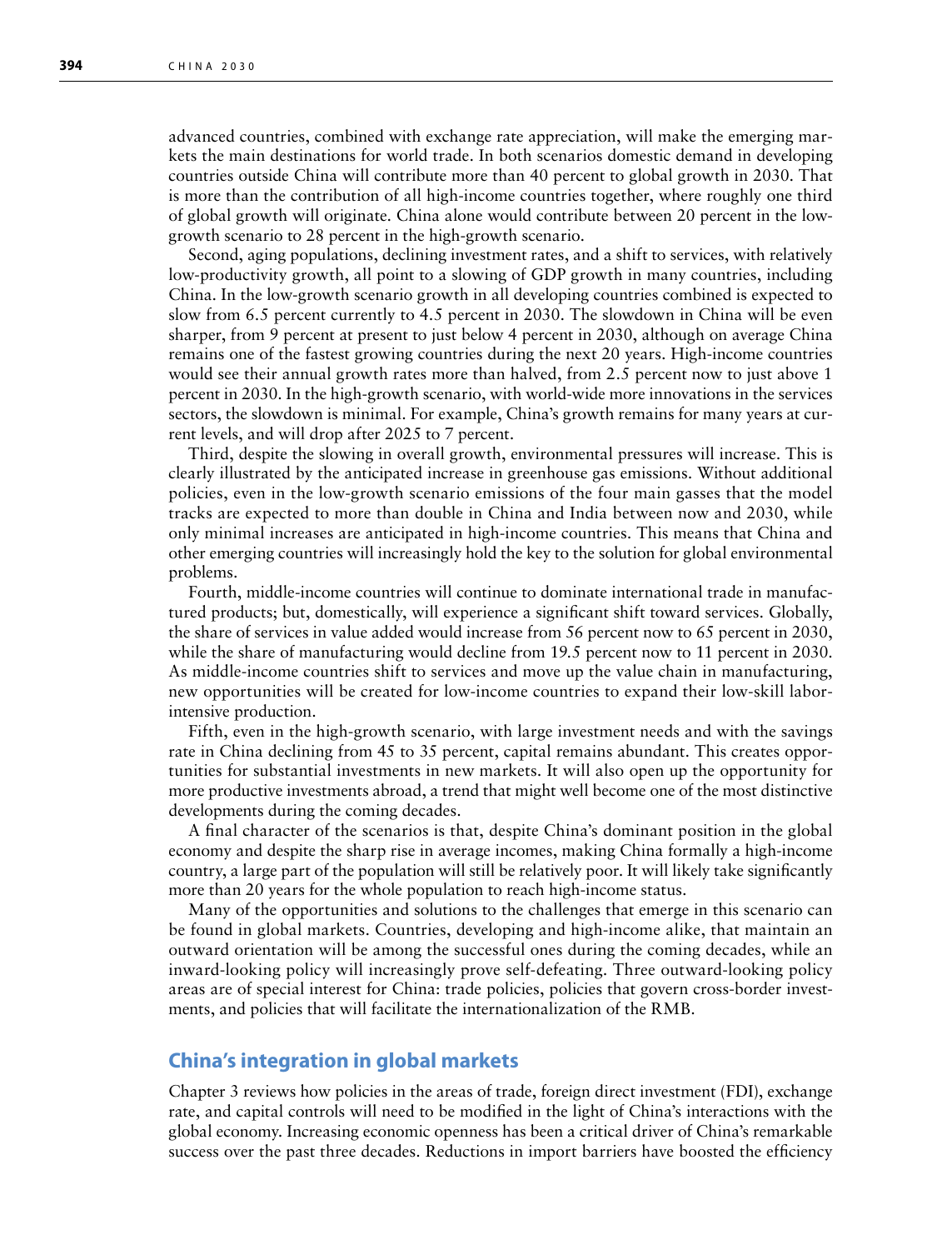advanced countries, combined with exchange rate appreciation, will make the emerging markets the main destinations for world trade. In both scenarios domestic demand in developing countries outside China will contribute more than 40 percent to global growth in 2030. That is more than the contribution of all high-income countries together, where roughly one third of global growth will originate. China alone would contribute between 20 percent in the lowgrowth scenario to 28 percent in the high-growth scenario.

Second, aging populations, declining investment rates, and a shift to services, with relatively low-productivity growth, all point to a slowing of GDP growth in many countries, including China. In the low-growth scenario growth in all developing countries combined is expected to slow from 6.5 percent currently to 4.5 percent in 2030. The slowdown in China will be even sharper, from 9 percent at present to just below 4 percent in 2030, although on average China remains one of the fastest growing countries during the next 20 years. High-income countries would see their annual growth rates more than halved, from 2.5 percent now to just above 1 percent in 2030. In the high-growth scenario, with world-wide more innovations in the services sectors, the slowdown is minimal. For example, China's growth remains for many years at current levels, and will drop after 2025 to 7 percent.

Third, despite the slowing in overall growth, environmental pressures will increase. This is clearly illustrated by the anticipated increase in greenhouse gas emissions. Without additional policies, even in the low-growth scenario emissions of the four main gasses that the model tracks are expected to more than double in China and India between now and 2030, while only minimal increases are anticipated in high-income countries. This means that China and other emerging countries will increasingly hold the key to the solution for global environmental problems.

Fourth, middle-income countries will continue to dominate international trade in manufactured products; but, domestically, will experience a significant shift toward services. Globally, the share of services in value added would increase from 56 percent now to 65 percent in 2030, while the share of manufacturing would decline from 19.5 percent now to 11 percent in 2030. As middle-income countries shift to services and move up the value chain in manufacturing, new opportunities will be created for low-income countries to expand their low-skill laborintensive production.

Fifth, even in the high-growth scenario, with large investment needs and with the savings rate in China declining from 45 to 35 percent, capital remains abundant. This creates opportunities for substantial investments in new markets. It will also open up the opportunity for more productive investments abroad, a trend that might well become one of the most distinctive developments during the coming decades.

A final character of the scenarios is that, despite China's dominant position in the global economy and despite the sharp rise in average incomes, making China formally a high-income country, a large part of the population will still be relatively poor. It will likely take significantly more than 20 years for the whole population to reach high-income status.

Many of the opportunities and solutions to the challenges that emerge in this scenario can be found in global markets. Countries, developing and high-income alike, that maintain an outward orientation will be among the successful ones during the coming decades, while an inward-looking policy will increasingly prove self-defeating. Three outward-looking policy areas are of special interest for China: trade policies, policies that govern cross-border investments, and policies that will facilitate the internationalization of the RMB.

## **China's integration in global markets**

Chapter 3 reviews how policies in the areas of trade, foreign direct investment (FDI), exchange rate, and capital controls will need to be modified in the light of China's interactions with the global economy. Increasing economic openness has been a critical driver of China's remarkable success over the past three decades. Reductions in import barriers have boosted the efficiency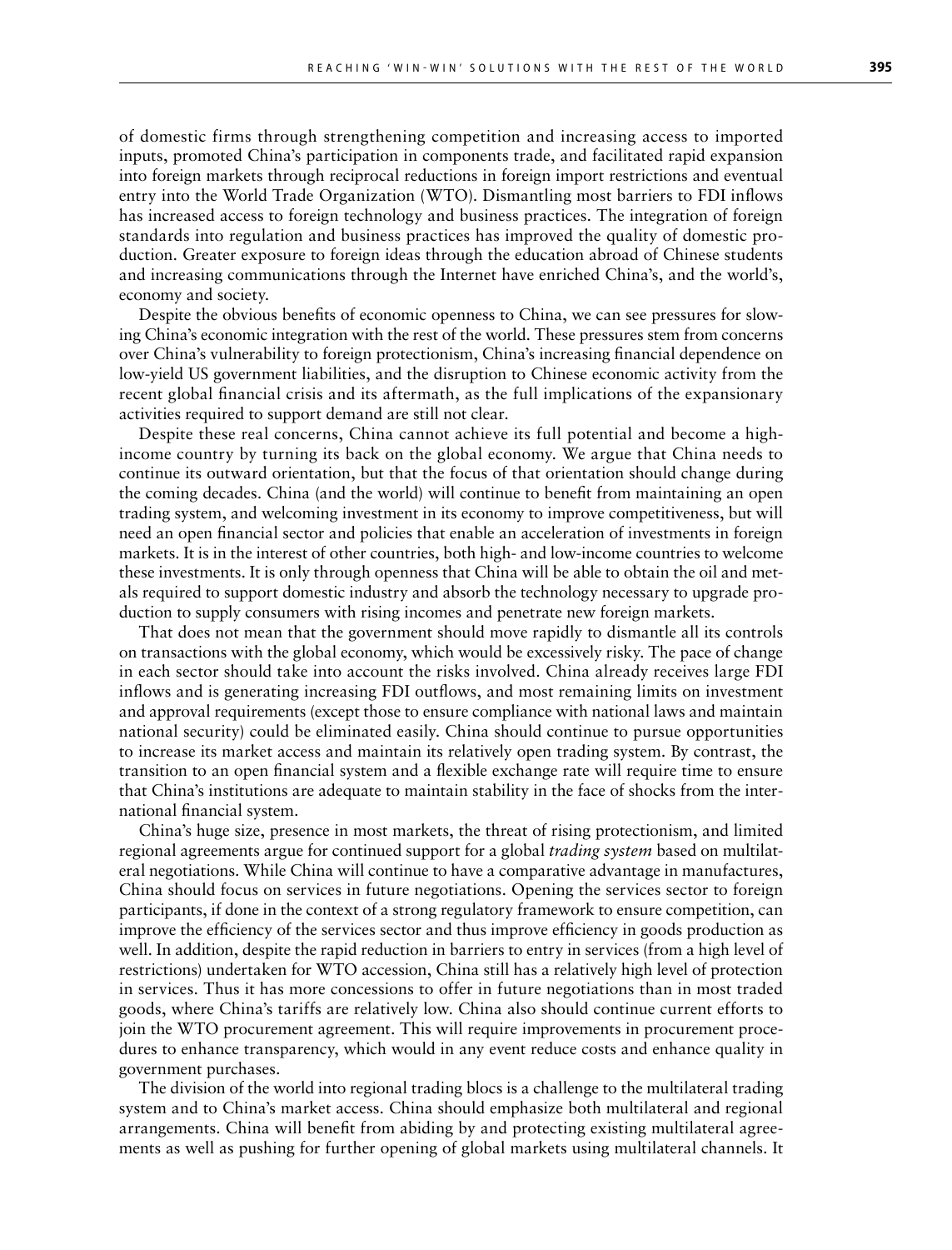of domestic firms through strengthening competition and increasing access to imported inputs, promoted China's participation in components trade, and facilitated rapid expansion into foreign markets through reciprocal reductions in foreign import restrictions and eventual entry into the World Trade Organization (WTO). Dismantling most barriers to FDI inflows has increased access to foreign technology and business practices. The integration of foreign standards into regulation and business practices has improved the quality of domestic production. Greater exposure to foreign ideas through the education abroad of Chinese students and increasing communications through the Internet have enriched China's, and the world's, economy and society.

Despite the obvious benefits of economic openness to China, we can see pressures for slowing China's economic integration with the rest of the world. These pressures stem from concerns over China's vulnerability to foreign protectionism, China's increasing financial dependence on low-yield US government liabilities, and the disruption to Chinese economic activity from the recent global financial crisis and its aftermath, as the full implications of the expansionary activities required to support demand are still not clear.

Despite these real concerns, China cannot achieve its full potential and become a highincome country by turning its back on the global economy. We argue that China needs to continue its outward orientation, but that the focus of that orientation should change during the coming decades. China (and the world) will continue to benefit from maintaining an open trading system, and welcoming investment in its economy to improve competitiveness, but will need an open financial sector and policies that enable an acceleration of investments in foreign markets. It is in the interest of other countries, both high- and low-income countries to welcome these investments. It is only through openness that China will be able to obtain the oil and metals required to support domestic industry and absorb the technology necessary to upgrade production to supply consumers with rising incomes and penetrate new foreign markets.

That does not mean that the government should move rapidly to dismantle all its controls on transactions with the global economy, which would be excessively risky. The pace of change in each sector should take into account the risks involved. China already receives large FDI inflows and is generating increasing FDI outflows, and most remaining limits on investment and approval requirements (except those to ensure compliance with national laws and maintain national security) could be eliminated easily. China should continue to pursue opportunities to increase its market access and maintain its relatively open trading system. By contrast, the transition to an open financial system and a flexible exchange rate will require time to ensure that China's institutions are adequate to maintain stability in the face of shocks from the international financial system.

China's huge size, presence in most markets, the threat of rising protectionism, and limited regional agreements argue for continued support for a global *trading system* based on multilateral negotiations. While China will continue to have a comparative advantage in manufactures, China should focus on services in future negotiations. Opening the services sector to foreign participants, if done in the context of a strong regulatory framework to ensure competition, can improve the efficiency of the services sector and thus improve efficiency in goods production as well. In addition, despite the rapid reduction in barriers to entry in services (from a high level of restrictions) undertaken for WTO accession, China still has a relatively high level of protection in services. Thus it has more concessions to offer in future negotiations than in most traded goods, where China's tariffs are relatively low. China also should continue current efforts to join the WTO procurement agreement. This will require improvements in procurement procedures to enhance transparency, which would in any event reduce costs and enhance quality in government purchases.

The division of the world into regional trading blocs is a challenge to the multilateral trading system and to China's market access. China should emphasize both multilateral and regional arrangements. China will benefit from abiding by and protecting existing multilateral agreements as well as pushing for further opening of global markets using multilateral channels. It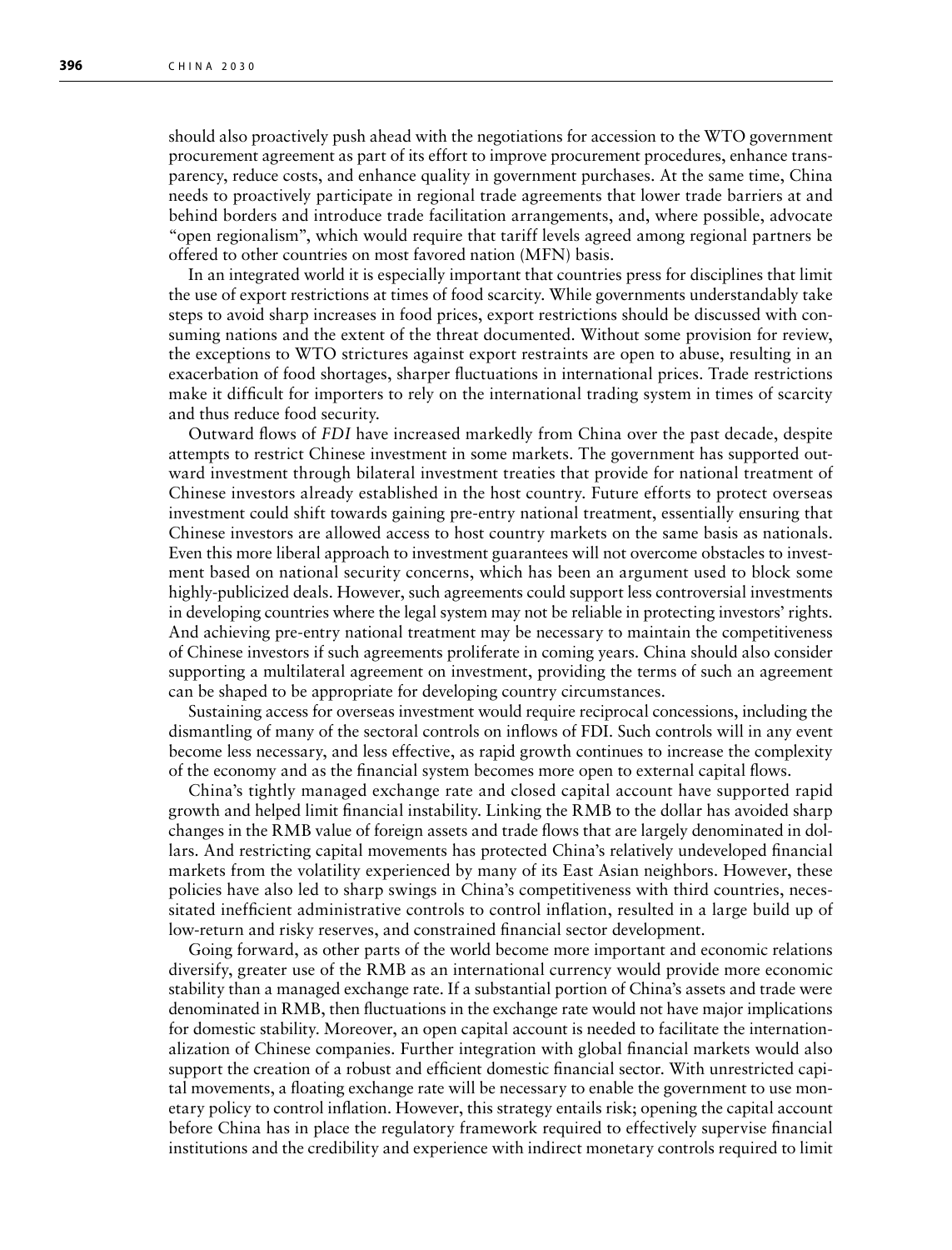should also proactively push ahead with the negotiations for accession to the WTO government procurement agreement as part of its effort to improve procurement procedures, enhance transparency, reduce costs, and enhance quality in government purchases. At the same time, China needs to proactively participate in regional trade agreements that lower trade barriers at and behind borders and introduce trade facilitation arrangements, and, where possible, advocate "open regionalism", which would require that tariff levels agreed among regional partners be offered to other countries on most favored nation (MFN) basis.

In an integrated world it is especially important that countries press for disciplines that limit the use of export restrictions at times of food scarcity. While governments understandably take steps to avoid sharp increases in food prices, export restrictions should be discussed with consuming nations and the extent of the threat documented. Without some provision for review, the exceptions to WTO strictures against export restraints are open to abuse, resulting in an exacerbation of food shortages, sharper fluctuations in international prices. Trade restrictions make it difficult for importers to rely on the international trading system in times of scarcity and thus reduce food security.

Outward flows of *FDI* have increased markedly from China over the past decade, despite attempts to restrict Chinese investment in some markets. The government has supported outward investment through bilateral investment treaties that provide for national treatment of Chinese investors already established in the host country. Future efforts to protect overseas investment could shift towards gaining pre-entry national treatment, essentially ensuring that Chinese investors are allowed access to host country markets on the same basis as nationals. Even this more liberal approach to investment guarantees will not overcome obstacles to investment based on national security concerns, which has been an argument used to block some highly-publicized deals. However, such agreements could support less controversial investments in developing countries where the legal system may not be reliable in protecting investors' rights. And achieving pre-entry national treatment may be necessary to maintain the competitiveness of Chinese investors if such agreements proliferate in coming years. China should also consider supporting a multilateral agreement on investment, providing the terms of such an agreement can be shaped to be appropriate for developing country circumstances.

Sustaining access for overseas investment would require reciprocal concessions, including the dismantling of many of the sectoral controls on inflows of FDI. Such controls will in any event become less necessary, and less effective, as rapid growth continues to increase the complexity of the economy and as the financial system becomes more open to external capital flows.

China's tightly managed exchange rate and closed capital account have supported rapid growth and helped limit financial instability. Linking the RMB to the dollar has avoided sharp changes in the RMB value of foreign assets and trade flows that are largely denominated in dollars. And restricting capital movements has protected China's relatively undeveloped financial markets from the volatility experienced by many of its East Asian neighbors. However, these policies have also led to sharp swings in China's competitiveness with third countries, necessitated inefficient administrative controls to control inflation, resulted in a large build up of low-return and risky reserves, and constrained financial sector development.

Going forward, as other parts of the world become more important and economic relations diversify, greater use of the RMB as an international currency would provide more economic stability than a managed exchange rate. If a substantial portion of China's assets and trade were denominated in RMB, then fluctuations in the exchange rate would not have major implications for domestic stability. Moreover, an open capital account is needed to facilitate the internationalization of Chinese companies. Further integration with global financial markets would also support the creation of a robust and efficient domestic financial sector. With unrestricted capital movements, a floating exchange rate will be necessary to enable the government to use monetary policy to control inflation. However, this strategy entails risk; opening the capital account before China has in place the regulatory framework required to effectively supervise financial institutions and the credibility and experience with indirect monetary controls required to limit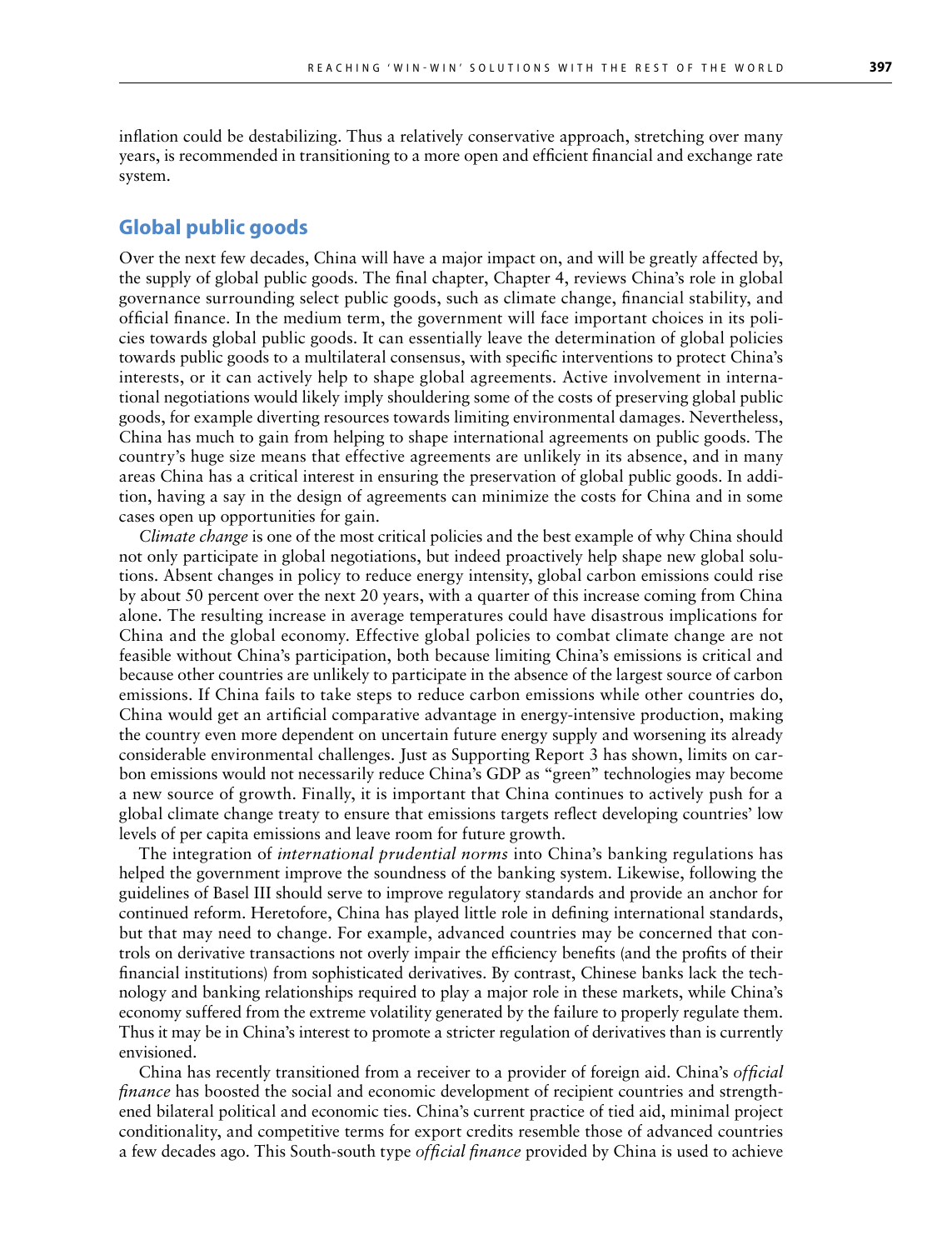inflation could be destabilizing. Thus a relatively conservative approach, stretching over many years, is recommended in transitioning to a more open and efficient financial and exchange rate system.

## **Global public goods**

Over the next few decades, China will have a major impact on, and will be greatly affected by, the supply of global public goods. The final chapter, Chapter 4, reviews China's role in global governance surrounding select public goods, such as climate change, financial stability, and official finance. In the medium term, the government will face important choices in its policies towards global public goods. It can essentially leave the determination of global policies towards public goods to a multilateral consensus, with specific interventions to protect China's interests, or it can actively help to shape global agreements. Active involvement in international negotiations would likely imply shouldering some of the costs of preserving global public goods, for example diverting resources towards limiting environmental damages. Nevertheless, China has much to gain from helping to shape international agreements on public goods. The country's huge size means that effective agreements are unlikely in its absence, and in many areas China has a critical interest in ensuring the preservation of global public goods. In addition, having a say in the design of agreements can minimize the costs for China and in some cases open up opportunities for gain.

*Climate change* is one of the most critical policies and the best example of why China should not only participate in global negotiations, but indeed proactively help shape new global solutions. Absent changes in policy to reduce energy intensity, global carbon emissions could rise by about 50 percent over the next 20 years, with a quarter of this increase coming from China alone. The resulting increase in average temperatures could have disastrous implications for China and the global economy. Effective global policies to combat climate change are not feasible without China's participation, both because limiting China's emissions is critical and because other countries are unlikely to participate in the absence of the largest source of carbon emissions. If China fails to take steps to reduce carbon emissions while other countries do, China would get an artificial comparative advantage in energy-intensive production, making the country even more dependent on uncertain future energy supply and worsening its already considerable environmental challenges. Just as Supporting Report 3 has shown, limits on carbon emissions would not necessarily reduce China's GDP as "green" technologies may become a new source of growth. Finally, it is important that China continues to actively push for a global climate change treaty to ensure that emissions targets reflect developing countries' low levels of per capita emissions and leave room for future growth.

The integration of *international prudential norms* into China's banking regulations has helped the government improve the soundness of the banking system. Likewise, following the guidelines of Basel III should serve to improve regulatory standards and provide an anchor for continued reform. Heretofore, China has played little role in defining international standards, but that may need to change. For example, advanced countries may be concerned that controls on derivative transactions not overly impair the efficiency benefits (and the profits of their financial institutions) from sophisticated derivatives. By contrast, Chinese banks lack the technology and banking relationships required to play a major role in these markets, while China's economy suffered from the extreme volatility generated by the failure to properly regulate them. Thus it may be in China's interest to promote a stricter regulation of derivatives than is currently envisioned.

China has recently transitioned from a receiver to a provider of foreign aid. China's *official finance* has boosted the social and economic development of recipient countries and strengthened bilateral political and economic ties. China's current practice of tied aid, minimal project conditionality, and competitive terms for export credits resemble those of advanced countries a few decades ago. This South-south type *official finance* provided by China is used to achieve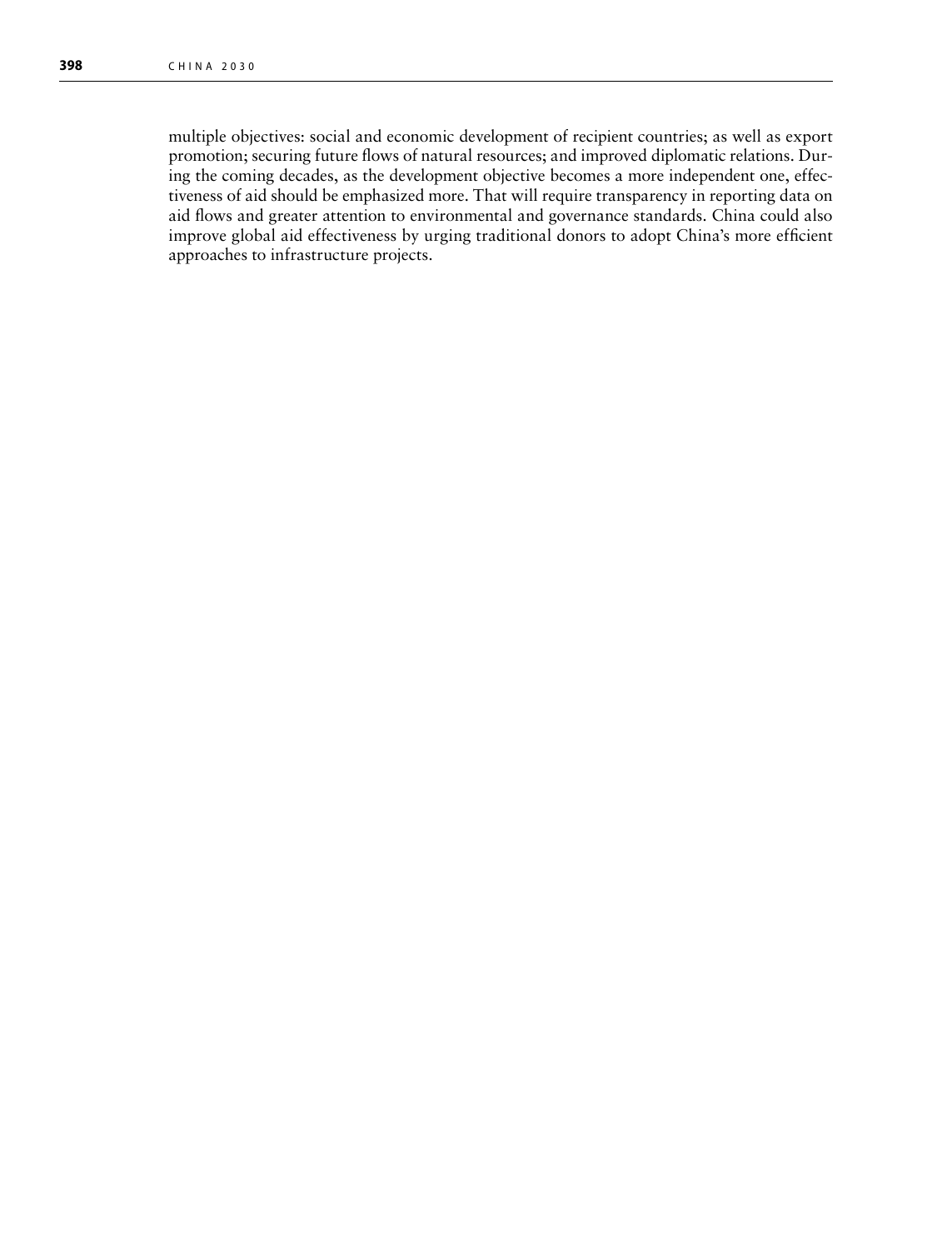multiple objectives: social and economic development of recipient countries; as well as export promotion; securing future flows of natural resources; and improved diplomatic relations. During the coming decades, as the development objective becomes a more independent one, effectiveness of aid should be emphasized more. That will require transparency in reporting data on aid flows and greater attention to environmental and governance standards. China could also improve global aid effectiveness by urging traditional donors to adopt China's more efficient approaches to infrastructure projects.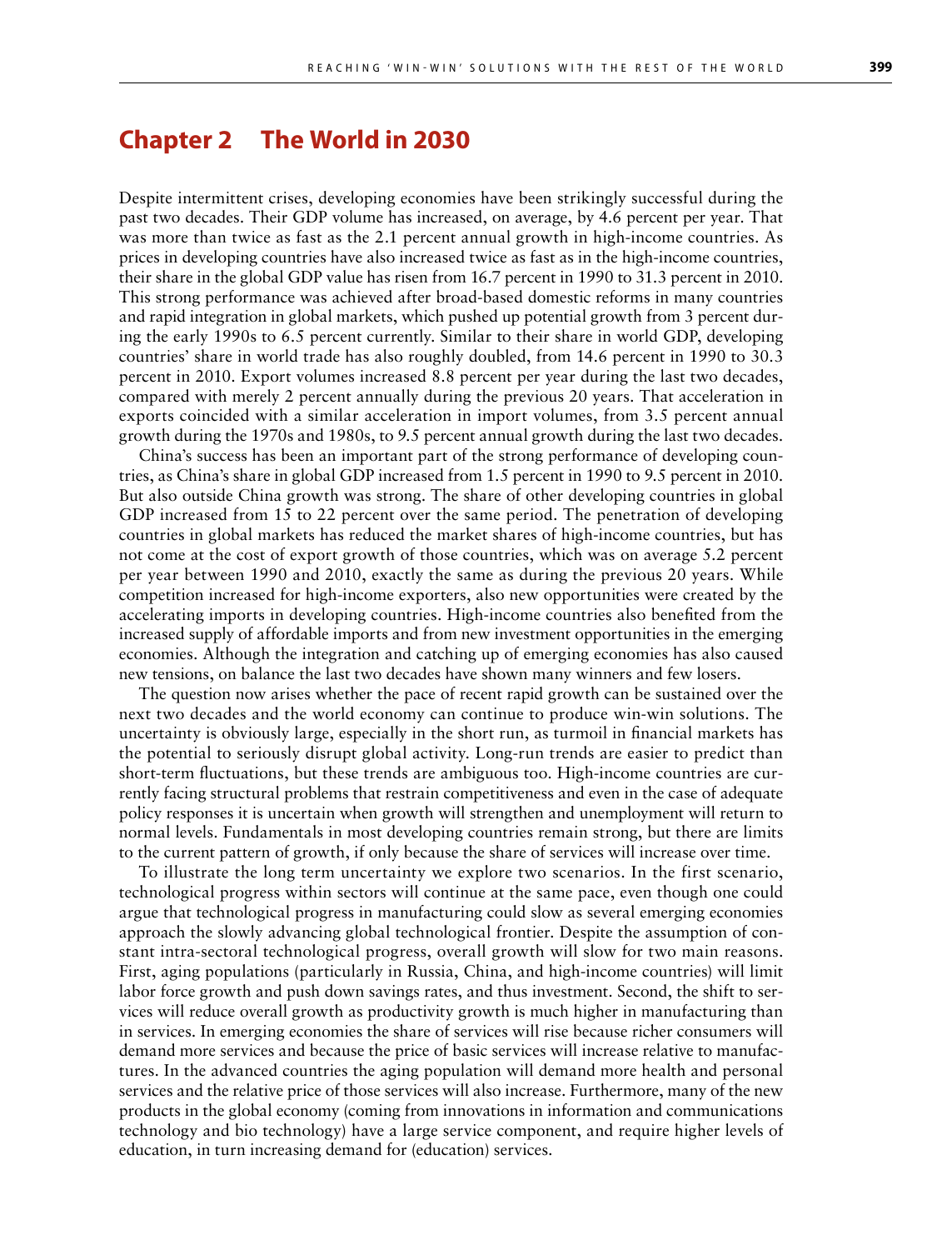Despite intermittent crises, developing economies have been strikingly successful during the past two decades. Their GDP volume has increased, on average, by 4.6 percent per year. That was more than twice as fast as the 2.1 percent annual growth in high-income countries. As prices in developing countries have also increased twice as fast as in the high-income countries, their share in the global GDP value has risen from 16.7 percent in 1990 to 31.3 percent in 2010. This strong performance was achieved after broad-based domestic reforms in many countries and rapid integration in global markets, which pushed up potential growth from 3 percent during the early 1990s to 6.5 percent currently. Similar to their share in world GDP, developing countries' share in world trade has also roughly doubled, from 14.6 percent in 1990 to 30.3 percent in 2010. Export volumes increased 8.8 percent per year during the last two decades, compared with merely 2 percent annually during the previous 20 years. That acceleration in exports coincided with a similar acceleration in import volumes, from 3.5 percent annual growth during the 1970s and 1980s, to 9.5 percent annual growth during the last two decades.

China's success has been an important part of the strong performance of developing countries, as China's share in global GDP increased from 1.5 percent in 1990 to 9.5 percent in 2010. But also outside China growth was strong. The share of other developing countries in global GDP increased from 15 to 22 percent over the same period. The penetration of developing countries in global markets has reduced the market shares of high-income countries, but has not come at the cost of export growth of those countries, which was on average 5.2 percent per year between 1990 and 2010, exactly the same as during the previous 20 years. While competition increased for high-income exporters, also new opportunities were created by the accelerating imports in developing countries. High-income countries also benefited from the increased supply of affordable imports and from new investment opportunities in the emerging economies. Although the integration and catching up of emerging economies has also caused new tensions, on balance the last two decades have shown many winners and few losers.

The question now arises whether the pace of recent rapid growth can be sustained over the next two decades and the world economy can continue to produce win-win solutions. The uncertainty is obviously large, especially in the short run, as turmoil in financial markets has the potential to seriously disrupt global activity. Long-run trends are easier to predict than short-term fluctuations, but these trends are ambiguous too. High-income countries are currently facing structural problems that restrain competitiveness and even in the case of adequate policy responses it is uncertain when growth will strengthen and unemployment will return to normal levels. Fundamentals in most developing countries remain strong, but there are limits to the current pattern of growth, if only because the share of services will increase over time.

To illustrate the long term uncertainty we explore two scenarios. In the first scenario, technological progress within sectors will continue at the same pace, even though one could argue that technological progress in manufacturing could slow as several emerging economies approach the slowly advancing global technological frontier. Despite the assumption of constant intra-sectoral technological progress, overall growth will slow for two main reasons. First, aging populations (particularly in Russia, China, and high-income countries) will limit labor force growth and push down savings rates, and thus investment. Second, the shift to services will reduce overall growth as productivity growth is much higher in manufacturing than in services. In emerging economies the share of services will rise because richer consumers will demand more services and because the price of basic services will increase relative to manufactures. In the advanced countries the aging population will demand more health and personal services and the relative price of those services will also increase. Furthermore, many of the new products in the global economy (coming from innovations in information and communications technology and bio technology) have a large service component, and require higher levels of education, in turn increasing demand for (education) services.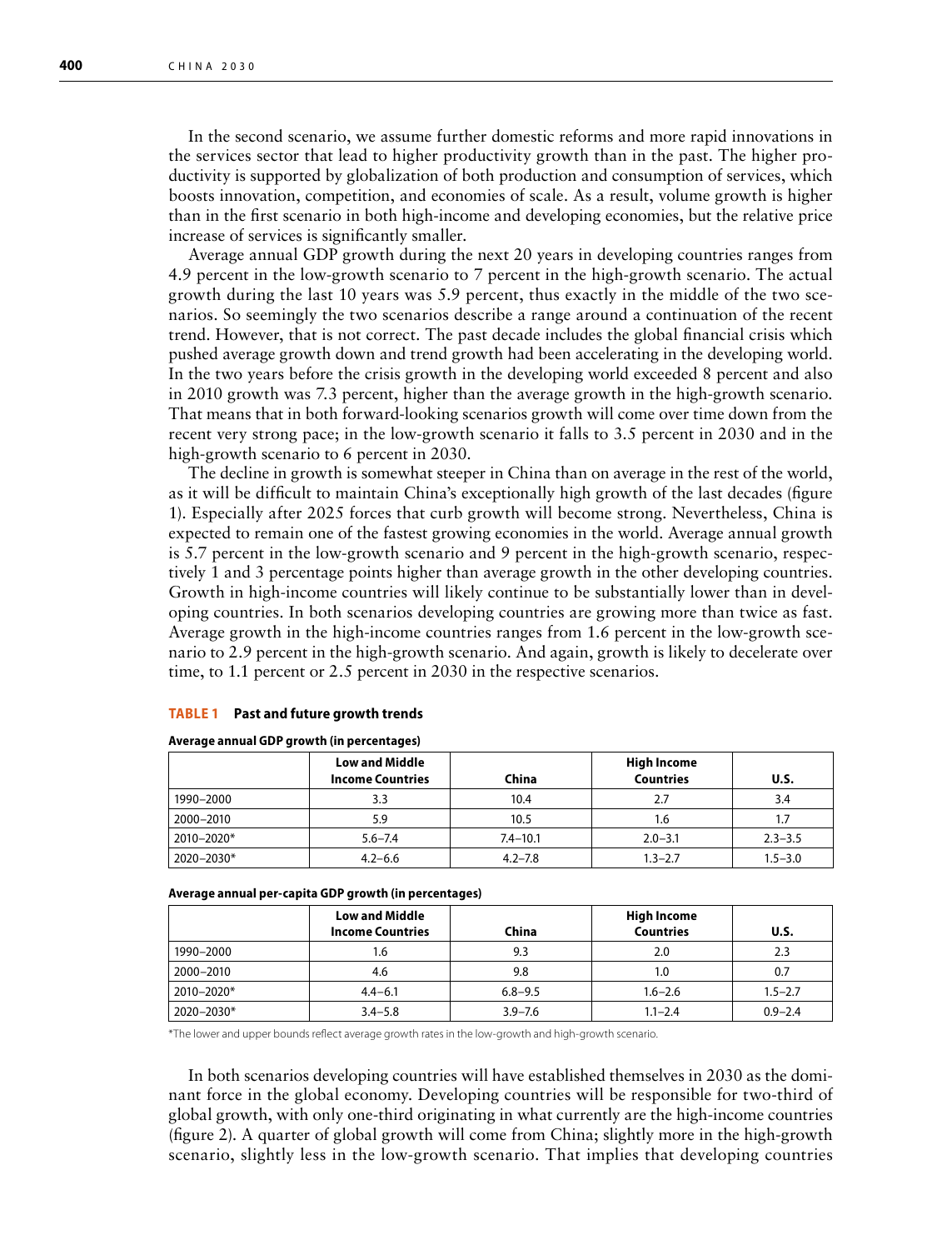In the second scenario, we assume further domestic reforms and more rapid innovations in the services sector that lead to higher productivity growth than in the past. The higher productivity is supported by globalization of both production and consumption of services, which boosts innovation, competition, and economies of scale. As a result, volume growth is higher than in the first scenario in both high-income and developing economies, but the relative price increase of services is significantly smaller.

Average annual GDP growth during the next 20 years in developing countries ranges from 4.9 percent in the low-growth scenario to 7 percent in the high-growth scenario. The actual growth during the last 10 years was 5.9 percent, thus exactly in the middle of the two scenarios. So seemingly the two scenarios describe a range around a continuation of the recent trend. However, that is not correct. The past decade includes the global financial crisis which pushed average growth down and trend growth had been accelerating in the developing world. In the two years before the crisis growth in the developing world exceeded 8 percent and also in 2010 growth was 7.3 percent, higher than the average growth in the high-growth scenario. That means that in both forward-looking scenarios growth will come over time down from the recent very strong pace; in the low-growth scenario it falls to 3.5 percent in 2030 and in the high-growth scenario to 6 percent in 2030.

The decline in growth is somewhat steeper in China than on average in the rest of the world, as it will be difficult to maintain China's exceptionally high growth of the last decades (figure 1). Especially after 2025 forces that curb growth will become strong. Nevertheless, China is expected to remain one of the fastest growing economies in the world. Average annual growth is 5.7 percent in the low-growth scenario and 9 percent in the high-growth scenario, respectively 1 and 3 percentage points higher than average growth in the other developing countries. Growth in high-income countries will likely continue to be substantially lower than in developing countries. In both scenarios developing countries are growing more than twice as fast. Average growth in the high-income countries ranges from 1.6 percent in the low-growth scenario to 2.9 percent in the high-growth scenario. And again, growth is likely to decelerate over time, to 1.1 percent or 2.5 percent in 2030 in the respective scenarios.

|            | <b>Low and Middle</b><br><b>Income Countries</b> | China        | <b>High Income</b><br><b>Countries</b> | U.S.        |
|------------|--------------------------------------------------|--------------|----------------------------------------|-------------|
| 1990-2000  | 3.3                                              | 10.4         | 2.7                                    | 3.4         |
| 2000-2010  | 5.9                                              | 10.5         | 1.6                                    |             |
| 2010-2020* | $5.6 - 7.4$                                      | $7.4 - 10.1$ | $2.0 - 3.1$                            | $2.3 - 3.5$ |
| 2020-2030* | $4.2 - 6.6$                                      | $4.2 - 7.8$  | $1.3 - 2.7$                            | $1.5 - 3.0$ |

## **Table 1 Past and future growth trends Average annual GDP growth (in percentages)**

| Average annual per-capita GDP growth (in percentages) |  |  |
|-------------------------------------------------------|--|--|
|                                                       |  |  |

|            | <b>Low and Middle</b>   |             | High Income      |             |
|------------|-------------------------|-------------|------------------|-------------|
|            | <b>Income Countries</b> | China       | <b>Countries</b> | U.S.        |
| 1990-2000  | 6.،                     | 9.3         | 2.0              | 2.3         |
| 2000-2010  | 4.6                     | 9.8         | 1.0              | 0.7         |
| 2010-2020* | $4.4 - 6.1$             | $6.8 - 9.5$ | $1.6 - 2.6$      | $1.5 - 2.7$ |
| 2020-2030* | $3.4 - 5.8$             | $3.9 - 7.6$ | $1.1 - 2.4$      | $0.9 - 2.4$ |

\*The lower and upper bounds reflect average growth rates in the low-growth and high-growth scenario.

In both scenarios developing countries will have established themselves in 2030 as the dominant force in the global economy. Developing countries will be responsible for two-third of global growth, with only one-third originating in what currently are the high-income countries (figure 2). A quarter of global growth will come from China; slightly more in the high-growth scenario, slightly less in the low-growth scenario. That implies that developing countries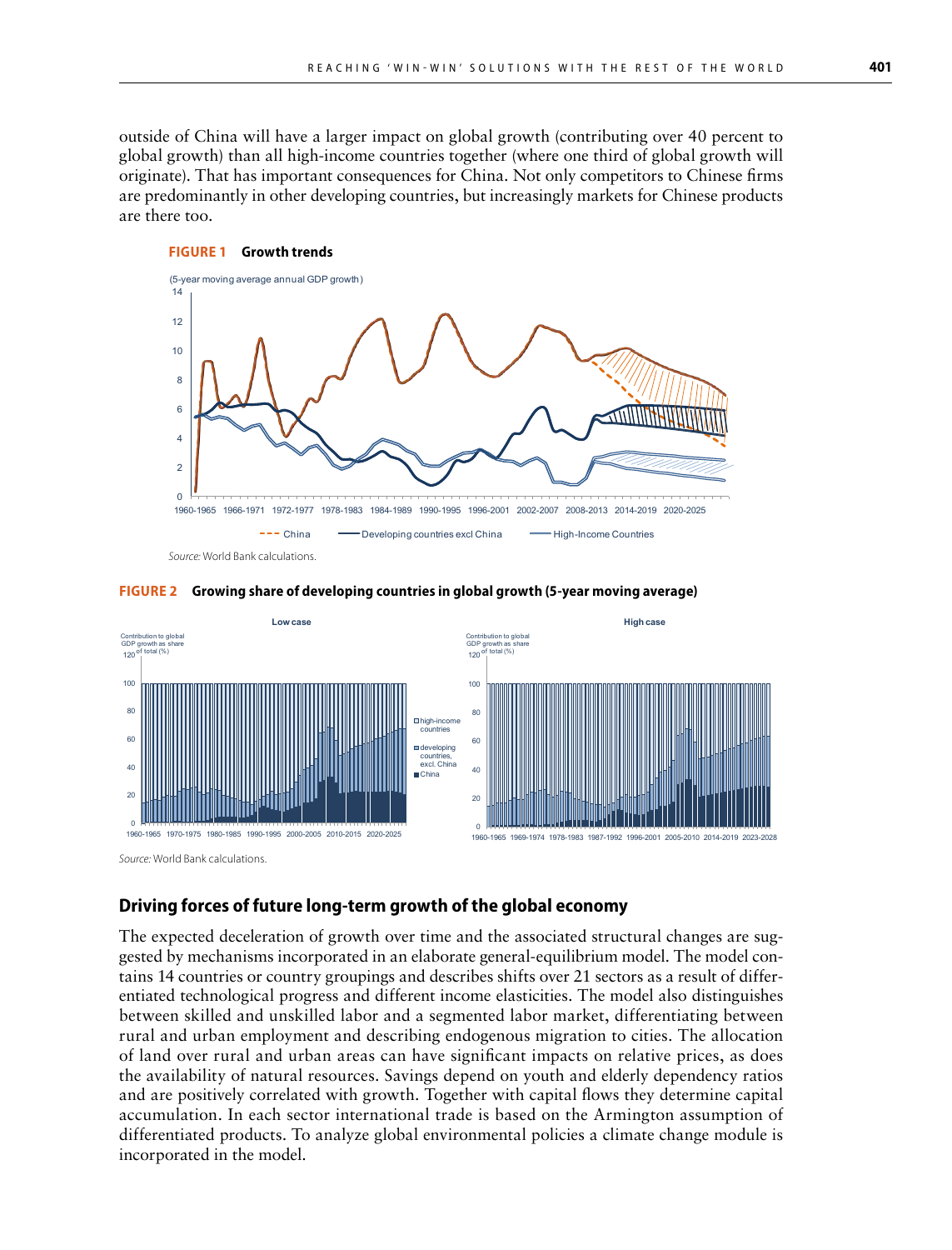outside of China will have a larger impact on global growth (contributing over 40 percent to global growth) than all high-income countries together (where one third of global growth will originate). That has important consequences for China. Not only competitors to Chinese firms are predominantly in other developing countries, but increasingly markets for Chinese products are there too.





#### **Figu re 2 Growing share of developing countries in global growth (5-year moving average)**

*Source:* World Bank calculations.

### **Driving forces of future long-term growth of the global economy**

The expected deceleration of growth over time and the associated structural changes are suggested by mechanisms incorporated in an elaborate general-equilibrium model. The model contains 14 countries or country groupings and describes shifts over 21 sectors as a result of differentiated technological progress and different income elasticities. The model also distinguishes between skilled and unskilled labor and a segmented labor market, differentiating between rural and urban employment and describing endogenous migration to cities. The allocation of land over rural and urban areas can have significant impacts on relative prices, as does the availability of natural resources. Savings depend on youth and elderly dependency ratios and are positively correlated with growth. Together with capital flows they determine capital accumulation. In each sector international trade is based on the Armington assumption of differentiated products. To analyze global environmental policies a climate change module is incorporated in the model.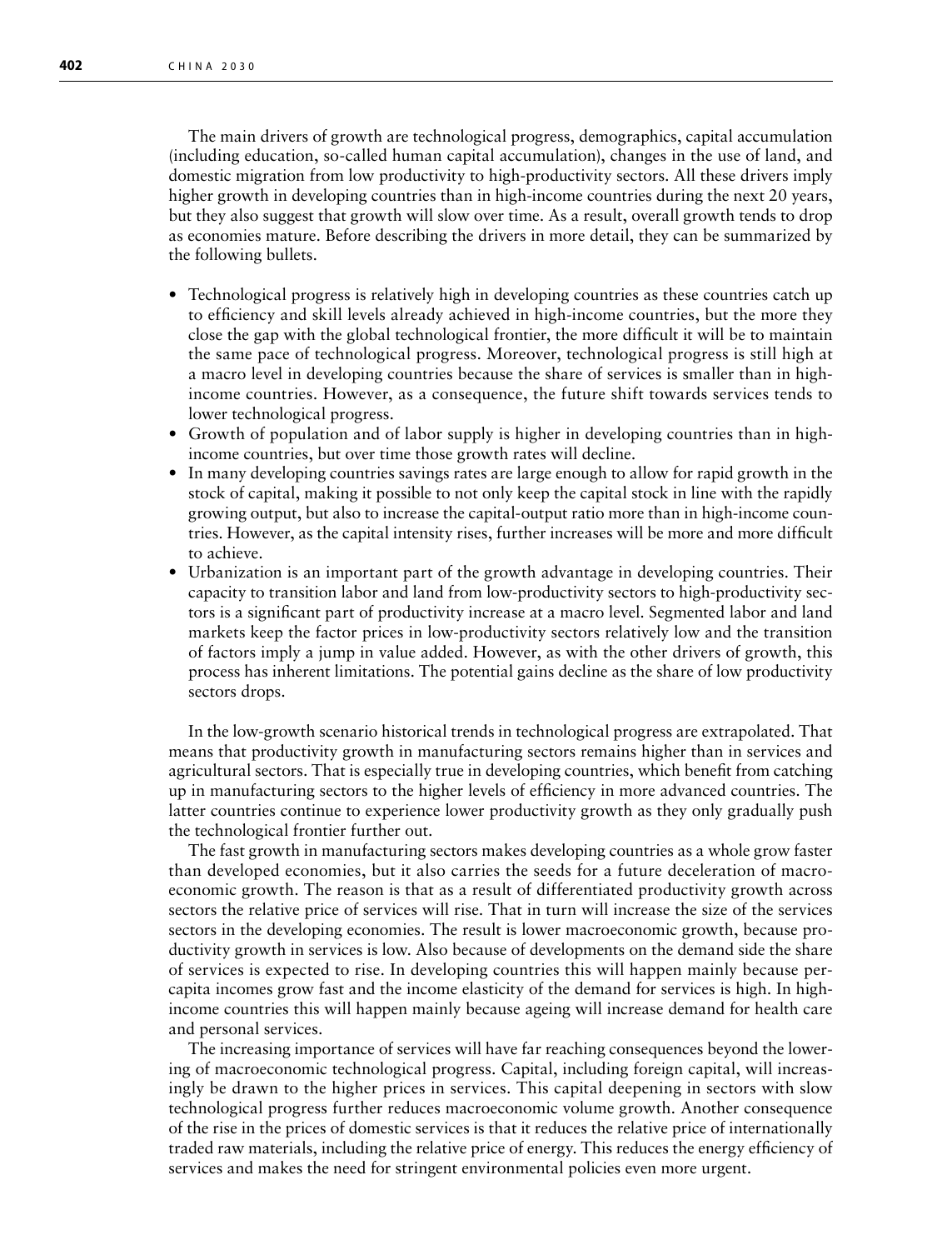The main drivers of growth are technological progress, demographics, capital accumulation (including education, so-called human capital accumulation), changes in the use of land, and domestic migration from low productivity to high-productivity sectors. All these drivers imply higher growth in developing countries than in high-income countries during the next 20 years, but they also suggest that growth will slow over time. As a result, overall growth tends to drop as economies mature. Before describing the drivers in more detail, they can be summarized by the following bullets.

- Technological progress is relatively high in developing countries as these countries catch up to efficiency and skill levels already achieved in high-income countries, but the more they close the gap with the global technological frontier, the more difficult it will be to maintain the same pace of technological progress. Moreover, technological progress is still high at a macro level in developing countries because the share of services is smaller than in highincome countries. However, as a consequence, the future shift towards services tends to lower technological progress.
- Growth of population and of labor supply is higher in developing countries than in highincome countries, but over time those growth rates will decline.
- • In many developing countries savings rates are large enough to allow for rapid growth in the stock of capital, making it possible to not only keep the capital stock in line with the rapidly growing output, but also to increase the capital-output ratio more than in high-income countries. However, as the capital intensity rises, further increases will be more and more difficult to achieve.
- • Urbanization is an important part of the growth advantage in developing countries. Their capacity to transition labor and land from low-productivity sectors to high-productivity sectors is a significant part of productivity increase at a macro level. Segmented labor and land markets keep the factor prices in low-productivity sectors relatively low and the transition of factors imply a jump in value added. However, as with the other drivers of growth, this process has inherent limitations. The potential gains decline as the share of low productivity sectors drops.

In the low-growth scenario historical trends in technological progress are extrapolated. That means that productivity growth in manufacturing sectors remains higher than in services and agricultural sectors. That is especially true in developing countries, which benefit from catching up in manufacturing sectors to the higher levels of efficiency in more advanced countries. The latter countries continue to experience lower productivity growth as they only gradually push the technological frontier further out.

The fast growth in manufacturing sectors makes developing countries as a whole grow faster than developed economies, but it also carries the seeds for a future deceleration of macroeconomic growth. The reason is that as a result of differentiated productivity growth across sectors the relative price of services will rise. That in turn will increase the size of the services sectors in the developing economies. The result is lower macroeconomic growth, because productivity growth in services is low. Also because of developments on the demand side the share of services is expected to rise. In developing countries this will happen mainly because percapita incomes grow fast and the income elasticity of the demand for services is high. In highincome countries this will happen mainly because ageing will increase demand for health care and personal services.

The increasing importance of services will have far reaching consequences beyond the lowering of macroeconomic technological progress. Capital, including foreign capital, will increasingly be drawn to the higher prices in services. This capital deepening in sectors with slow technological progress further reduces macroeconomic volume growth. Another consequence of the rise in the prices of domestic services is that it reduces the relative price of internationally traded raw materials, including the relative price of energy. This reduces the energy efficiency of services and makes the need for stringent environmental policies even more urgent.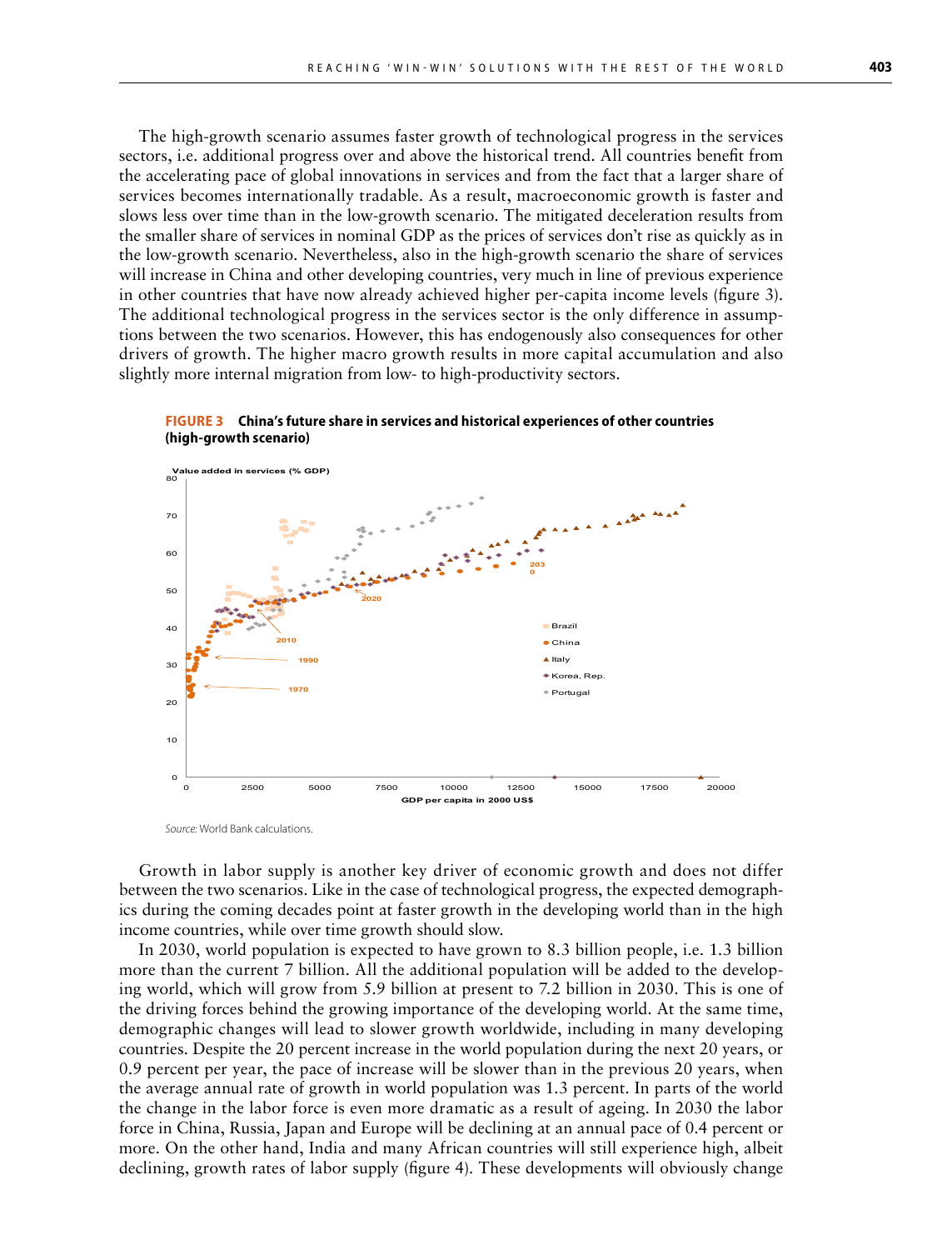The high-growth scenario assumes faster growth of technological progress in the services sectors, i.e. additional progress over and above the historical trend. All countries benefit from the accelerating pace of global innovations in services and from the fact that a larger share of services becomes internationally tradable. As a result, macroeconomic growth is faster and slows less over time than in the low-growth scenario. The mitigated deceleration results from the smaller share of services in nominal GDP as the prices of services don't rise as quickly as in the low-growth scenario. Nevertheless, also in the high-growth scenario the share of services will increase in China and other developing countries, very much in line of previous experience in other countries that have now already achieved higher per-capita income levels (figure 3). The additional technological progress in the services sector is the only difference in assumptions between the two scenarios. However, this has endogenously also consequences for other drivers of growth. The higher macro growth results in more capital accumulation and also slightly more internal migration from low- to high-productivity sectors.



**Figu re 3 China's future share in services and historical experiences of other countries (high-growth scenario)**

*Source:* World Bank calculations.

Growth in labor supply is another key driver of economic growth and does not differ between the two scenarios. Like in the case of technological progress, the expected demographics during the coming decades point at faster growth in the developing world than in the high income countries, while over time growth should slow.

In 2030, world population is expected to have grown to 8.3 billion people, i.e. 1.3 billion more than the current 7 billion. All the additional population will be added to the developing world, which will grow from 5.9 billion at present to 7.2 billion in 2030. This is one of the driving forces behind the growing importance of the developing world. At the same time, demographic changes will lead to slower growth worldwide, including in many developing countries. Despite the 20 percent increase in the world population during the next 20 years, or 0.9 percent per year, the pace of increase will be slower than in the previous 20 years, when the average annual rate of growth in world population was 1.3 percent. In parts of the world the change in the labor force is even more dramatic as a result of ageing. In 2030 the labor force in China, Russia, Japan and Europe will be declining at an annual pace of 0.4 percent or more. On the other hand, India and many African countries will still experience high, albeit declining, growth rates of labor supply (figure 4). These developments will obviously change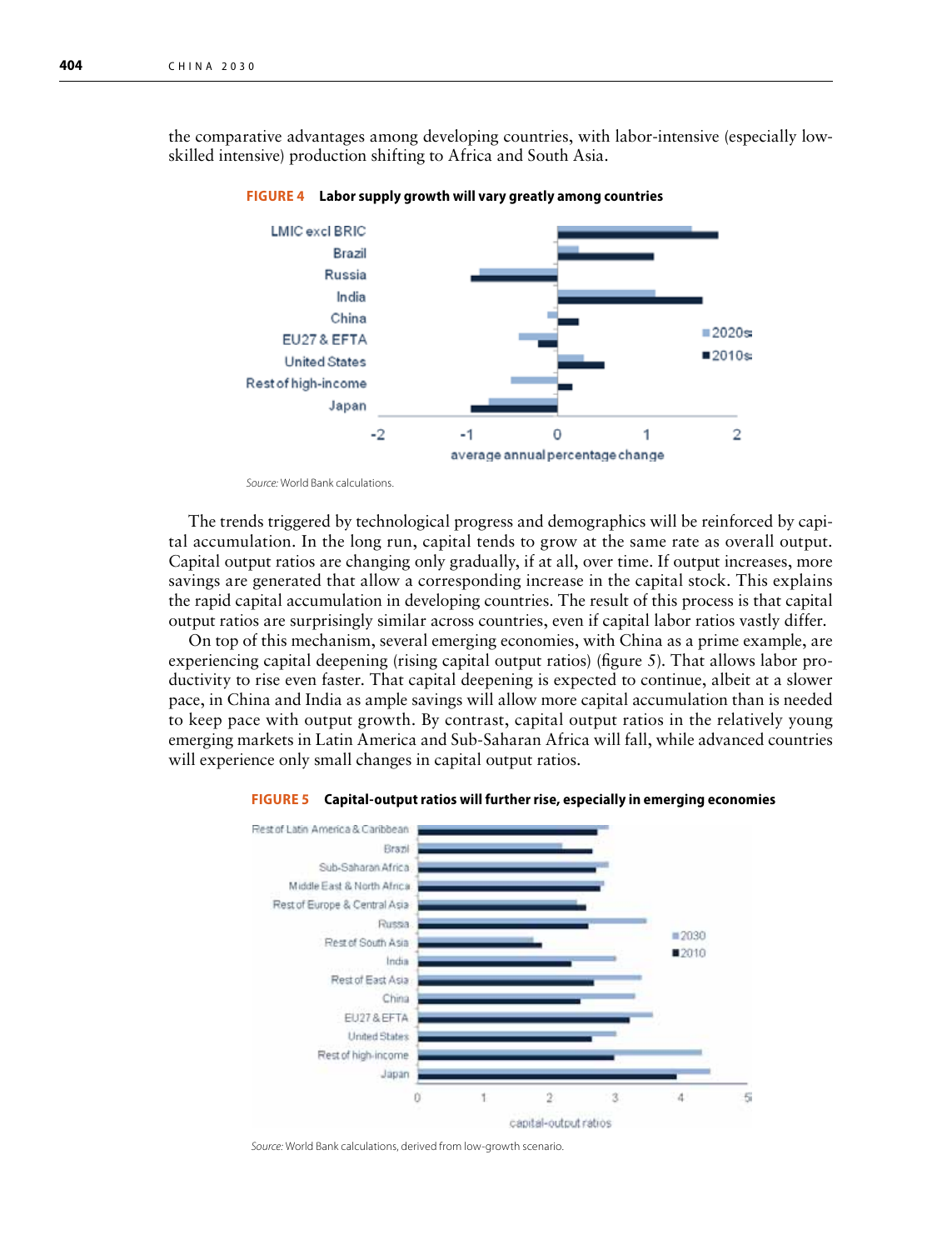the comparative advantages among developing countries, with labor-intensive (especially lowskilled intensive) production shifting to Africa and South Asia.



**FIGURE 4** Labor supply growth will vary greatly among countries

*Source:* World Bank calculations.

The trends triggered by technological progress and demographics will be reinforced by capital accumulation. In the long run, capital tends to grow at the same rate as overall output. Capital output ratios are changing only gradually, if at all, over time. If output increases, more savings are generated that allow a corresponding increase in the capital stock. This explains the rapid capital accumulation in developing countries. The result of this process is that capital output ratios are surprisingly similar across countries, even if capital labor ratios vastly differ.

On top of this mechanism, several emerging economies, with China as a prime example, are experiencing capital deepening (rising capital output ratios) (figure 5). That allows labor productivity to rise even faster. That capital deepening is expected to continue, albeit at a slower pace, in China and India as ample savings will allow more capital accumulation than is needed to keep pace with output growth. By contrast, capital output ratios in the relatively young emerging markets in Latin America and Sub-Saharan Africa will fall, while advanced countries will experience only small changes in capital output ratios.



#### **FIGURE 5** Capital-output ratios will further rise, especially in emerging economies

*Source:* World Bank calculations, derived from low-growth scenario.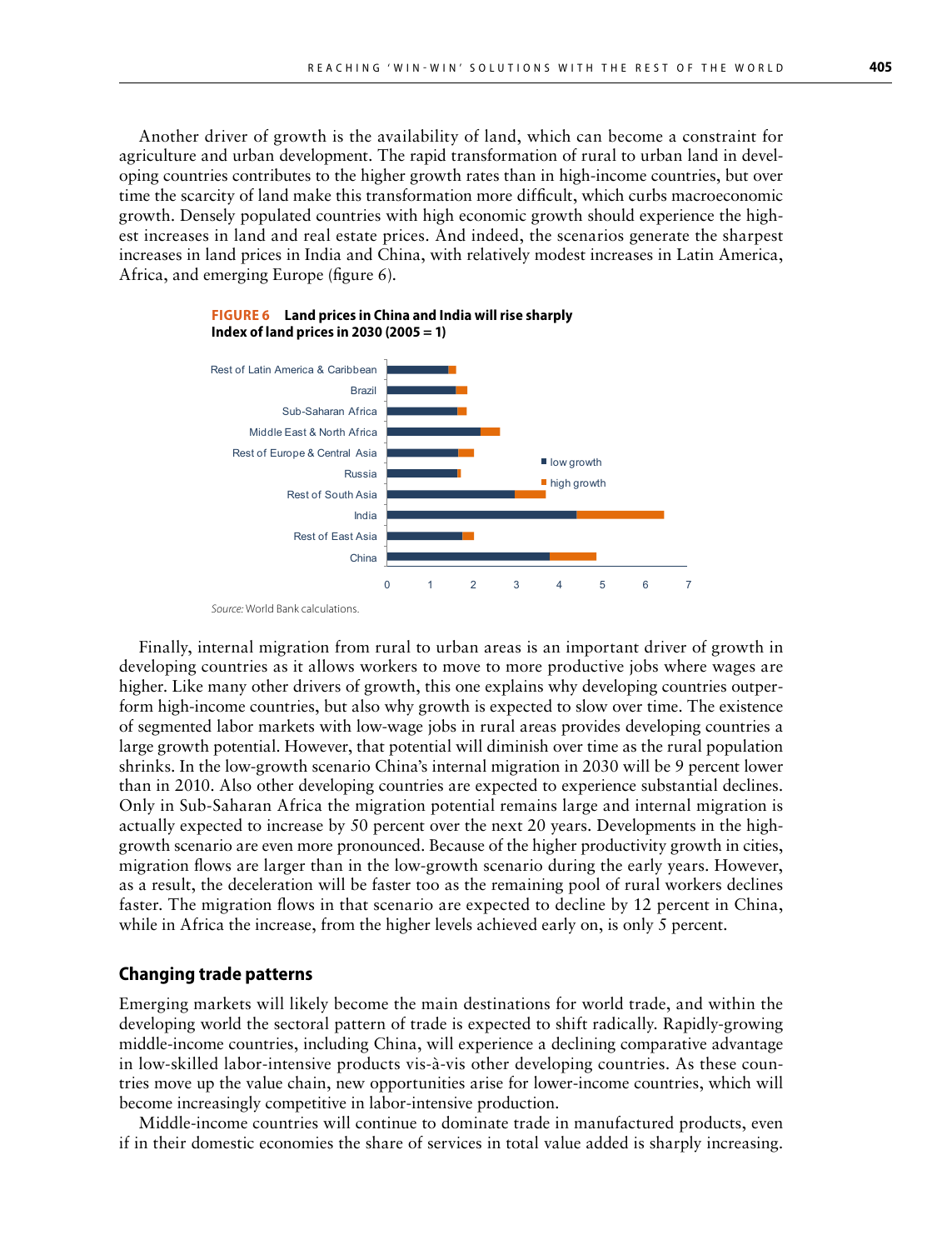Another driver of growth is the availability of land, which can become a constraint for agriculture and urban development. The rapid transformation of rural to urban land in developing countries contributes to the higher growth rates than in high-income countries, but over time the scarcity of land make this transformation more difficult, which curbs macroeconomic growth. Densely populated countries with high economic growth should experience the highest increases in land and real estate prices. And indeed, the scenarios generate the sharpest increases in land prices in India and China, with relatively modest increases in Latin America, Africa, and emerging Europe (figure 6).





Finally, internal migration from rural to urban areas is an important driver of growth in developing countries as it allows workers to move to more productive jobs where wages are higher. Like many other drivers of growth, this one explains why developing countries outperform high-income countries, but also why growth is expected to slow over time. The existence of segmented labor markets with low-wage jobs in rural areas provides developing countries a large growth potential. However, that potential will diminish over time as the rural population shrinks. In the low-growth scenario China's internal migration in 2030 will be 9 percent lower than in 2010. Also other developing countries are expected to experience substantial declines. Only in Sub-Saharan Africa the migration potential remains large and internal migration is actually expected to increase by 50 percent over the next 20 years. Developments in the highgrowth scenario are even more pronounced. Because of the higher productivity growth in cities, migration flows are larger than in the low-growth scenario during the early years. However, as a result, the deceleration will be faster too as the remaining pool of rural workers declines faster. The migration flows in that scenario are expected to decline by 12 percent in China, while in Africa the increase, from the higher levels achieved early on, is only 5 percent.

#### **Changing trade patterns**

Emerging markets will likely become the main destinations for world trade, and within the developing world the sectoral pattern of trade is expected to shift radically. Rapidly-growing middle-income countries, including China, will experience a declining comparative advantage in low-skilled labor-intensive products vis-à-vis other developing countries. As these countries move up the value chain, new opportunities arise for lower-income countries, which will become increasingly competitive in labor-intensive production.

Middle-income countries will continue to dominate trade in manufactured products, even if in their domestic economies the share of services in total value added is sharply increasing.

*Source:* World Bank calculations.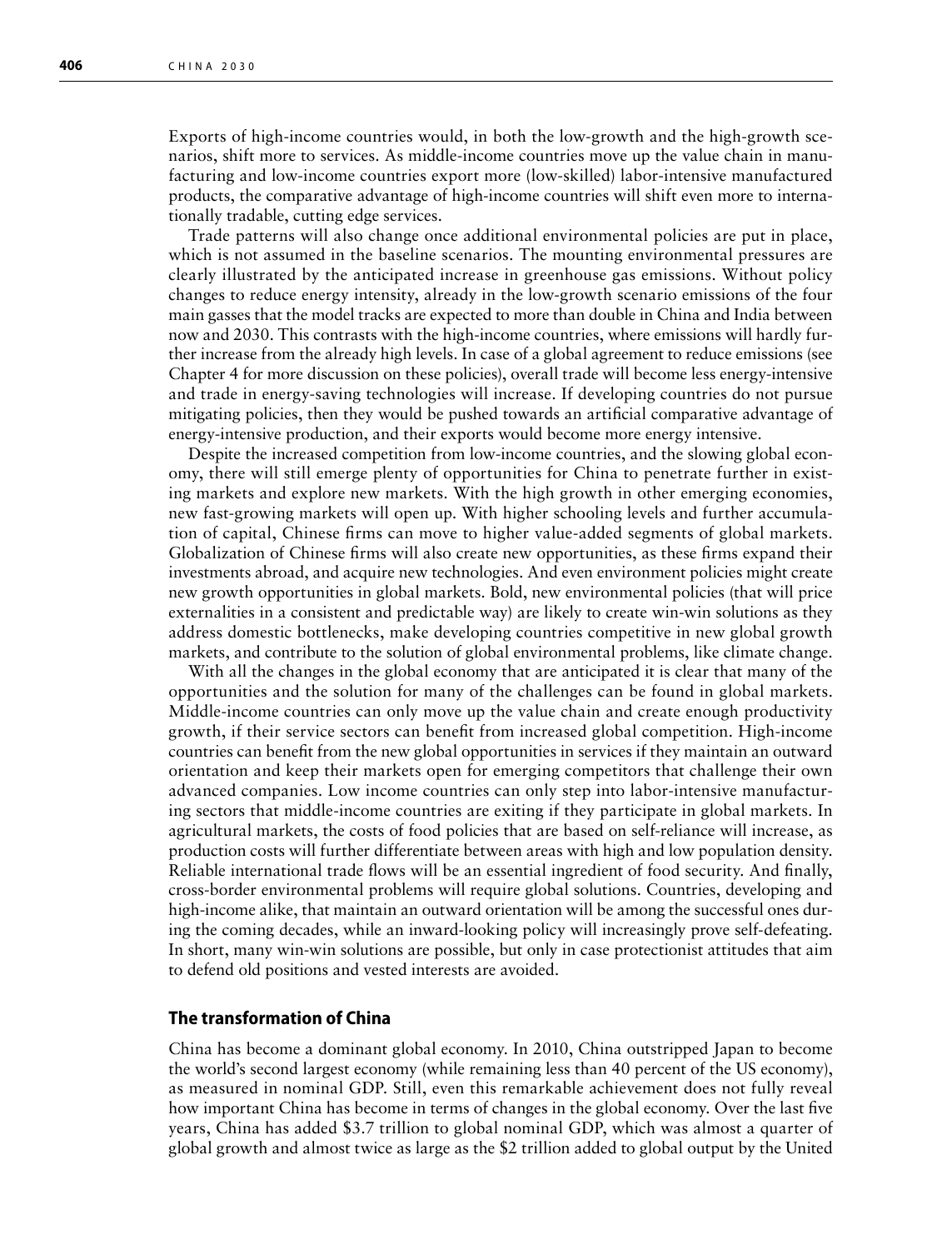Exports of high-income countries would, in both the low-growth and the high-growth scenarios, shift more to services. As middle-income countries move up the value chain in manufacturing and low-income countries export more (low-skilled) labor-intensive manufactured products, the comparative advantage of high-income countries will shift even more to internationally tradable, cutting edge services.

Trade patterns will also change once additional environmental policies are put in place, which is not assumed in the baseline scenarios. The mounting environmental pressures are clearly illustrated by the anticipated increase in greenhouse gas emissions. Without policy changes to reduce energy intensity, already in the low-growth scenario emissions of the four main gasses that the model tracks are expected to more than double in China and India between now and 2030. This contrasts with the high-income countries, where emissions will hardly further increase from the already high levels. In case of a global agreement to reduce emissions (see Chapter 4 for more discussion on these policies), overall trade will become less energy-intensive and trade in energy-saving technologies will increase. If developing countries do not pursue mitigating policies, then they would be pushed towards an artificial comparative advantage of energy-intensive production, and their exports would become more energy intensive.

Despite the increased competition from low-income countries, and the slowing global economy, there will still emerge plenty of opportunities for China to penetrate further in existing markets and explore new markets. With the high growth in other emerging economies, new fast-growing markets will open up. With higher schooling levels and further accumulation of capital, Chinese firms can move to higher value-added segments of global markets. Globalization of Chinese firms will also create new opportunities, as these firms expand their investments abroad, and acquire new technologies. And even environment policies might create new growth opportunities in global markets. Bold, new environmental policies (that will price externalities in a consistent and predictable way) are likely to create win-win solutions as they address domestic bottlenecks, make developing countries competitive in new global growth markets, and contribute to the solution of global environmental problems, like climate change.

With all the changes in the global economy that are anticipated it is clear that many of the opportunities and the solution for many of the challenges can be found in global markets. Middle-income countries can only move up the value chain and create enough productivity growth, if their service sectors can benefit from increased global competition. High-income countries can benefit from the new global opportunities in services if they maintain an outward orientation and keep their markets open for emerging competitors that challenge their own advanced companies. Low income countries can only step into labor-intensive manufacturing sectors that middle-income countries are exiting if they participate in global markets. In agricultural markets, the costs of food policies that are based on self-reliance will increase, as production costs will further differentiate between areas with high and low population density. Reliable international trade flows will be an essential ingredient of food security. And finally, cross-border environmental problems will require global solutions. Countries, developing and high-income alike, that maintain an outward orientation will be among the successful ones during the coming decades, while an inward-looking policy will increasingly prove self-defeating. In short, many win-win solutions are possible, but only in case protectionist attitudes that aim to defend old positions and vested interests are avoided.

### **The transformation of China**

China has become a dominant global economy. In 2010, China outstripped Japan to become the world's second largest economy (while remaining less than 40 percent of the US economy), as measured in nominal GDP. Still, even this remarkable achievement does not fully reveal how important China has become in terms of changes in the global economy. Over the last five years, China has added \$3.7 trillion to global nominal GDP, which was almost a quarter of global growth and almost twice as large as the \$2 trillion added to global output by the United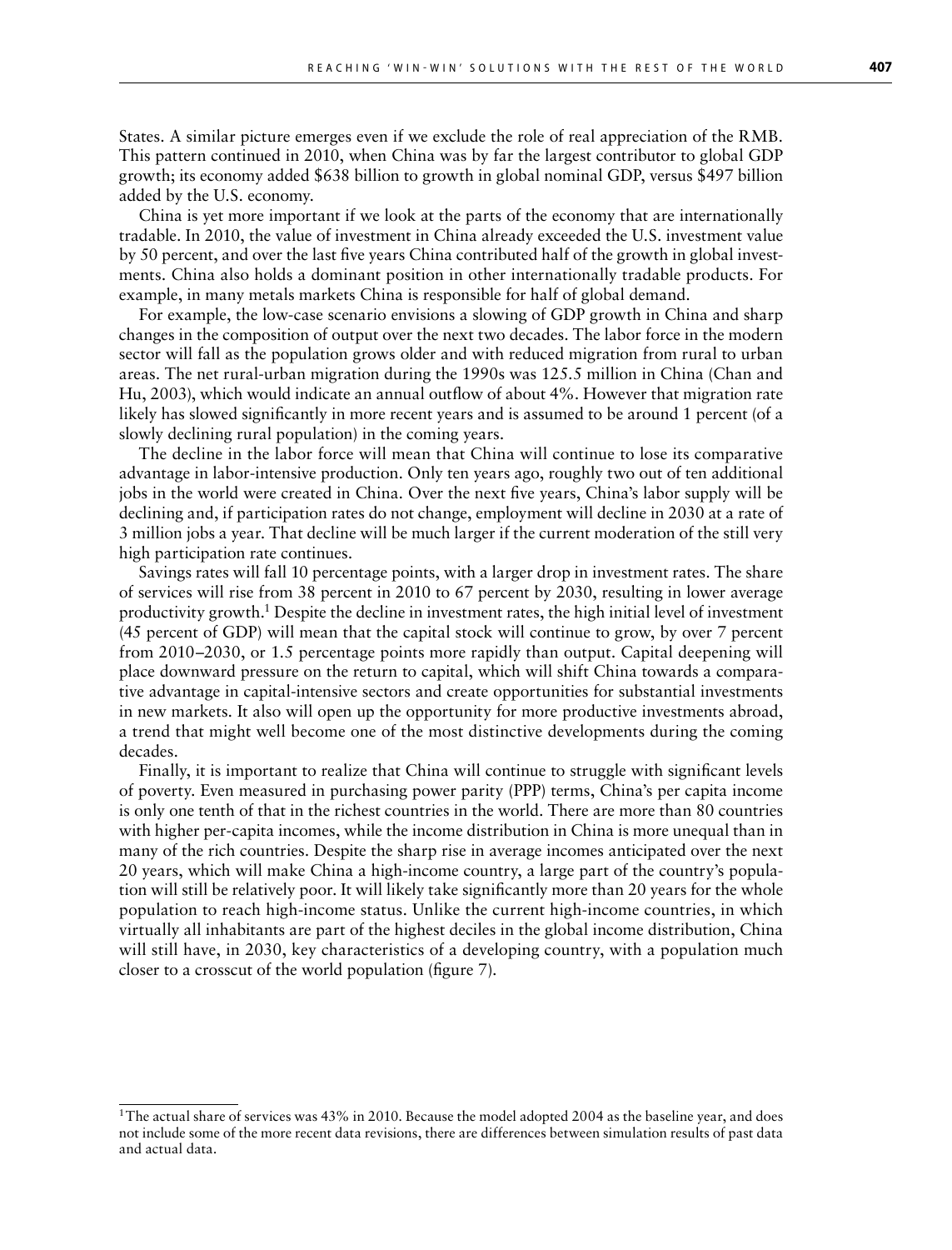States. A similar picture emerges even if we exclude the role of real appreciation of the RMB. This pattern continued in 2010, when China was by far the largest contributor to global GDP growth; its economy added \$638 billion to growth in global nominal GDP, versus \$497 billion added by the U.S. economy.

China is yet more important if we look at the parts of the economy that are internationally tradable. In 2010, the value of investment in China already exceeded the U.S. investment value by 50 percent, and over the last five years China contributed half of the growth in global investments. China also holds a dominant position in other internationally tradable products. For example, in many metals markets China is responsible for half of global demand.

For example, the low-case scenario envisions a slowing of GDP growth in China and sharp changes in the composition of output over the next two decades. The labor force in the modern sector will fall as the population grows older and with reduced migration from rural to urban areas. The net rural-urban migration during the 1990s was 125.5 million in China (Chan and Hu, 2003), which would indicate an annual outflow of about 4%. However that migration rate likely has slowed significantly in more recent years and is assumed to be around 1 percent (of a slowly declining rural population) in the coming years.

The decline in the labor force will mean that China will continue to lose its comparative advantage in labor-intensive production. Only ten years ago, roughly two out of ten additional jobs in the world were created in China. Over the next five years, China's labor supply will be declining and, if participation rates do not change, employment will decline in 2030 at a rate of 3 million jobs a year. That decline will be much larger if the current moderation of the still very high participation rate continues.

Savings rates will fall 10 percentage points, with a larger drop in investment rates. The share of services will rise from 38 percent in 2010 to 67 percent by 2030, resulting in lower average productivity growth.1 Despite the decline in investment rates, the high initial level of investment (45 percent of GDP) will mean that the capital stock will continue to grow, by over 7 percent from 2010–2030, or 1.5 percentage points more rapidly than output. Capital deepening will place downward pressure on the return to capital, which will shift China towards a comparative advantage in capital-intensive sectors and create opportunities for substantial investments in new markets. It also will open up the opportunity for more productive investments abroad, a trend that might well become one of the most distinctive developments during the coming decades.

Finally, it is important to realize that China will continue to struggle with significant levels of poverty. Even measured in purchasing power parity (PPP) terms, China's per capita income is only one tenth of that in the richest countries in the world. There are more than 80 countries with higher per-capita incomes, while the income distribution in China is more unequal than in many of the rich countries. Despite the sharp rise in average incomes anticipated over the next 20 years, which will make China a high-income country, a large part of the country's population will still be relatively poor. It will likely take significantly more than 20 years for the whole population to reach high-income status. Unlike the current high-income countries, in which virtually all inhabitants are part of the highest deciles in the global income distribution, China will still have, in 2030, key characteristics of a developing country, with a population much closer to a crosscut of the world population (figure 7).

<sup>&</sup>lt;sup>1</sup>The actual share of services was 43% in 2010. Because the model adopted 2004 as the baseline year, and does not include some of the more recent data revisions, there are differences between simulation results of past data and actual data.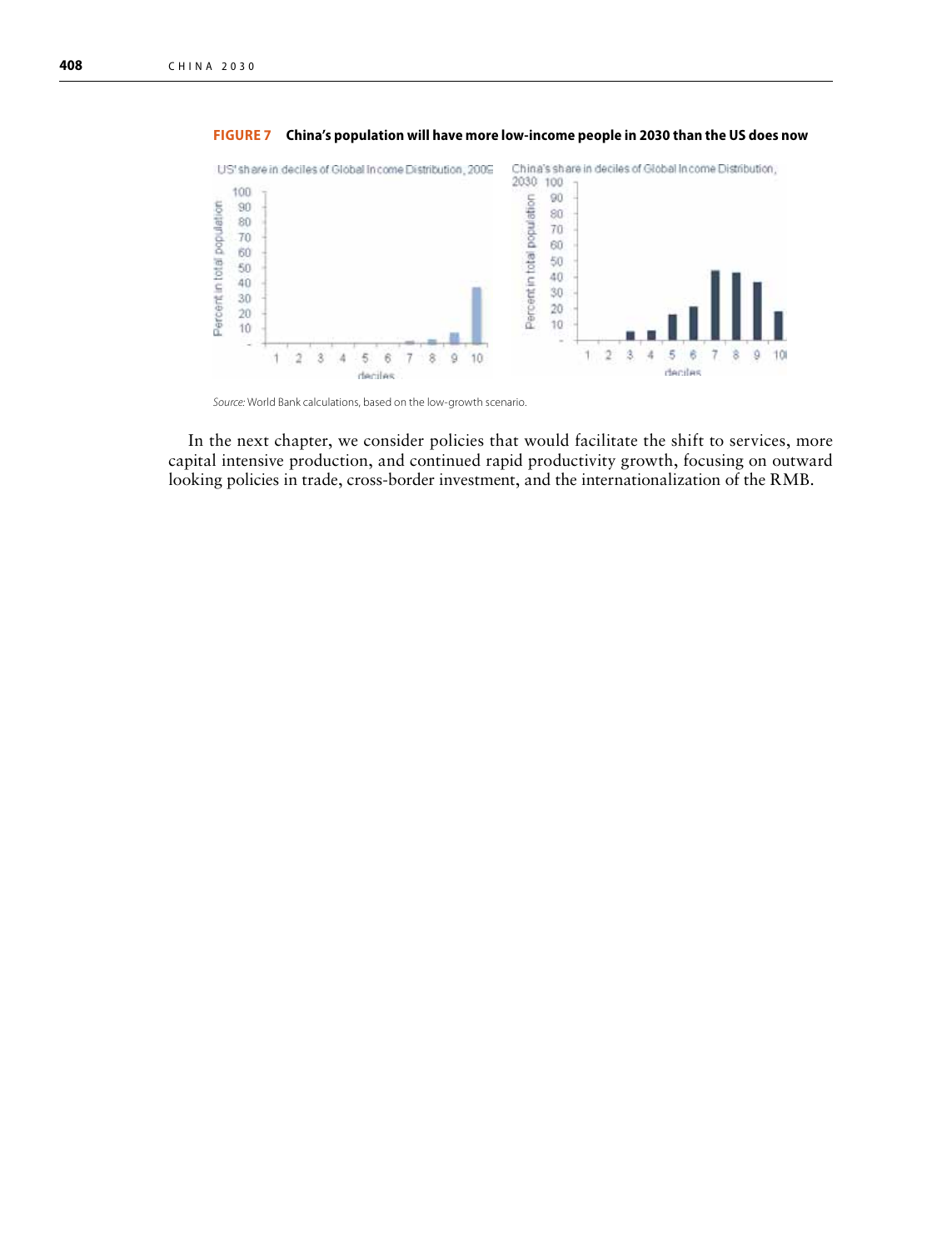

#### **Figu re 7 China's population will have more low-income people in 2030 than the US does now**

Source: World Bank calculations, based on the low-growth scenario.

In the next chapter, we consider policies that would facilitate the shift to services, more capital intensive production, and continued rapid productivity growth, focusing on outward looking policies in trade, cross-border investment, and the internationalization of the RMB.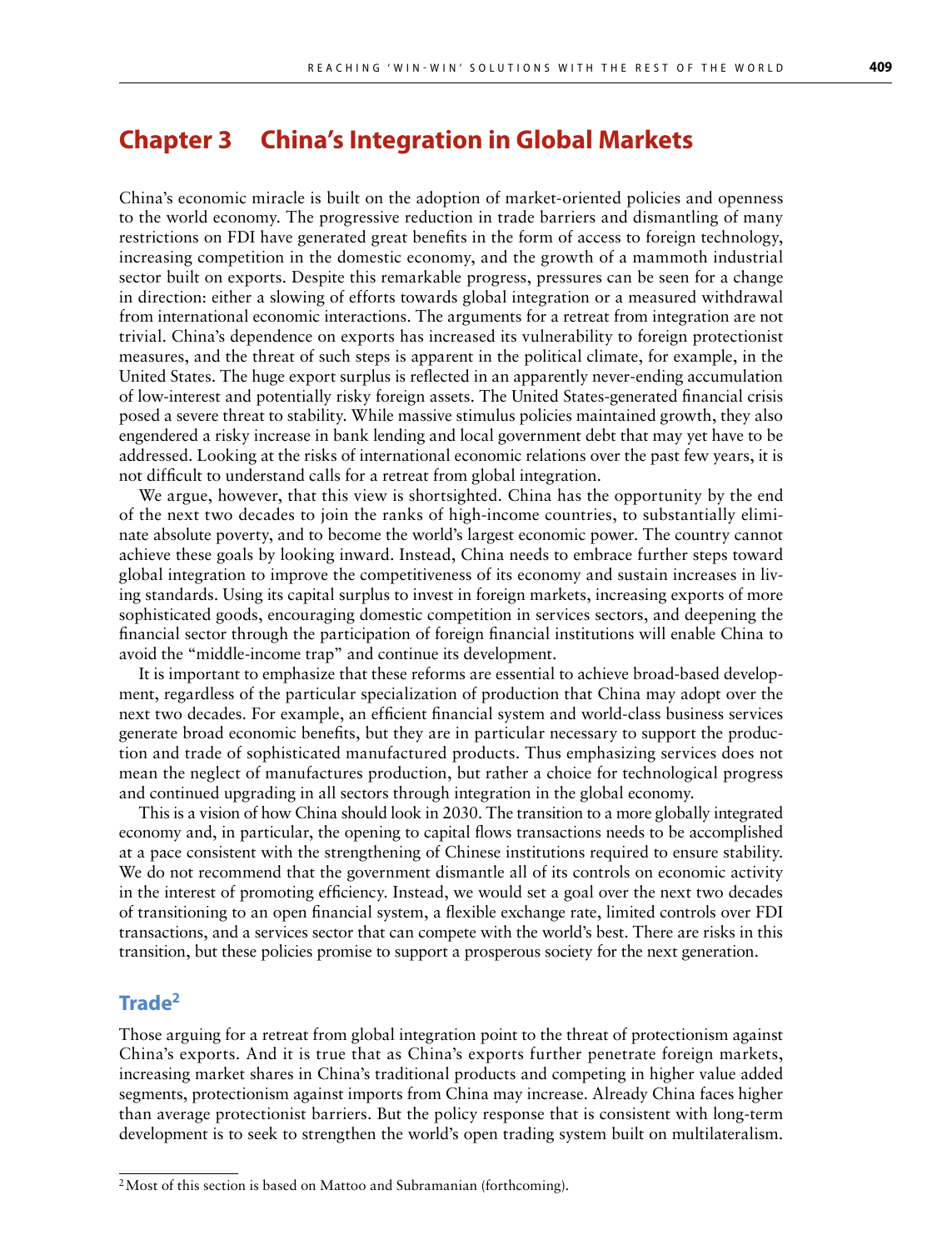## **Chapter 3 China's Integration in Global Markets**

China's economic miracle is built on the adoption of market-oriented policies and openness to the world economy. The progressive reduction in trade barriers and dismantling of many restrictions on FDI have generated great benefits in the form of access to foreign technology, increasing competition in the domestic economy, and the growth of a mammoth industrial sector built on exports. Despite this remarkable progress, pressures can be seen for a change in direction: either a slowing of efforts towards global integration or a measured withdrawal from international economic interactions. The arguments for a retreat from integration are not trivial. China's dependence on exports has increased its vulnerability to foreign protectionist measures, and the threat of such steps is apparent in the political climate, for example, in the United States. The huge export surplus is reflected in an apparently never-ending accumulation of low-interest and potentially risky foreign assets. The United States-generated financial crisis posed a severe threat to stability. While massive stimulus policies maintained growth, they also engendered a risky increase in bank lending and local government debt that may yet have to be addressed. Looking at the risks of international economic relations over the past few years, it is not difficult to understand calls for a retreat from global integration.

We argue, however, that this view is shortsighted. China has the opportunity by the end of the next two decades to join the ranks of high-income countries, to substantially eliminate absolute poverty, and to become the world's largest economic power. The country cannot achieve these goals by looking inward. Instead, China needs to embrace further steps toward global integration to improve the competitiveness of its economy and sustain increases in living standards. Using its capital surplus to invest in foreign markets, increasing exports of more sophisticated goods, encouraging domestic competition in services sectors, and deepening the financial sector through the participation of foreign financial institutions will enable China to avoid the "middle-income trap" and continue its development.

It is important to emphasize that these reforms are essential to achieve broad-based development, regardless of the particular specialization of production that China may adopt over the next two decades. For example, an efficient financial system and world-class business services generate broad economic benefits, but they are in particular necessary to support the production and trade of sophisticated manufactured products. Thus emphasizing services does not mean the neglect of manufactures production, but rather a choice for technological progress and continued upgrading in all sectors through integration in the global economy.

This is a vision of how China should look in 2030. The transition to a more globally integrated economy and, in particular, the opening to capital flows transactions needs to be accomplished at a pace consistent with the strengthening of Chinese institutions required to ensure stability. We do not recommend that the government dismantle all of its controls on economic activity in the interest of promoting efficiency. Instead, we would set a goal over the next two decades of transitioning to an open financial system, a flexible exchange rate, limited controls over FDI transactions, and a services sector that can compete with the world's best. There are risks in this transition, but these policies promise to support a prosperous society for the next generation.

## **Trade2**

Those arguing for a retreat from global integration point to the threat of protectionism against China's exports. And it is true that as China's exports further penetrate foreign markets, increasing market shares in China's traditional products and competing in higher value added segments, protectionism against imports from China may increase. Already China faces higher than average protectionist barriers. But the policy response that is consistent with long-term development is to seek to strengthen the world's open trading system built on multilateralism.

<sup>2</sup>Most of this section is based on Mattoo and Subramanian (forthcoming).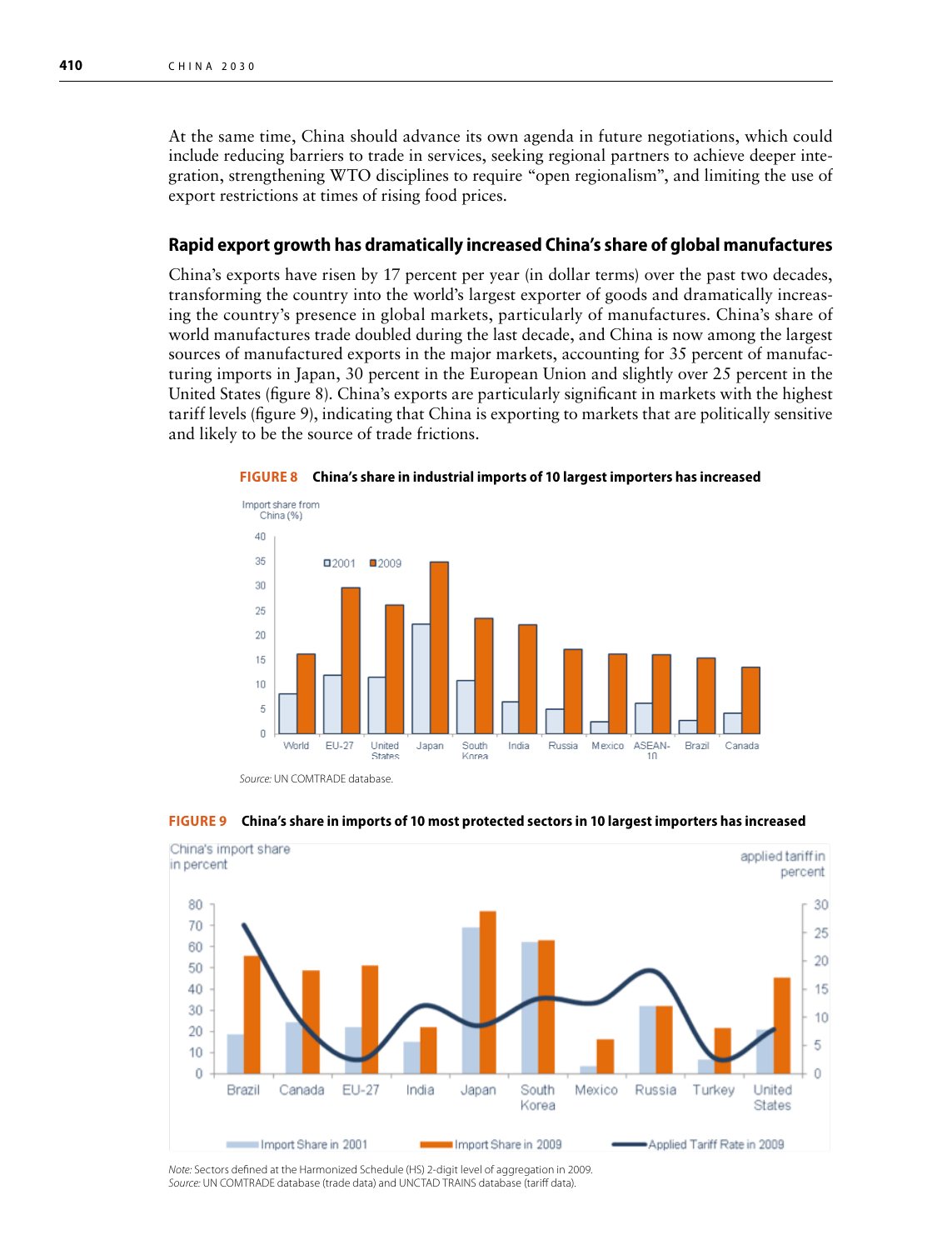At the same time, China should advance its own agenda in future negotiations, which could include reducing barriers to trade in services, seeking regional partners to achieve deeper integration, strengthening WTO disciplines to require "open regionalism", and limiting the use of export restrictions at times of rising food prices.

#### **Rapid export growth has dramatically increased China's share of global manufactures**

China's exports have risen by 17 percent per year (in dollar terms) over the past two decades, transforming the country into the world's largest exporter of goods and dramatically increasing the country's presence in global markets, particularly of manufactures. China's share of world manufactures trade doubled during the last decade, and China is now among the largest sources of manufactured exports in the major markets, accounting for 35 percent of manufacturing imports in Japan, 30 percent in the European Union and slightly over 25 percent in the United States (figure 8). China's exports are particularly significant in markets with the highest tariff levels (figure 9), indicating that China is exporting to markets that are politically sensitive and likely to be the source of trade frictions.





*Source:* UN COMTRADE database.



#### **Fig ure 9 China's share in imports of 10 most protected sectors in 10 largest importers has increased**

*Note:* Sectors defined at the Harmonized Schedule (HS) 2-digit level of aggregation in 2009. *Source:* UN COMTRADE database (trade data) and UNCTAD TRAINS database (tariff data).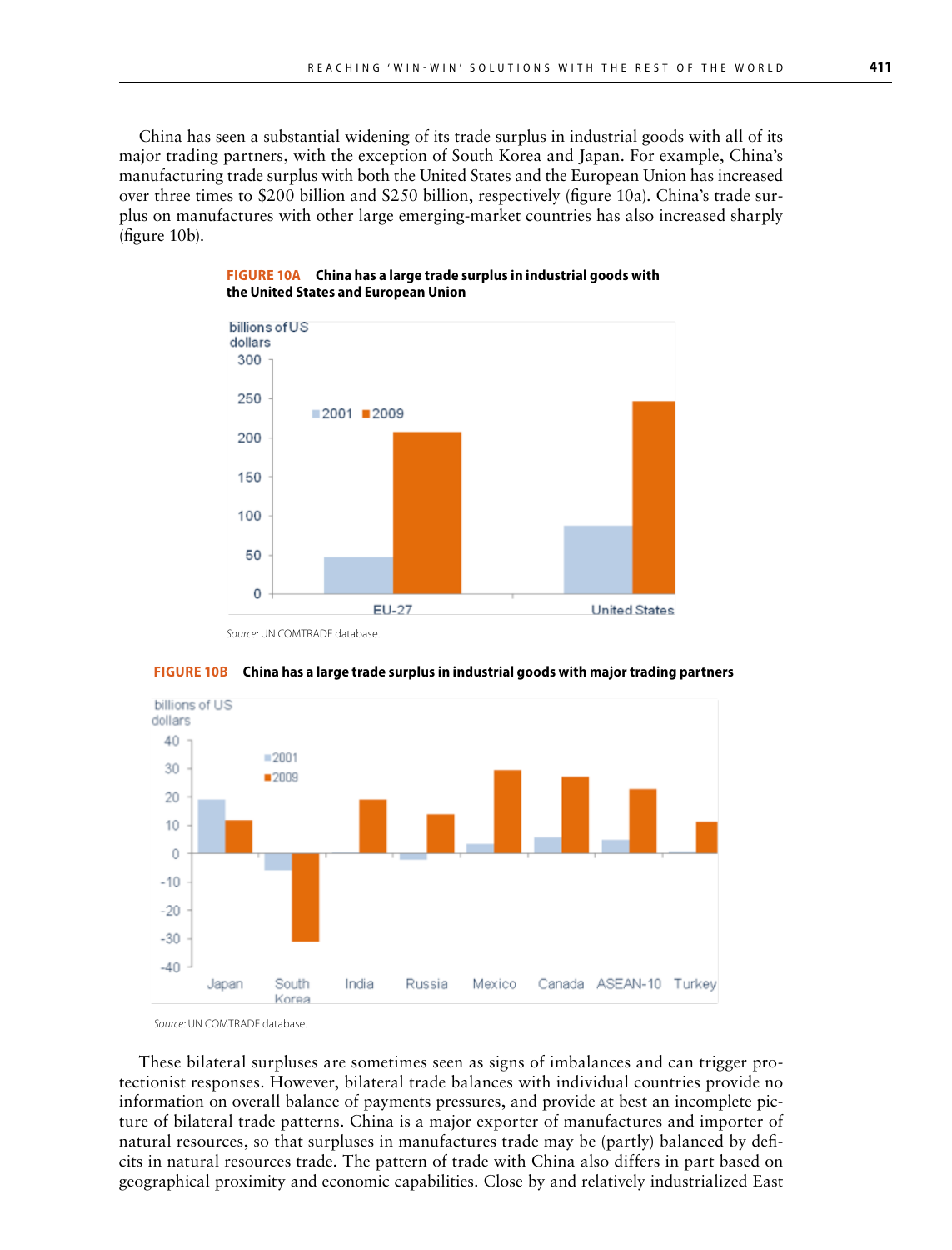China has seen a substantial widening of its trade surplus in industrial goods with all of its major trading partners, with the exception of South Korea and Japan. For example, China's manufacturing trade surplus with both the United States and the European Union has increased over three times to \$200 billion and \$250 billion, respectively (figure 10a). China's trade surplus on manufactures with other large emerging-market countries has also increased sharply (figure 10b).



#### **Fig ure 10a China has a large trade surplus in industrial goods with the United States and European Union**

*Source:* UN COMTRADE database.



#### **FIGURE 10B** China has a large trade surplus in industrial goods with major trading partners

*Source:* UN COMTRADE database.

These bilateral surpluses are sometimes seen as signs of imbalances and can trigger protectionist responses. However, bilateral trade balances with individual countries provide no information on overall balance of payments pressures, and provide at best an incomplete picture of bilateral trade patterns. China is a major exporter of manufactures and importer of natural resources, so that surpluses in manufactures trade may be (partly) balanced by deficits in natural resources trade. The pattern of trade with China also differs in part based on geographical proximity and economic capabilities. Close by and relatively industrialized East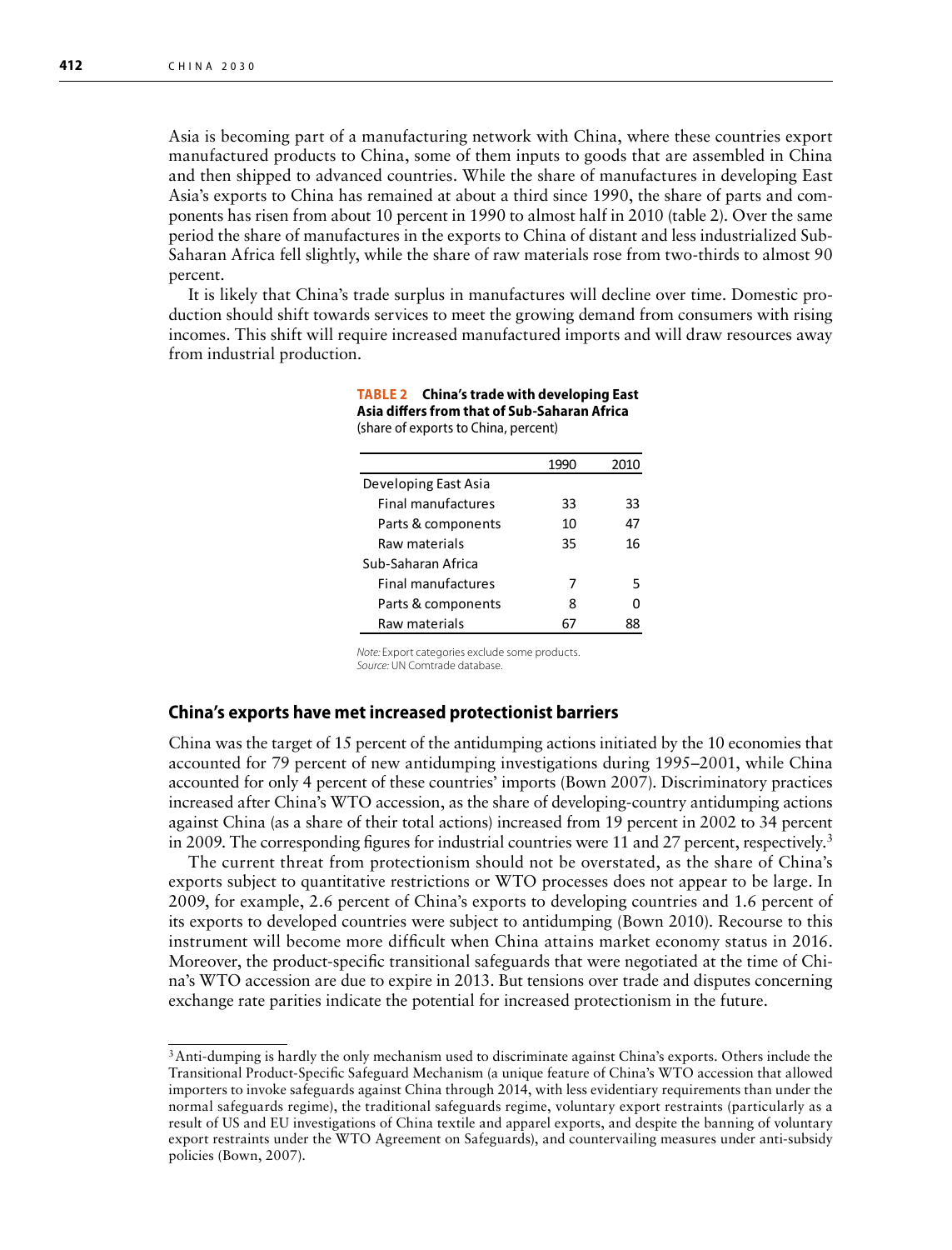Asia is becoming part of a manufacturing network with China, where these countries export manufactured products to China, some of them inputs to goods that are assembled in China and then shipped to advanced countries. While the share of manufactures in developing East Asia's exports to China has remained at about a third since 1990, the share of parts and components has risen from about 10 percent in 1990 to almost half in 2010 (table 2). Over the same period the share of manufactures in the exports to China of distant and less industrialized Sub-Saharan Africa fell slightly, while the share of raw materials rose from two-thirds to almost 90 percent.

It is likely that China's trade surplus in manufactures will decline over time. Domestic production should shift towards services to meet the growing demand from consumers with rising incomes. This shift will require increased manufactured imports and will draw resources away from industrial production.

|                           | 1990 | 2010 |
|---------------------------|------|------|
| Developing East Asia      |      |      |
| <b>Final manufactures</b> | 33   | 33   |
| Parts & components        | 10   | 47   |
| Raw materials             | 35   | 16   |
| Sub-Saharan Africa        |      |      |
| <b>Final manufactures</b> | 7    | 5    |
| Parts & components        | 8    | n    |
| Raw materials             |      |      |

#### **Table 2 China's trade with developing East Asia differs from that of Sub-Saharan Africa**  (share of exports to China, percent)

*Note:* Export categories exclude some products. *Source:* UN Comtrade database.

### **China's exports have met increased protectionist barriers**

China was the target of 15 percent of the antidumping actions initiated by the 10 economies that accounted for 79 percent of new antidumping investigations during 1995–2001, while China accounted for only 4 percent of these countries' imports (Bown 2007). Discriminatory practices increased after China's WTO accession, as the share of developing-country antidumping actions against China (as a share of their total actions) increased from 19 percent in 2002 to 34 percent in 2009. The corresponding figures for industrial countries were 11 and 27 percent, respectively.<sup>3</sup>

The current threat from protectionism should not be overstated, as the share of China's exports subject to quantitative restrictions or WTO processes does not appear to be large. In 2009, for example, 2.6 percent of China's exports to developing countries and 1.6 percent of its exports to developed countries were subject to antidumping (Bown 2010). Recourse to this instrument will become more difficult when China attains market economy status in 2016. Moreover, the product-specific transitional safeguards that were negotiated at the time of China's WTO accession are due to expire in 2013. But tensions over trade and disputes concerning exchange rate parities indicate the potential for increased protectionism in the future.

<sup>3</sup>Anti-dumping is hardly the only mechanism used to discriminate against China's exports. Others include the Transitional Product-Specific Safeguard Mechanism (a unique feature of China's WTO accession that allowed importers to invoke safeguards against China through 2014, with less evidentiary requirements than under the normal safeguards regime), the traditional safeguards regime, voluntary export restraints (particularly as a result of US and EU investigations of China textile and apparel exports, and despite the banning of voluntary export restraints under the WTO Agreement on Safeguards), and countervailing measures under anti-subsidy policies (Bown, 2007).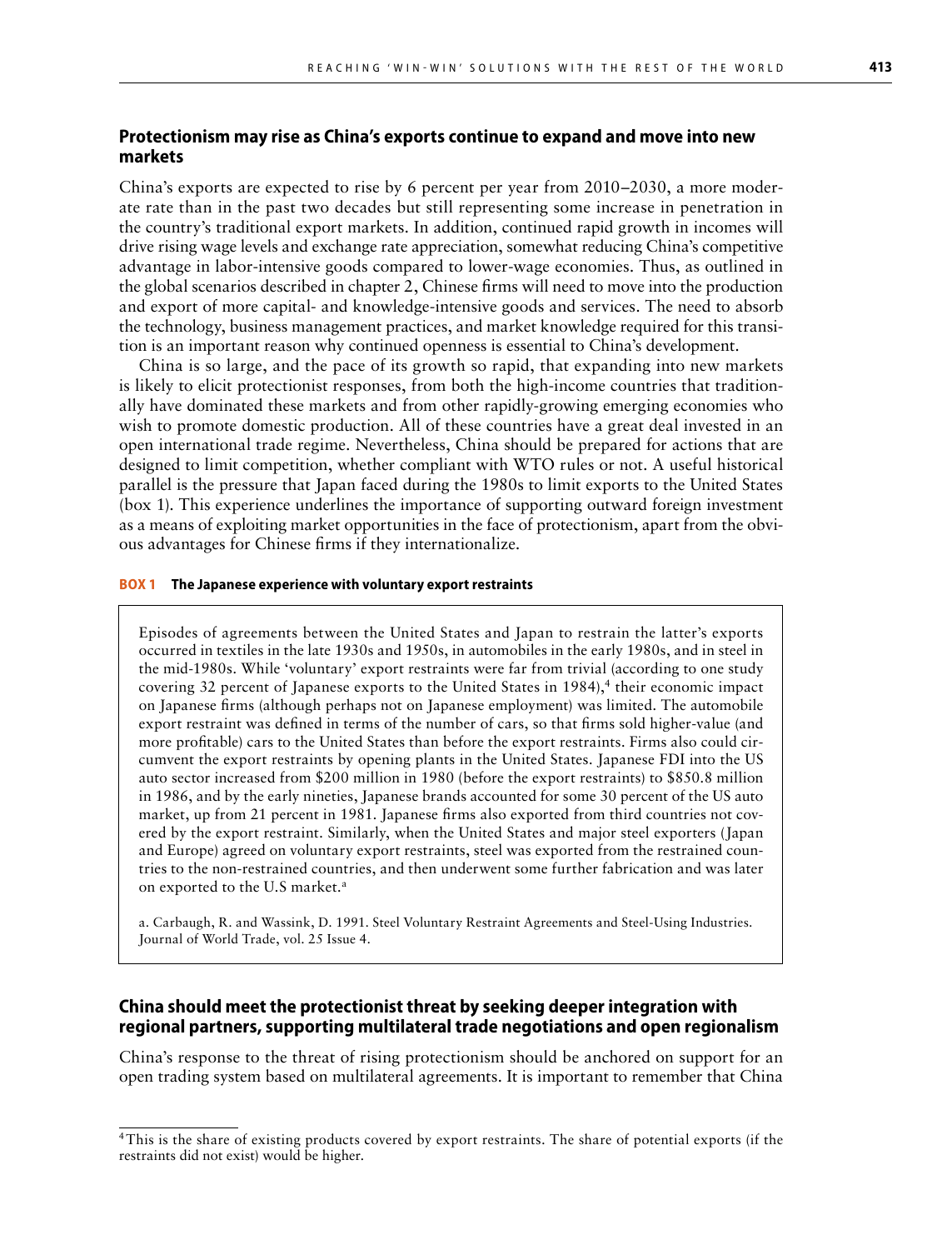## **Protectionism may rise as China's exports continue to expand and move into new markets**

China's exports are expected to rise by 6 percent per year from 2010–2030, a more moderate rate than in the past two decades but still representing some increase in penetration in the country's traditional export markets. In addition, continued rapid growth in incomes will drive rising wage levels and exchange rate appreciation, somewhat reducing China's competitive advantage in labor-intensive goods compared to lower-wage economies. Thus, as outlined in the global scenarios described in chapter 2, Chinese firms will need to move into the production and export of more capital- and knowledge-intensive goods and services. The need to absorb the technology, business management practices, and market knowledge required for this transition is an important reason why continued openness is essential to China's development.

China is so large, and the pace of its growth so rapid, that expanding into new markets is likely to elicit protectionist responses, from both the high-income countries that traditionally have dominated these markets and from other rapidly-growing emerging economies who wish to promote domestic production. All of these countries have a great deal invested in an open international trade regime. Nevertheless, China should be prepared for actions that are designed to limit competition, whether compliant with WTO rules or not. A useful historical parallel is the pressure that Japan faced during the 1980s to limit exports to the United States (box 1). This experience underlines the importance of supporting outward foreign investment as a means of exploiting market opportunities in the face of protectionism, apart from the obvious advantages for Chinese firms if they internationalize.

#### **Box 1 The Japanese experience with voluntary export restraints**

Episodes of agreements between the United States and Japan to restrain the latter's exports occurred in textiles in the late 1930s and 1950s, in automobiles in the early 1980s, and in steel in the mid-1980s. While 'voluntary' export restraints were far from trivial (according to one study covering 32 percent of Japanese exports to the United States in  $1984$ ,<sup>4</sup> their economic impact on Japanese firms (although perhaps not on Japanese employment) was limited. The automobile export restraint was defined in terms of the number of cars, so that firms sold higher-value (and more profitable) cars to the United States than before the export restraints. Firms also could circumvent the export restraints by opening plants in the United States. Japanese FDI into the US auto sector increased from \$200 million in 1980 (before the export restraints) to \$850.8 million in 1986, and by the early nineties, Japanese brands accounted for some 30 percent of the US auto market, up from 21 percent in 1981. Japanese firms also exported from third countries not covered by the export restraint. Similarly, when the United States and major steel exporters (Japan and Europe) agreed on voluntary export restraints, steel was exported from the restrained countries to the non-restrained countries, and then underwent some further fabrication and was later on exported to the U.S market.<sup>a</sup>

a. Carbaugh, R. and Wassink, D. 1991. Steel Voluntary Restraint Agreements and Steel-Using Industries. Journal of World Trade, vol. 25 Issue 4.

## **China should meet the protectionist threat by seeking deeper integration with regional partners, supporting multilateral trade negotiations and open regionalism**

China's response to the threat of rising protectionism should be anchored on support for an open trading system based on multilateral agreements. It is important to remember that China

<sup>4</sup>This is the share of existing products covered by export restraints. The share of potential exports (if the restraints did not exist) would be higher.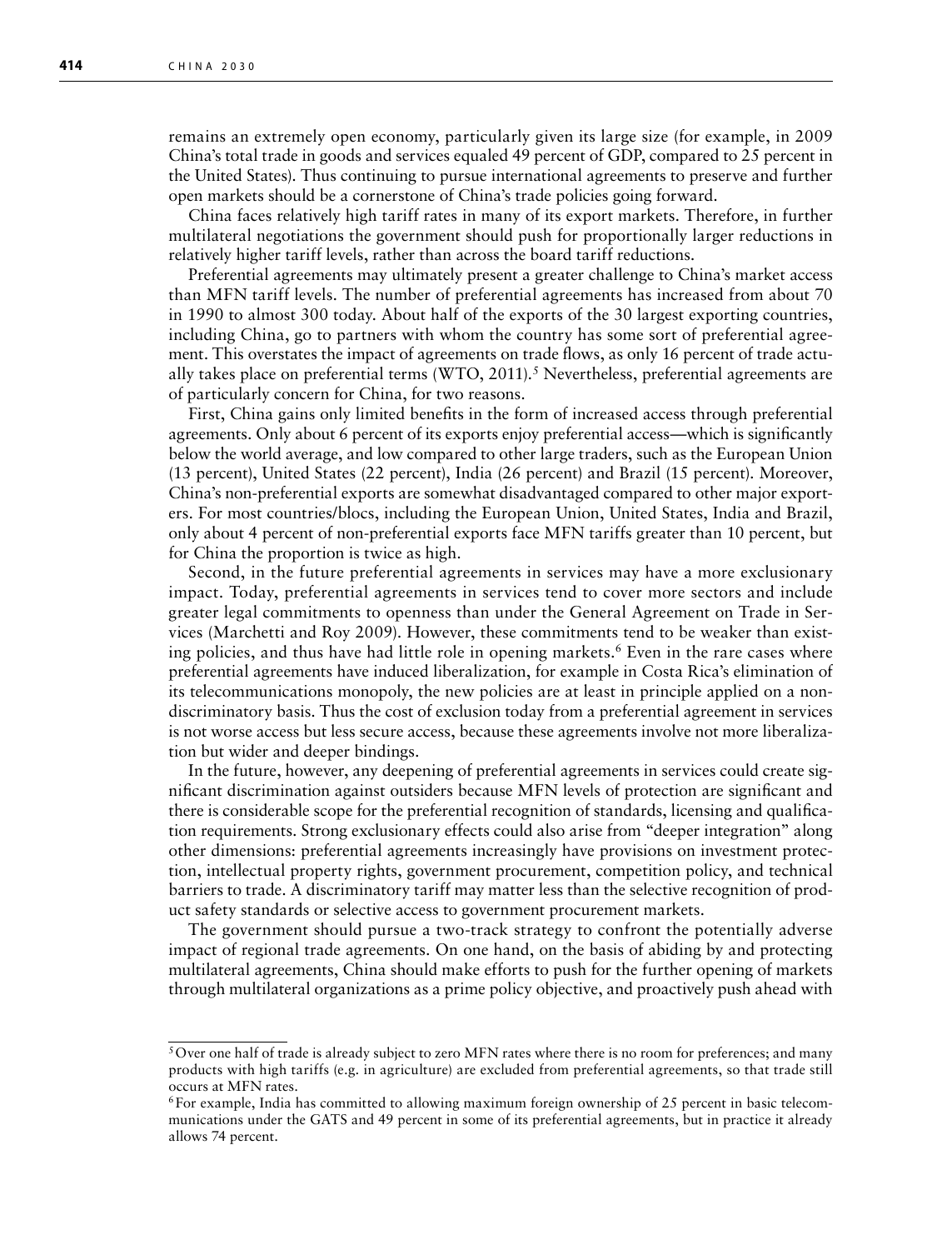remains an extremely open economy, particularly given its large size (for example, in 2009 China's total trade in goods and services equaled 49 percent of GDP, compared to 25 percent in the United States). Thus continuing to pursue international agreements to preserve and further open markets should be a cornerstone of China's trade policies going forward.

China faces relatively high tariff rates in many of its export markets. Therefore, in further multilateral negotiations the government should push for proportionally larger reductions in relatively higher tariff levels, rather than across the board tariff reductions.

Preferential agreements may ultimately present a greater challenge to China's market access than MFN tariff levels. The number of preferential agreements has increased from about 70 in 1990 to almost 300 today. About half of the exports of the 30 largest exporting countries, including China, go to partners with whom the country has some sort of preferential agreement. This overstates the impact of agreements on trade flows, as only 16 percent of trade actually takes place on preferential terms  $(WTO, 2011)$ .<sup>5</sup> Nevertheless, preferential agreements are of particularly concern for China, for two reasons.

First, China gains only limited benefits in the form of increased access through preferential agreements. Only about 6 percent of its exports enjoy preferential access—which is significantly below the world average, and low compared to other large traders, such as the European Union (13 percent), United States (22 percent), India (26 percent) and Brazil (15 percent). Moreover, China's non-preferential exports are somewhat disadvantaged compared to other major exporters. For most countries/blocs, including the European Union, United States, India and Brazil, only about 4 percent of non-preferential exports face MFN tariffs greater than 10 percent, but for China the proportion is twice as high.

Second, in the future preferential agreements in services may have a more exclusionary impact. Today, preferential agreements in services tend to cover more sectors and include greater legal commitments to openness than under the General Agreement on Trade in Services (Marchetti and Roy 2009). However, these commitments tend to be weaker than existing policies, and thus have had little role in opening markets.<sup>6</sup> Even in the rare cases where preferential agreements have induced liberalization, for example in Costa Rica's elimination of its telecommunications monopoly, the new policies are at least in principle applied on a nondiscriminatory basis. Thus the cost of exclusion today from a preferential agreement in services is not worse access but less secure access, because these agreements involve not more liberalization but wider and deeper bindings.

In the future, however, any deepening of preferential agreements in services could create significant discrimination against outsiders because MFN levels of protection are significant and there is considerable scope for the preferential recognition of standards, licensing and qualification requirements. Strong exclusionary effects could also arise from "deeper integration" along other dimensions: preferential agreements increasingly have provisions on investment protection, intellectual property rights, government procurement, competition policy, and technical barriers to trade. A discriminatory tariff may matter less than the selective recognition of product safety standards or selective access to government procurement markets.

The government should pursue a two-track strategy to confront the potentially adverse impact of regional trade agreements. On one hand, on the basis of abiding by and protecting multilateral agreements, China should make efforts to push for the further opening of markets through multilateral organizations as a prime policy objective, and proactively push ahead with

<sup>&</sup>lt;sup>5</sup>Over one half of trade is already subject to zero MFN rates where there is no room for preferences; and many products with high tariffs (e.g. in agriculture) are excluded from preferential agreements, so that trade still occurs at MFN rates.

 $6$ For example, India has committed to allowing maximum foreign ownership of 25 percent in basic telecommunications under the GATS and 49 percent in some of its preferential agreements, but in practice it already allows 74 percent.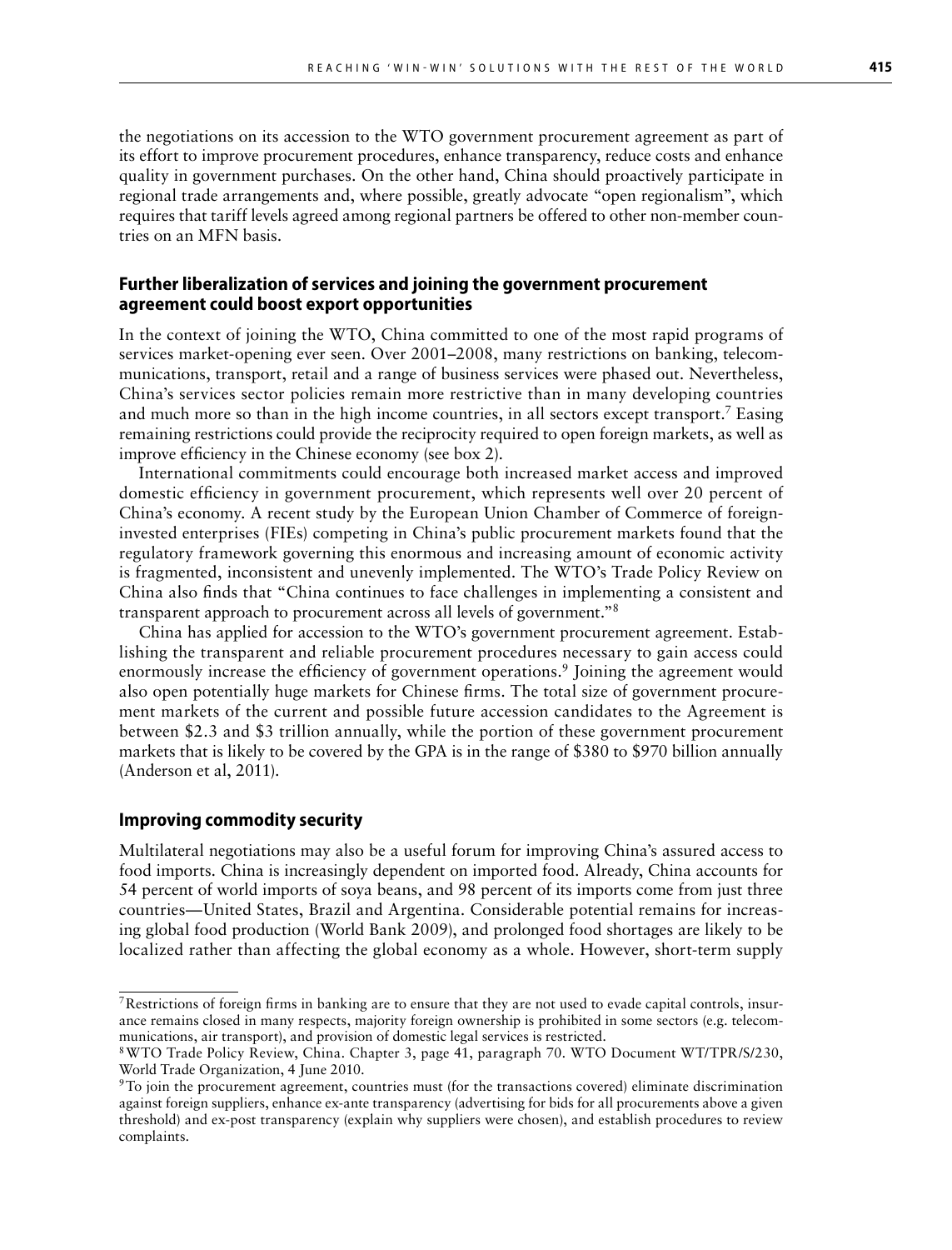the negotiations on its accession to the WTO government procurement agreement as part of its effort to improve procurement procedures, enhance transparency, reduce costs and enhance quality in government purchases. On the other hand, China should proactively participate in regional trade arrangements and, where possible, greatly advocate "open regionalism", which requires that tariff levels agreed among regional partners be offered to other non-member countries on an MFN basis.

## **Further liberalization of services and joining the government procurement agreement could boost export opportunities**

In the context of joining the WTO, China committed to one of the most rapid programs of services market-opening ever seen. Over 2001–2008, many restrictions on banking, telecommunications, transport, retail and a range of business services were phased out. Nevertheless, China's services sector policies remain more restrictive than in many developing countries and much more so than in the high income countries, in all sectors except transport.7 Easing remaining restrictions could provide the reciprocity required to open foreign markets, as well as improve efficiency in the Chinese economy (see box 2).

International commitments could encourage both increased market access and improved domestic efficiency in government procurement, which represents well over 20 percent of China's economy. A recent study by the European Union Chamber of Commerce of foreigninvested enterprises (FIEs) competing in China's public procurement markets found that the regulatory framework governing this enormous and increasing amount of economic activity is fragmented, inconsistent and unevenly implemented. The WTO's Trade Policy Review on China also finds that "China continues to face challenges in implementing a consistent and transparent approach to procurement across all levels of government."8

China has applied for accession to the WTO's government procurement agreement. Establishing the transparent and reliable procurement procedures necessary to gain access could enormously increase the efficiency of government operations.<sup>9</sup> Joining the agreement would also open potentially huge markets for Chinese firms. The total size of government procurement markets of the current and possible future accession candidates to the Agreement is between \$2.3 and \$3 trillion annually, while the portion of these government procurement markets that is likely to be covered by the GPA is in the range of \$380 to \$970 billion annually (Anderson et al, 2011).

#### **Improving commodity security**

Multilateral negotiations may also be a useful forum for improving China's assured access to food imports. China is increasingly dependent on imported food. Already, China accounts for 54 percent of world imports of soya beans, and 98 percent of its imports come from just three countries—United States, Brazil and Argentina. Considerable potential remains for increasing global food production (World Bank 2009), and prolonged food shortages are likely to be localized rather than affecting the global economy as a whole. However, short-term supply

<sup>&</sup>lt;sup>7</sup>Restrictions of foreign firms in banking are to ensure that they are not used to evade capital controls, insurance remains closed in many respects, majority foreign ownership is prohibited in some sectors (e.g. telecommunications, air transport), and provision of domestic legal services is restricted.

<sup>8</sup>WTO Trade Policy Review, China. Chapter 3, page 41, paragraph 70. WTO Document WT/TPR/S/230, World Trade Organization, 4 June 2010.

<sup>9</sup>To join the procurement agreement, countries must (for the transactions covered) eliminate discrimination against foreign suppliers, enhance ex-ante transparency (advertising for bids for all procurements above a given threshold) and ex-post transparency (explain why suppliers were chosen), and establish procedures to review complaints.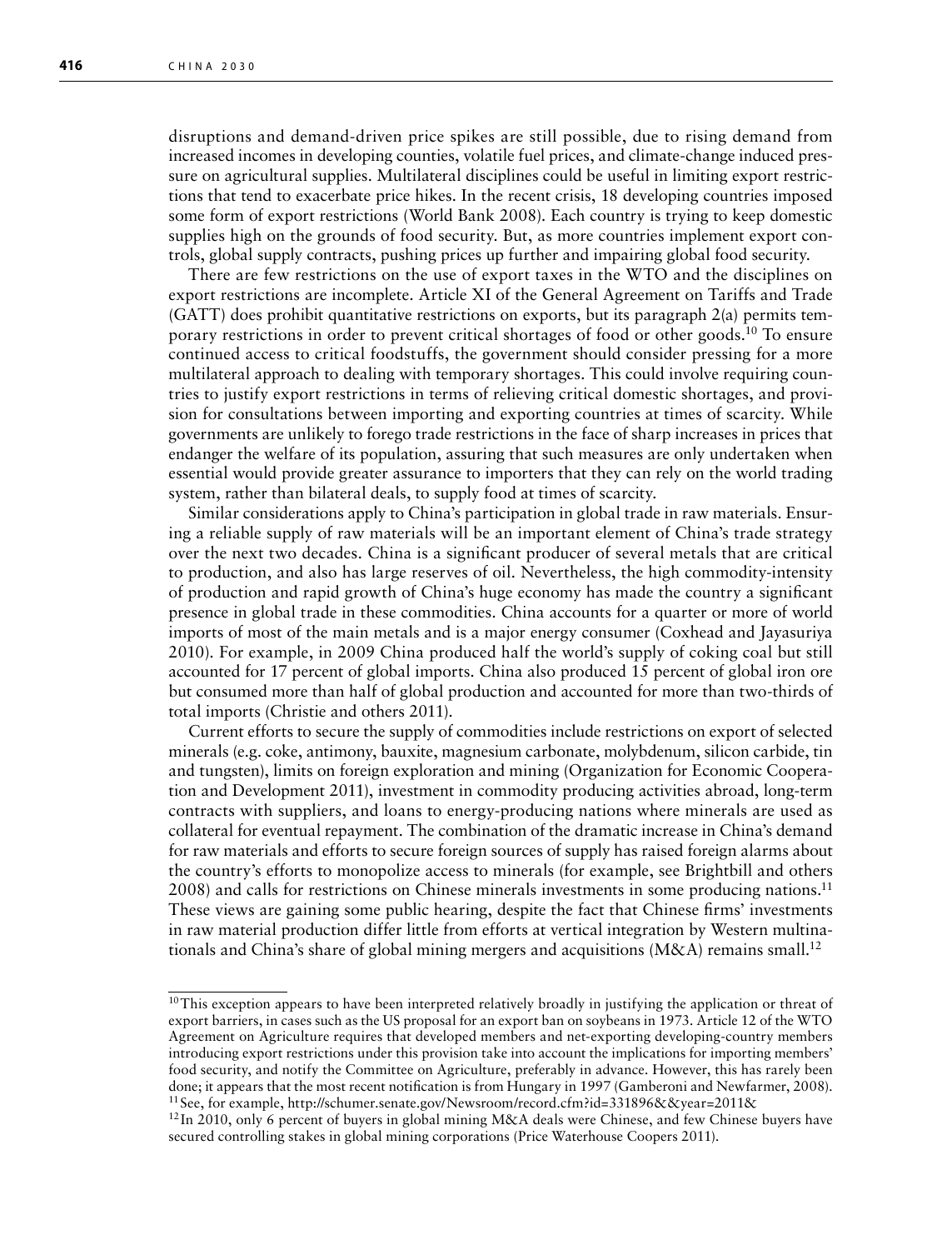disruptions and demand-driven price spikes are still possible, due to rising demand from increased incomes in developing counties, volatile fuel prices, and climate-change induced pressure on agricultural supplies. Multilateral disciplines could be useful in limiting export restrictions that tend to exacerbate price hikes. In the recent crisis, 18 developing countries imposed some form of export restrictions (World Bank 2008). Each country is trying to keep domestic supplies high on the grounds of food security. But, as more countries implement export controls, global supply contracts, pushing prices up further and impairing global food security.

There are few restrictions on the use of export taxes in the WTO and the disciplines on export restrictions are incomplete. Article XI of the General Agreement on Tariffs and Trade (GATT) does prohibit quantitative restrictions on exports, but its paragraph 2(a) permits temporary restrictions in order to prevent critical shortages of food or other goods.10 To ensure continued access to critical foodstuffs, the government should consider pressing for a more multilateral approach to dealing with temporary shortages. This could involve requiring countries to justify export restrictions in terms of relieving critical domestic shortages, and provision for consultations between importing and exporting countries at times of scarcity. While governments are unlikely to forego trade restrictions in the face of sharp increases in prices that endanger the welfare of its population, assuring that such measures are only undertaken when essential would provide greater assurance to importers that they can rely on the world trading system, rather than bilateral deals, to supply food at times of scarcity.

Similar considerations apply to China's participation in global trade in raw materials. Ensuring a reliable supply of raw materials will be an important element of China's trade strategy over the next two decades. China is a significant producer of several metals that are critical to production, and also has large reserves of oil. Nevertheless, the high commodity-intensity of production and rapid growth of China's huge economy has made the country a significant presence in global trade in these commodities. China accounts for a quarter or more of world imports of most of the main metals and is a major energy consumer (Coxhead and Jayasuriya 2010). For example, in 2009 China produced half the world's supply of coking coal but still accounted for 17 percent of global imports. China also produced 15 percent of global iron ore but consumed more than half of global production and accounted for more than two-thirds of total imports (Christie and others 2011).

Current efforts to secure the supply of commodities include restrictions on export of selected minerals (e.g. coke, antimony, bauxite, magnesium carbonate, molybdenum, silicon carbide, tin and tungsten), limits on foreign exploration and mining (Organization for Economic Cooperation and Development 2011), investment in commodity producing activities abroad, long-term contracts with suppliers, and loans to energy-producing nations where minerals are used as collateral for eventual repayment. The combination of the dramatic increase in China's demand for raw materials and efforts to secure foreign sources of supply has raised foreign alarms about the country's efforts to monopolize access to minerals (for example, see Brightbill and others 2008) and calls for restrictions on Chinese minerals investments in some producing nations.11 These views are gaining some public hearing, despite the fact that Chinese firms' investments in raw material production differ little from efforts at vertical integration by Western multinationals and China's share of global mining mergers and acquisitions (M&A) remains small.<sup>12</sup>

 $10$ This exception appears to have been interpreted relatively broadly in justifying the application or threat of export barriers, in cases such as the US proposal for an export ban on soybeans in 1973. Article 12 of the WTO Agreement on Agriculture requires that developed members and net-exporting developing-country members introducing export restrictions under this provision take into account the implications for importing members' food security, and notify the Committee on Agriculture, preferably in advance. However, this has rarely been done; it appears that the most recent notification is from Hungary in 1997 (Gamberoni and Newfarmer, 2008). <sup>11</sup> See, for example, http://schumer.senate.gov/Newsroom/record.cfm?id=331896&&year=2011&

<sup>12</sup> In 2010, only 6 percent of buyers in global mining M&A deals were Chinese, and few Chinese buyers have secured controlling stakes in global mining corporations (Price Waterhouse Coopers 2011).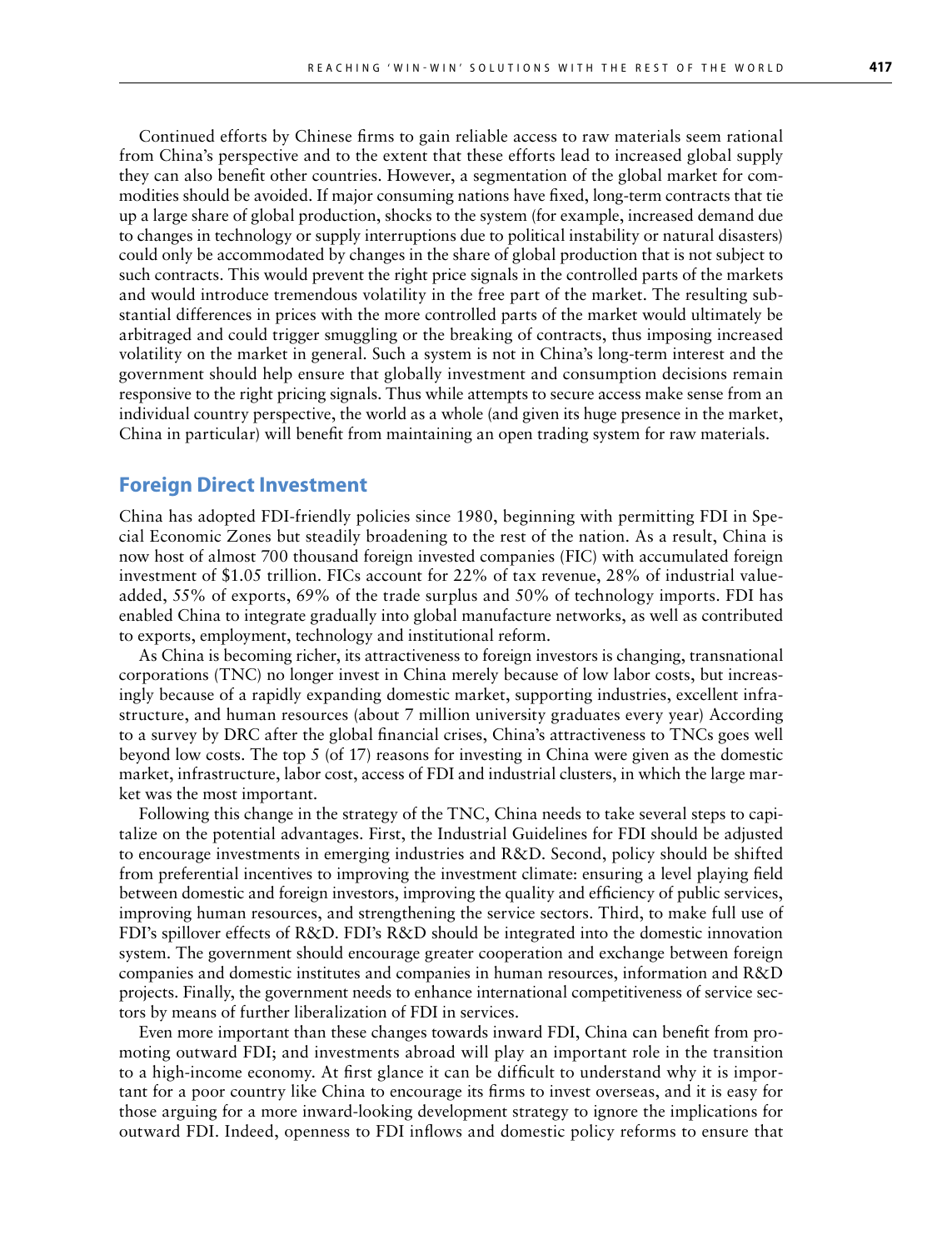Continued efforts by Chinese firms to gain reliable access to raw materials seem rational from China's perspective and to the extent that these efforts lead to increased global supply they can also benefit other countries. However, a segmentation of the global market for commodities should be avoided. If major consuming nations have fixed, long-term contracts that tie up a large share of global production, shocks to the system (for example, increased demand due to changes in technology or supply interruptions due to political instability or natural disasters) could only be accommodated by changes in the share of global production that is not subject to such contracts. This would prevent the right price signals in the controlled parts of the markets and would introduce tremendous volatility in the free part of the market. The resulting substantial differences in prices with the more controlled parts of the market would ultimately be arbitraged and could trigger smuggling or the breaking of contracts, thus imposing increased volatility on the market in general. Such a system is not in China's long-term interest and the government should help ensure that globally investment and consumption decisions remain responsive to the right pricing signals. Thus while attempts to secure access make sense from an individual country perspective, the world as a whole (and given its huge presence in the market, China in particular) will benefit from maintaining an open trading system for raw materials.

## **Foreign Direct Investment**

China has adopted FDI-friendly policies since 1980, beginning with permitting FDI in Special Economic Zones but steadily broadening to the rest of the nation. As a result, China is now host of almost 700 thousand foreign invested companies (FIC) with accumulated foreign investment of \$1.05 trillion. FICs account for 22% of tax revenue, 28% of industrial valueadded, 55% of exports, 69% of the trade surplus and 50% of technology imports. FDI has enabled China to integrate gradually into global manufacture networks, as well as contributed to exports, employment, technology and institutional reform.

As China is becoming richer, its attractiveness to foreign investors is changing, transnational corporations (TNC) no longer invest in China merely because of low labor costs, but increasingly because of a rapidly expanding domestic market, supporting industries, excellent infrastructure, and human resources (about 7 million university graduates every year) According to a survey by DRC after the global financial crises, China's attractiveness to TNCs goes well beyond low costs. The top 5 (of 17) reasons for investing in China were given as the domestic market, infrastructure, labor cost, access of FDI and industrial clusters, in which the large market was the most important.

Following this change in the strategy of the TNC, China needs to take several steps to capitalize on the potential advantages. First, the Industrial Guidelines for FDI should be adjusted to encourage investments in emerging industries and R&D. Second, policy should be shifted from preferential incentives to improving the investment climate: ensuring a level playing field between domestic and foreign investors, improving the quality and efficiency of public services, improving human resources, and strengthening the service sectors. Third, to make full use of FDI's spillover effects of R&D. FDI's R&D should be integrated into the domestic innovation system. The government should encourage greater cooperation and exchange between foreign companies and domestic institutes and companies in human resources, information and R&D projects. Finally, the government needs to enhance international competitiveness of service sectors by means of further liberalization of FDI in services.

Even more important than these changes towards inward FDI, China can benefit from promoting outward FDI; and investments abroad will play an important role in the transition to a high-income economy. At first glance it can be difficult to understand why it is important for a poor country like China to encourage its firms to invest overseas, and it is easy for those arguing for a more inward-looking development strategy to ignore the implications for outward FDI. Indeed, openness to FDI inflows and domestic policy reforms to ensure that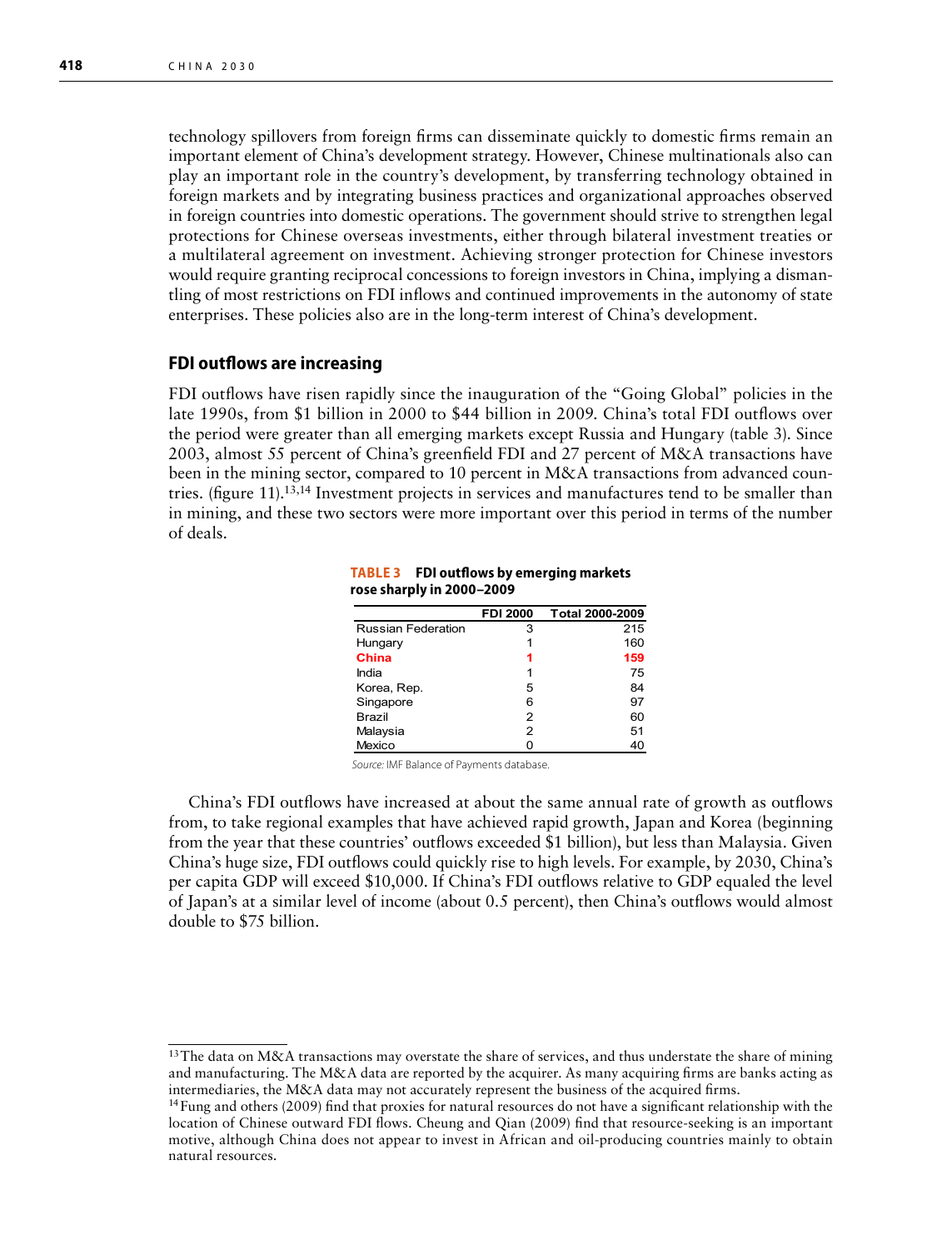technology spillovers from foreign firms can disseminate quickly to domestic firms remain an important element of China's development strategy. However, Chinese multinationals also can play an important role in the country's development, by transferring technology obtained in foreign markets and by integrating business practices and organizational approaches observed in foreign countries into domestic operations. The government should strive to strengthen legal protections for Chinese overseas investments, either through bilateral investment treaties or a multilateral agreement on investment. Achieving stronger protection for Chinese investors would require granting reciprocal concessions to foreign investors in China, implying a dismantling of most restrictions on FDI inflows and continued improvements in the autonomy of state enterprises. These policies also are in the long-term interest of China's development.

#### **FDI outflows are increasing**

FDI outflows have risen rapidly since the inauguration of the "Going Global" policies in the late 1990s, from \$1 billion in 2000 to \$44 billion in 2009. China's total FDI outflows over the period were greater than all emerging markets except Russia and Hungary (table 3). Since 2003, almost 55 percent of China's greenfield FDI and 27 percent of M&A transactions have been in the mining sector, compared to 10 percent in M&A transactions from advanced countries. (figure 11).13,14 Investment projects in services and manufactures tend to be smaller than in mining, and these two sectors were more important over this period in terms of the number of deals.

| <b>TABLE 3</b> FDI outflows by emerging markets |
|-------------------------------------------------|
| rose sharply in 2000-2009                       |

|                    | <b>FDI 2000</b> | Total 2000-2009 |
|--------------------|-----------------|-----------------|
| Russian Federation | 3               | 215             |
| Hungary            | 1               | 160             |
| China              | 1               | 159             |
| India              | 1               | 75              |
| Korea, Rep.        | 5               | 84              |
| Singapore          | 6               | 97              |
| Brazil             | 2               | 60              |
| Malaysia           | 2               | 51              |
| Mexico             | n               | 40              |

*Source:* IMF Balance of Payments database.

China's FDI outflows have increased at about the same annual rate of growth as outflows from, to take regional examples that have achieved rapid growth, Japan and Korea (beginning from the year that these countries' outflows exceeded \$1 billion), but less than Malaysia. Given China's huge size, FDI outflows could quickly rise to high levels. For example, by 2030, China's per capita GDP will exceed \$10,000. If China's FDI outflows relative to GDP equaled the level of Japan's at a similar level of income (about 0.5 percent), then China's outflows would almost double to \$75 billion.

<sup>13</sup>The data on M&A transactions may overstate the share of services, and thus understate the share of mining and manufacturing. The M&A data are reported by the acquirer. As many acquiring firms are banks acting as intermediaries, the M&A data may not accurately represent the business of the acquired firms.

<sup>14</sup>Fung and others (2009) find that proxies for natural resources do not have a significant relationship with the location of Chinese outward FDI flows. Cheung and Qian (2009) find that resource-seeking is an important motive, although China does not appear to invest in African and oil-producing countries mainly to obtain natural resources.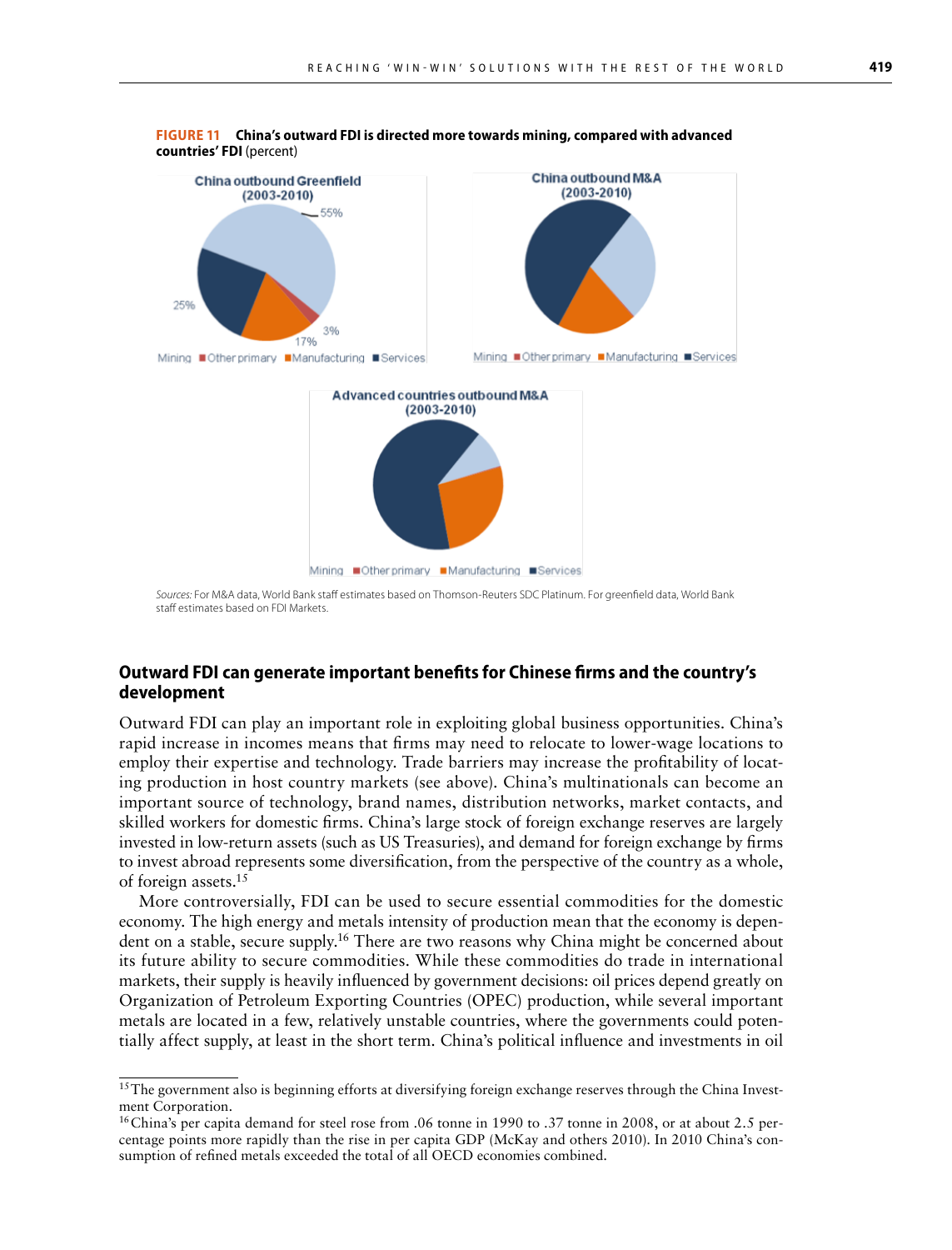

#### **Fig ure 11 China's outward FDI is directed more towards mining, compared with advanced countries' FDI** (percent)

*Sources:* For M&A data, World Bank staff estimates based on Thomson-Reuters SDC Platinum. For greenfield data, World Bank staff estimates based on FDI Markets.

## **Outward FDI can generate important benefits for Chinese firms and the country's development**

Outward FDI can play an important role in exploiting global business opportunities. China's rapid increase in incomes means that firms may need to relocate to lower-wage locations to employ their expertise and technology. Trade barriers may increase the profitability of locating production in host country markets (see above). China's multinationals can become an important source of technology, brand names, distribution networks, market contacts, and skilled workers for domestic firms. China's large stock of foreign exchange reserves are largely invested in low-return assets (such as US Treasuries), and demand for foreign exchange by firms to invest abroad represents some diversification, from the perspective of the country as a whole, of foreign assets.15

More controversially, FDI can be used to secure essential commodities for the domestic economy. The high energy and metals intensity of production mean that the economy is dependent on a stable, secure supply.16 There are two reasons why China might be concerned about its future ability to secure commodities. While these commodities do trade in international markets, their supply is heavily influenced by government decisions: oil prices depend greatly on Organization of Petroleum Exporting Countries (OPEC) production, while several important metals are located in a few, relatively unstable countries, where the governments could potentially affect supply, at least in the short term. China's political influence and investments in oil

<sup>15</sup>The government also is beginning efforts at diversifying foreign exchange reserves through the China Investment Corporation.

<sup>&</sup>lt;sup>16</sup>China's per capita demand for steel rose from .06 tonne in 1990 to .37 tonne in 2008, or at about 2.5 percentage points more rapidly than the rise in per capita GDP (McKay and others 2010). In 2010 China's consumption of refined metals exceeded the total of all OECD economies combined.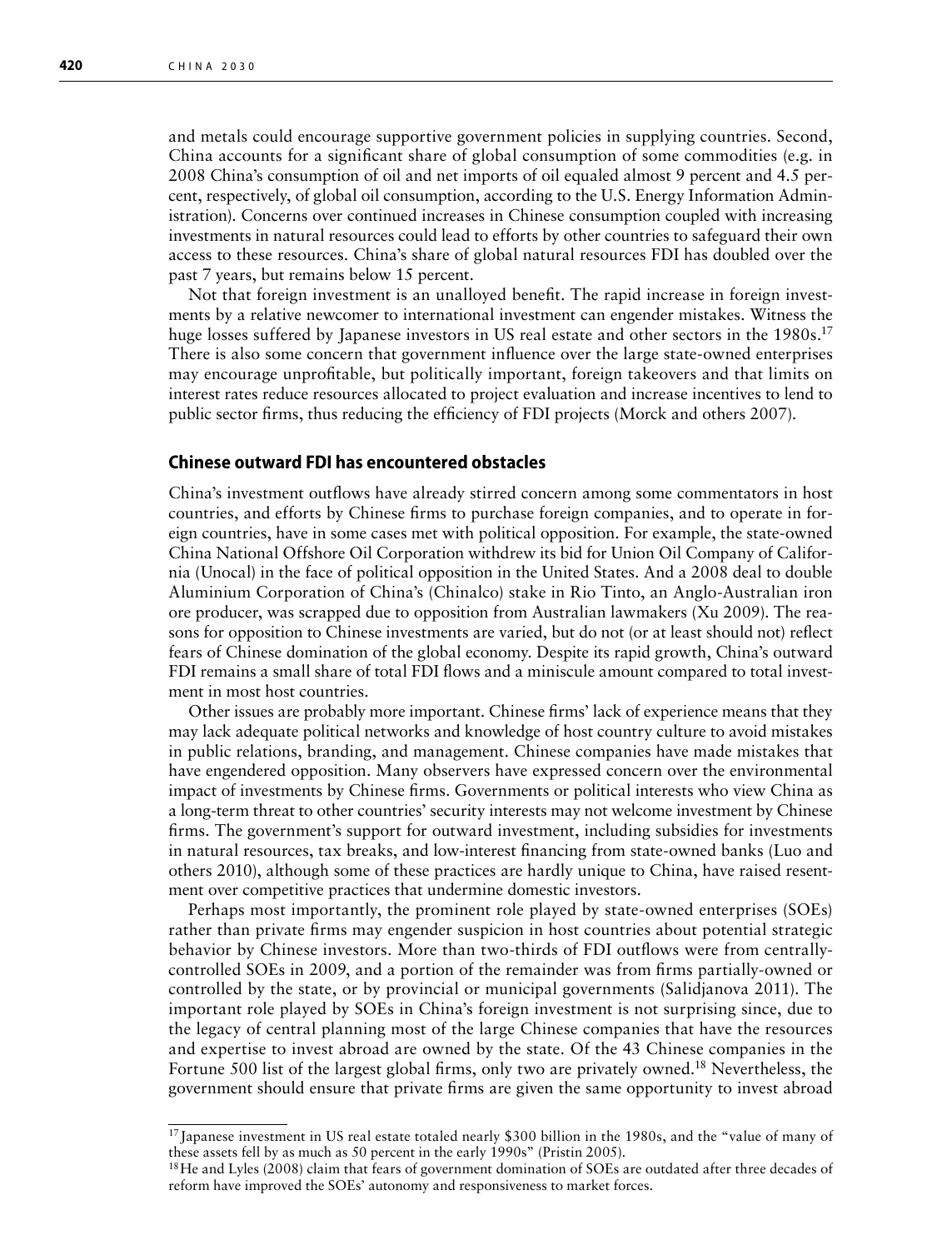and metals could encourage supportive government policies in supplying countries. Second, China accounts for a significant share of global consumption of some commodities (e.g. in 2008 China's consumption of oil and net imports of oil equaled almost 9 percent and 4.5 percent, respectively, of global oil consumption, according to the U.S. Energy Information Administration). Concerns over continued increases in Chinese consumption coupled with increasing investments in natural resources could lead to efforts by other countries to safeguard their own access to these resources. China's share of global natural resources FDI has doubled over the past 7 years, but remains below 15 percent.

Not that foreign investment is an unalloyed benefit. The rapid increase in foreign investments by a relative newcomer to international investment can engender mistakes. Witness the huge losses suffered by Japanese investors in US real estate and other sectors in the 1980s.<sup>17</sup> There is also some concern that government influence over the large state-owned enterprises may encourage unprofitable, but politically important, foreign takeovers and that limits on interest rates reduce resources allocated to project evaluation and increase incentives to lend to public sector firms, thus reducing the efficiency of FDI projects (Morck and others 2007).

#### **Chinese outward FDI has encountered obstacles**

China's investment outflows have already stirred concern among some commentators in host countries, and efforts by Chinese firms to purchase foreign companies, and to operate in foreign countries, have in some cases met with political opposition. For example, the state-owned China National Offshore Oil Corporation withdrew its bid for Union Oil Company of California (Unocal) in the face of political opposition in the United States. And a 2008 deal to double Aluminium Corporation of China's (Chinalco) stake in Rio Tinto, an Anglo-Australian iron ore producer, was scrapped due to opposition from Australian lawmakers (Xu 2009). The reasons for opposition to Chinese investments are varied, but do not (or at least should not) reflect fears of Chinese domination of the global economy. Despite its rapid growth, China's outward FDI remains a small share of total FDI flows and a miniscule amount compared to total investment in most host countries.

Other issues are probably more important. Chinese firms' lack of experience means that they may lack adequate political networks and knowledge of host country culture to avoid mistakes in public relations, branding, and management. Chinese companies have made mistakes that have engendered opposition. Many observers have expressed concern over the environmental impact of investments by Chinese firms. Governments or political interests who view China as a long-term threat to other countries' security interests may not welcome investment by Chinese firms. The government's support for outward investment, including subsidies for investments in natural resources, tax breaks, and low-interest financing from state-owned banks (Luo and others 2010), although some of these practices are hardly unique to China, have raised resentment over competitive practices that undermine domestic investors.

Perhaps most importantly, the prominent role played by state-owned enterprises (SOEs) rather than private firms may engender suspicion in host countries about potential strategic behavior by Chinese investors. More than two-thirds of FDI outflows were from centrallycontrolled SOEs in 2009, and a portion of the remainder was from firms partially-owned or controlled by the state, or by provincial or municipal governments (Salidjanova 2011). The important role played by SOEs in China's foreign investment is not surprising since, due to the legacy of central planning most of the large Chinese companies that have the resources and expertise to invest abroad are owned by the state. Of the 43 Chinese companies in the Fortune 500 list of the largest global firms, only two are privately owned.<sup>18</sup> Nevertheless, the government should ensure that private firms are given the same opportunity to invest abroad

<sup>17</sup> Japanese investment in US real estate totaled nearly \$300 billion in the 1980s, and the "value of many of these assets fell by as much as 50 percent in the early 1990s" (Pristin 2005).

<sup>18</sup>He and Lyles (2008) claim that fears of government domination of SOEs are outdated after three decades of reform have improved the SOEs' autonomy and responsiveness to market forces.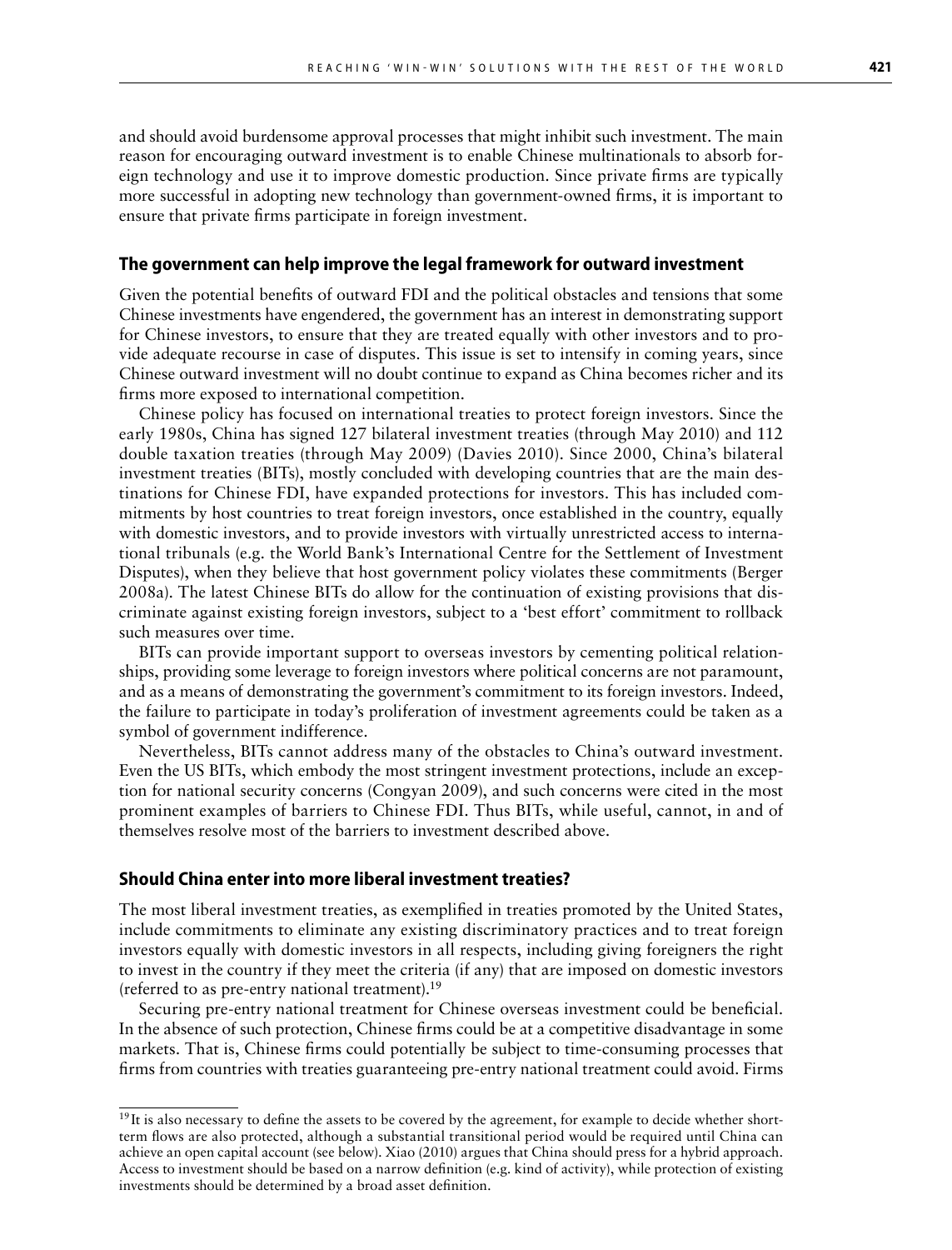and should avoid burdensome approval processes that might inhibit such investment. The main reason for encouraging outward investment is to enable Chinese multinationals to absorb foreign technology and use it to improve domestic production. Since private firms are typically more successful in adopting new technology than government-owned firms, it is important to ensure that private firms participate in foreign investment.

#### **The government can help improve the legal framework for outward investment**

Given the potential benefits of outward FDI and the political obstacles and tensions that some Chinese investments have engendered, the government has an interest in demonstrating support for Chinese investors, to ensure that they are treated equally with other investors and to provide adequate recourse in case of disputes. This issue is set to intensify in coming years, since Chinese outward investment will no doubt continue to expand as China becomes richer and its firms more exposed to international competition.

Chinese policy has focused on international treaties to protect foreign investors. Since the early 1980s, China has signed 127 bilateral investment treaties (through May 2010) and 112 double taxation treaties (through May 2009) (Davies 2010). Since 2000, China's bilateral investment treaties (BITs), mostly concluded with developing countries that are the main destinations for Chinese FDI, have expanded protections for investors. This has included commitments by host countries to treat foreign investors, once established in the country, equally with domestic investors, and to provide investors with virtually unrestricted access to international tribunals (e.g. the World Bank's International Centre for the Settlement of Investment Disputes), when they believe that host government policy violates these commitments (Berger 2008a). The latest Chinese BITs do allow for the continuation of existing provisions that discriminate against existing foreign investors, subject to a 'best effort' commitment to rollback such measures over time.

BITs can provide important support to overseas investors by cementing political relationships, providing some leverage to foreign investors where political concerns are not paramount, and as a means of demonstrating the government's commitment to its foreign investors. Indeed, the failure to participate in today's proliferation of investment agreements could be taken as a symbol of government indifference.

Nevertheless, BITs cannot address many of the obstacles to China's outward investment. Even the US BITs, which embody the most stringent investment protections, include an exception for national security concerns (Congyan 2009), and such concerns were cited in the most prominent examples of barriers to Chinese FDI. Thus BITs, while useful, cannot, in and of themselves resolve most of the barriers to investment described above.

#### **Should China enter into more liberal investment treaties?**

The most liberal investment treaties, as exemplified in treaties promoted by the United States, include commitments to eliminate any existing discriminatory practices and to treat foreign investors equally with domestic investors in all respects, including giving foreigners the right to invest in the country if they meet the criteria (if any) that are imposed on domestic investors (referred to as pre-entry national treatment).19

Securing pre-entry national treatment for Chinese overseas investment could be beneficial. In the absence of such protection, Chinese firms could be at a competitive disadvantage in some markets. That is, Chinese firms could potentially be subject to time-consuming processes that firms from countries with treaties guaranteeing pre-entry national treatment could avoid. Firms

 $19$  It is also necessary to define the assets to be covered by the agreement, for example to decide whether shortterm flows are also protected, although a substantial transitional period would be required until China can achieve an open capital account (see below). Xiao (2010) argues that China should press for a hybrid approach. Access to investment should be based on a narrow definition (e.g. kind of activity), while protection of existing investments should be determined by a broad asset definition.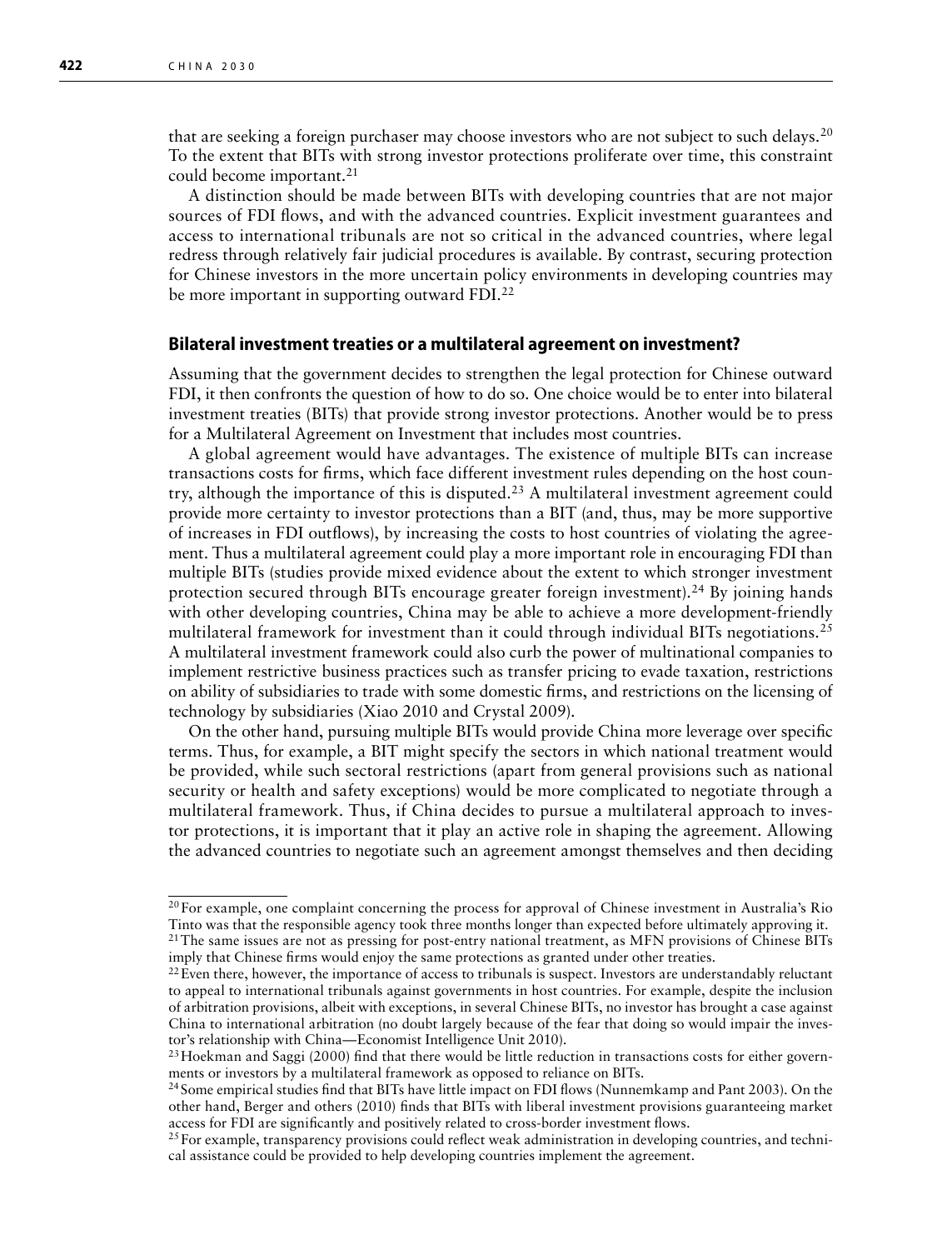that are seeking a foreign purchaser may choose investors who are not subject to such delays.<sup>20</sup> To the extent that BITs with strong investor protections proliferate over time, this constraint could become important.<sup>21</sup>

A distinction should be made between BITs with developing countries that are not major sources of FDI flows, and with the advanced countries. Explicit investment guarantees and access to international tribunals are not so critical in the advanced countries, where legal redress through relatively fair judicial procedures is available. By contrast, securing protection for Chinese investors in the more uncertain policy environments in developing countries may be more important in supporting outward FDI.<sup>22</sup>

#### **Bilateral investment treaties or a multilateral agreement on investment?**

Assuming that the government decides to strengthen the legal protection for Chinese outward FDI, it then confronts the question of how to do so. One choice would be to enter into bilateral investment treaties (BITs) that provide strong investor protections. Another would be to press for a Multilateral Agreement on Investment that includes most countries.

A global agreement would have advantages. The existence of multiple BITs can increase transactions costs for firms, which face different investment rules depending on the host country, although the importance of this is disputed.<sup>23</sup> A multilateral investment agreement could provide more certainty to investor protections than a BIT (and, thus, may be more supportive of increases in FDI outflows), by increasing the costs to host countries of violating the agreement. Thus a multilateral agreement could play a more important role in encouraging FDI than multiple BITs (studies provide mixed evidence about the extent to which stronger investment protection secured through BITs encourage greater foreign investment).<sup>24</sup> By joining hands with other developing countries, China may be able to achieve a more development-friendly multilateral framework for investment than it could through individual BITs negotiations.<sup>25</sup> A multilateral investment framework could also curb the power of multinational companies to implement restrictive business practices such as transfer pricing to evade taxation, restrictions on ability of subsidiaries to trade with some domestic firms, and restrictions on the licensing of technology by subsidiaries (Xiao 2010 and Crystal 2009).

On the other hand, pursuing multiple BITs would provide China more leverage over specific terms. Thus, for example, a BIT might specify the sectors in which national treatment would be provided, while such sectoral restrictions (apart from general provisions such as national security or health and safety exceptions) would be more complicated to negotiate through a multilateral framework. Thus, if China decides to pursue a multilateral approach to investor protections, it is important that it play an active role in shaping the agreement. Allowing the advanced countries to negotiate such an agreement amongst themselves and then deciding

<sup>&</sup>lt;sup>20</sup>For example, one complaint concerning the process for approval of Chinese investment in Australia's Rio Tinto was that the responsible agency took three months longer than expected before ultimately approving it. <sup>21</sup>The same issues are not as pressing for post-entry national treatment, as MFN provisions of Chinese BITs imply that Chinese firms would enjoy the same protections as granted under other treaties.

 $22$ Even there, however, the importance of access to tribunals is suspect. Investors are understandably reluctant to appeal to international tribunals against governments in host countries. For example, despite the inclusion of arbitration provisions, albeit with exceptions, in several Chinese BITs, no investor has brought a case against China to international arbitration (no doubt largely because of the fear that doing so would impair the investor's relationship with China—Economist Intelligence Unit 2010).

<sup>&</sup>lt;sup>23</sup>Hoekman and Saggi (2000) find that there would be little reduction in transactions costs for either governments or investors by a multilateral framework as opposed to reliance on BITs.

<sup>24</sup> Some empirical studies find that BITs have little impact on FDI flows (Nunnemkamp and Pant 2003). On the other hand, Berger and others (2010) finds that BITs with liberal investment provisions guaranteeing market access for FDI are significantly and positively related to cross-border investment flows.

<sup>&</sup>lt;sup>25</sup> For example, transparency provisions could reflect weak administration in developing countries, and technical assistance could be provided to help developing countries implement the agreement.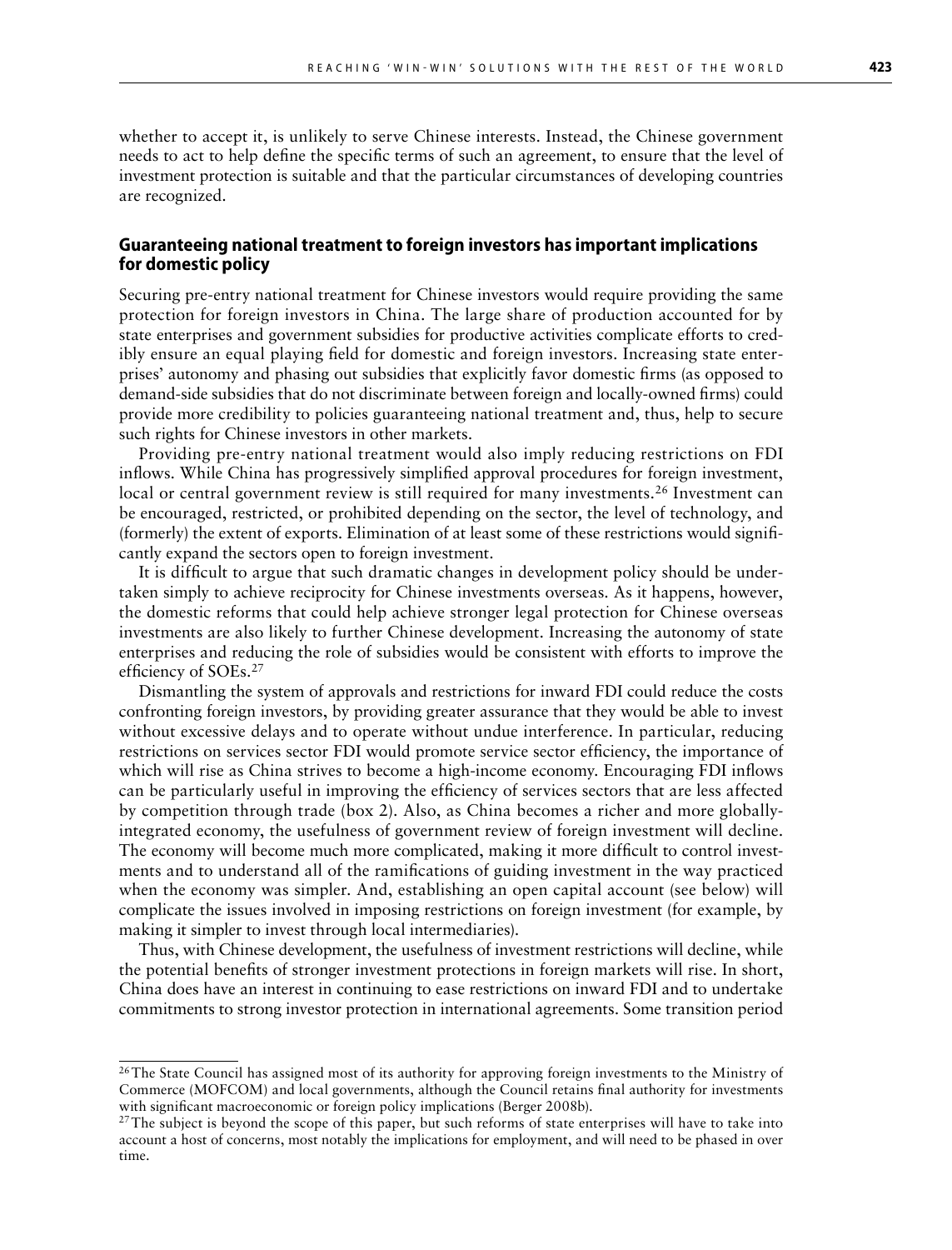whether to accept it, is unlikely to serve Chinese interests. Instead, the Chinese government needs to act to help define the specific terms of such an agreement, to ensure that the level of investment protection is suitable and that the particular circumstances of developing countries are recognized.

### **Guaranteeing national treatment to foreign investors has important implications for domestic policy**

Securing pre-entry national treatment for Chinese investors would require providing the same protection for foreign investors in China. The large share of production accounted for by state enterprises and government subsidies for productive activities complicate efforts to credibly ensure an equal playing field for domestic and foreign investors. Increasing state enterprises' autonomy and phasing out subsidies that explicitly favor domestic firms (as opposed to demand-side subsidies that do not discriminate between foreign and locally-owned firms) could provide more credibility to policies guaranteeing national treatment and, thus, help to secure such rights for Chinese investors in other markets.

Providing pre-entry national treatment would also imply reducing restrictions on FDI inflows. While China has progressively simplified approval procedures for foreign investment, local or central government review is still required for many investments.<sup>26</sup> Investment can be encouraged, restricted, or prohibited depending on the sector, the level of technology, and (formerly) the extent of exports. Elimination of at least some of these restrictions would significantly expand the sectors open to foreign investment.

It is difficult to argue that such dramatic changes in development policy should be undertaken simply to achieve reciprocity for Chinese investments overseas. As it happens, however, the domestic reforms that could help achieve stronger legal protection for Chinese overseas investments are also likely to further Chinese development. Increasing the autonomy of state enterprises and reducing the role of subsidies would be consistent with efforts to improve the efficiency of SOEs.27

Dismantling the system of approvals and restrictions for inward FDI could reduce the costs confronting foreign investors, by providing greater assurance that they would be able to invest without excessive delays and to operate without undue interference. In particular, reducing restrictions on services sector FDI would promote service sector efficiency, the importance of which will rise as China strives to become a high-income economy. Encouraging FDI inflows can be particularly useful in improving the efficiency of services sectors that are less affected by competition through trade (box 2). Also, as China becomes a richer and more globallyintegrated economy, the usefulness of government review of foreign investment will decline. The economy will become much more complicated, making it more difficult to control investments and to understand all of the ramifications of guiding investment in the way practiced when the economy was simpler. And, establishing an open capital account (see below) will complicate the issues involved in imposing restrictions on foreign investment (for example, by making it simpler to invest through local intermediaries).

Thus, with Chinese development, the usefulness of investment restrictions will decline, while the potential benefits of stronger investment protections in foreign markets will rise. In short, China does have an interest in continuing to ease restrictions on inward FDI and to undertake commitments to strong investor protection in international agreements. Some transition period

<sup>&</sup>lt;sup>26</sup>The State Council has assigned most of its authority for approving foreign investments to the Ministry of Commerce (MOFCOM) and local governments, although the Council retains final authority for investments with significant macroeconomic or foreign policy implications (Berger 2008b).

<sup>&</sup>lt;sup>27</sup>The subject is beyond the scope of this paper, but such reforms of state enterprises will have to take into account a host of concerns, most notably the implications for employment, and will need to be phased in over time.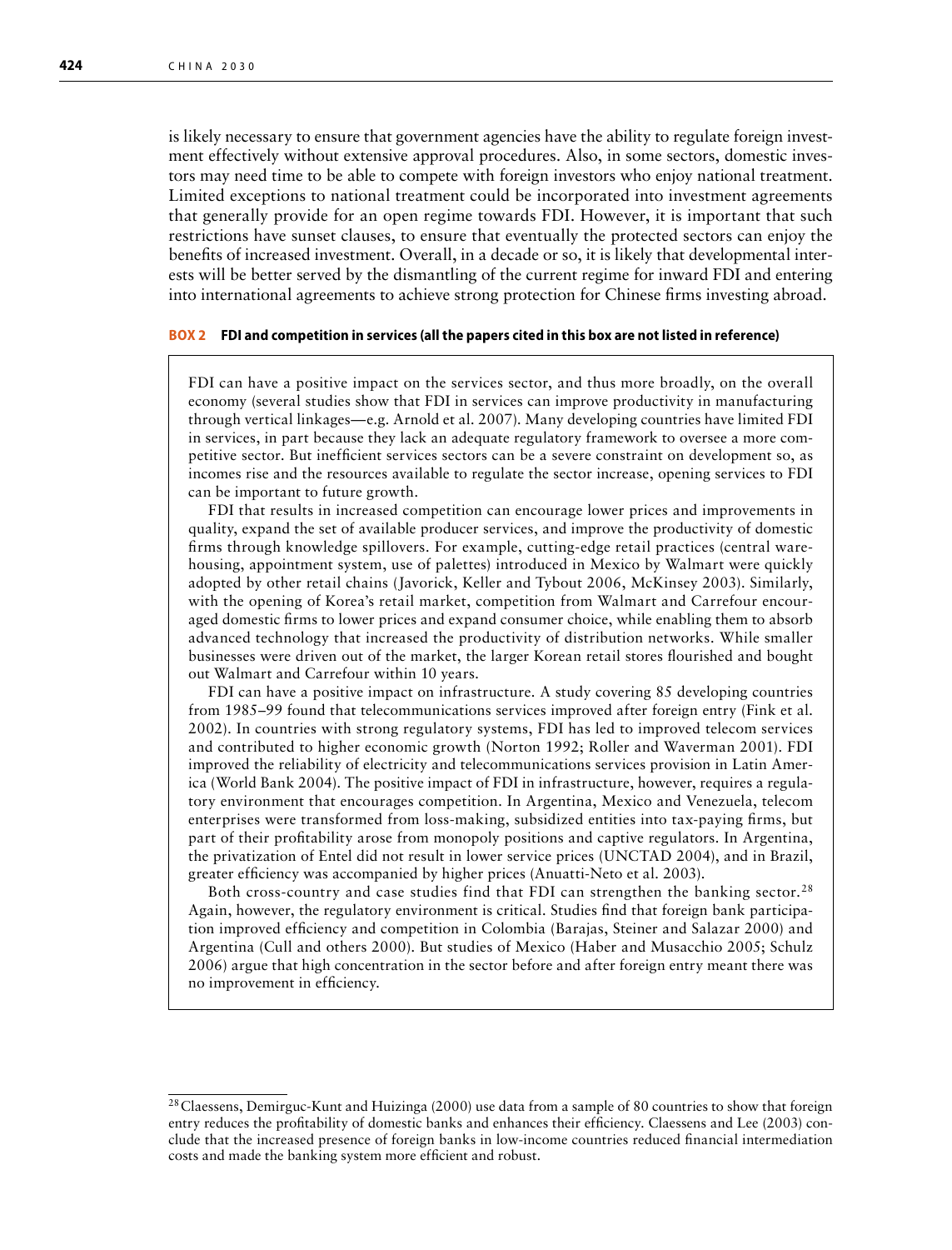is likely necessary to ensure that government agencies have the ability to regulate foreign investment effectively without extensive approval procedures. Also, in some sectors, domestic investors may need time to be able to compete with foreign investors who enjoy national treatment. Limited exceptions to national treatment could be incorporated into investment agreements that generally provide for an open regime towards FDI. However, it is important that such restrictions have sunset clauses, to ensure that eventually the protected sectors can enjoy the benefits of increased investment. Overall, in a decade or so, it is likely that developmental interests will be better served by the dismantling of the current regime for inward FDI and entering into international agreements to achieve strong protection for Chinese firms investing abroad.

#### **Box 2 FDI and competition in services (all the papers cited in this box are not listed in reference)**

FDI can have a positive impact on the services sector, and thus more broadly, on the overall economy (several studies show that FDI in services can improve productivity in manufacturing through vertical linkages—e.g. Arnold et al. 2007). Many developing countries have limited FDI in services, in part because they lack an adequate regulatory framework to oversee a more competitive sector. But inefficient services sectors can be a severe constraint on development so, as incomes rise and the resources available to regulate the sector increase, opening services to FDI can be important to future growth.

FDI that results in increased competition can encourage lower prices and improvements in quality, expand the set of available producer services, and improve the productivity of domestic firms through knowledge spillovers. For example, cutting-edge retail practices (central warehousing, appointment system, use of palettes) introduced in Mexico by Walmart were quickly adopted by other retail chains (Javorick, Keller and Tybout 2006, McKinsey 2003). Similarly, with the opening of Korea's retail market, competition from Walmart and Carrefour encouraged domestic firms to lower prices and expand consumer choice, while enabling them to absorb advanced technology that increased the productivity of distribution networks. While smaller businesses were driven out of the market, the larger Korean retail stores flourished and bought out Walmart and Carrefour within 10 years.

FDI can have a positive impact on infrastructure. A study covering 85 developing countries from 1985–99 found that telecommunications services improved after foreign entry (Fink et al. 2002). In countries with strong regulatory systems, FDI has led to improved telecom services and contributed to higher economic growth (Norton 1992; Roller and Waverman 2001). FDI improved the reliability of electricity and telecommunications services provision in Latin America (World Bank 2004). The positive impact of FDI in infrastructure, however, requires a regulatory environment that encourages competition. In Argentina, Mexico and Venezuela, telecom enterprises were transformed from loss-making, subsidized entities into tax-paying firms, but part of their profitability arose from monopoly positions and captive regulators. In Argentina, the privatization of Entel did not result in lower service prices (UNCTAD 2004), and in Brazil, greater efficiency was accompanied by higher prices (Anuatti-Neto et al. 2003).

Both cross-country and case studies find that FDI can strengthen the banking sector.<sup>28</sup> Again, however, the regulatory environment is critical. Studies find that foreign bank participation improved efficiency and competition in Colombia (Barajas, Steiner and Salazar 2000) and Argentina (Cull and others 2000). But studies of Mexico (Haber and Musacchio 2005; Schulz 2006) argue that high concentration in the sector before and after foreign entry meant there was no improvement in efficiency.

<sup>&</sup>lt;sup>28</sup> Claessens, Demirguc-Kunt and Huizinga (2000) use data from a sample of 80 countries to show that foreign entry reduces the profitability of domestic banks and enhances their efficiency. Claessens and Lee (2003) conclude that the increased presence of foreign banks in low-income countries reduced financial intermediation costs and made the banking system more efficient and robust.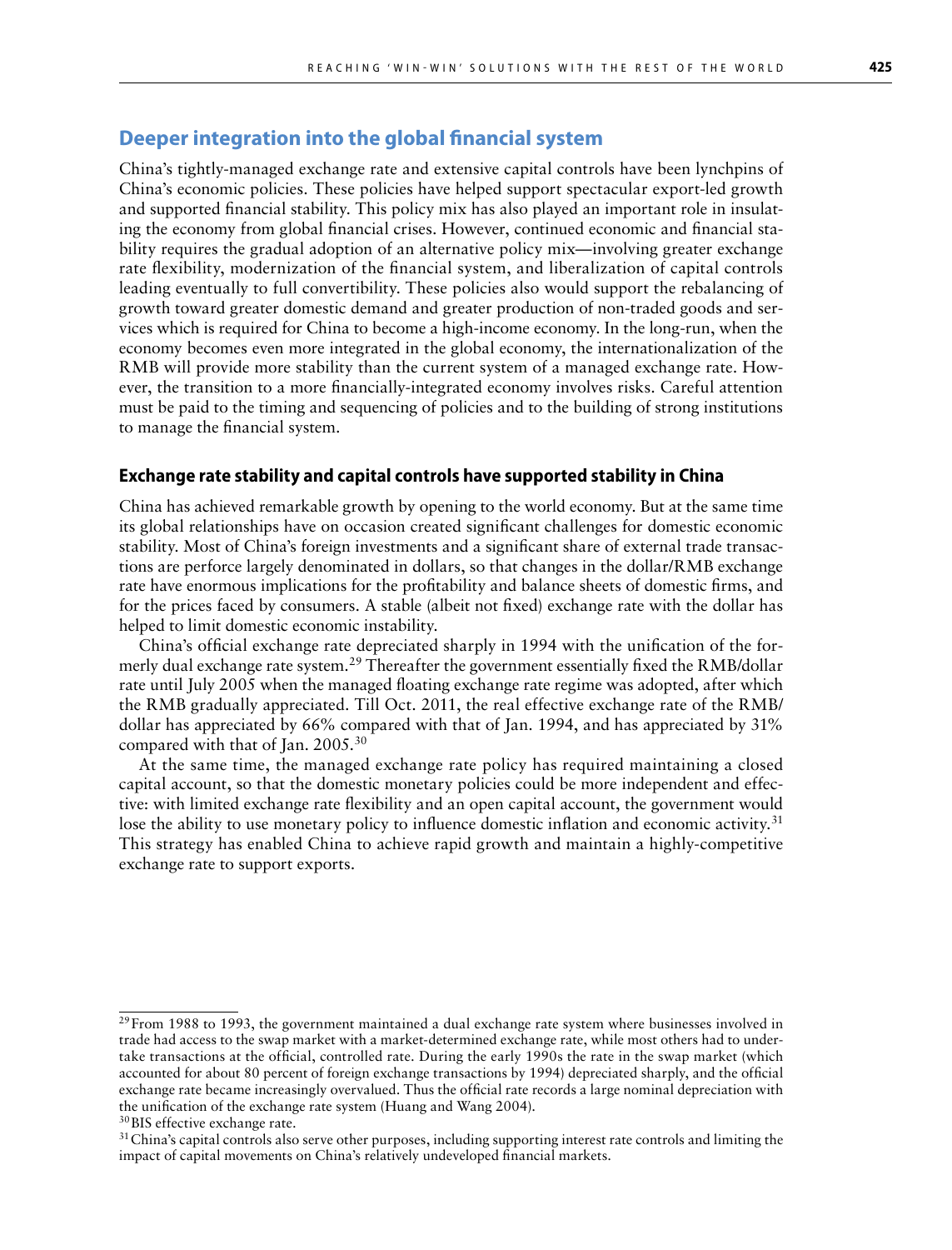## **Deeper integration into the global financial system**

China's tightly-managed exchange rate and extensive capital controls have been lynchpins of China's economic policies. These policies have helped support spectacular export-led growth and supported financial stability. This policy mix has also played an important role in insulating the economy from global financial crises. However, continued economic and financial stability requires the gradual adoption of an alternative policy mix—involving greater exchange rate flexibility, modernization of the financial system, and liberalization of capital controls leading eventually to full convertibility. These policies also would support the rebalancing of growth toward greater domestic demand and greater production of non-traded goods and services which is required for China to become a high-income economy. In the long-run, when the economy becomes even more integrated in the global economy, the internationalization of the RMB will provide more stability than the current system of a managed exchange rate. However, the transition to a more financially-integrated economy involves risks. Careful attention must be paid to the timing and sequencing of policies and to the building of strong institutions to manage the financial system.

### **Exchange rate stability and capital controls have supported stability in China**

China has achieved remarkable growth by opening to the world economy. But at the same time its global relationships have on occasion created significant challenges for domestic economic stability. Most of China's foreign investments and a significant share of external trade transactions are perforce largely denominated in dollars, so that changes in the dollar/RMB exchange rate have enormous implications for the profitability and balance sheets of domestic firms, and for the prices faced by consumers. A stable (albeit not fixed) exchange rate with the dollar has helped to limit domestic economic instability.

China's official exchange rate depreciated sharply in 1994 with the unification of the formerly dual exchange rate system.<sup>29</sup> Thereafter the government essentially fixed the RMB/dollar rate until July 2005 when the managed floating exchange rate regime was adopted, after which the RMB gradually appreciated. Till Oct. 2011, the real effective exchange rate of the RMB/ dollar has appreciated by 66% compared with that of Jan. 1994, and has appreciated by 31% compared with that of Jan. 2005.<sup>30</sup>

At the same time, the managed exchange rate policy has required maintaining a closed capital account, so that the domestic monetary policies could be more independent and effective: with limited exchange rate flexibility and an open capital account, the government would lose the ability to use monetary policy to influence domestic inflation and economic activity.<sup>31</sup> This strategy has enabled China to achieve rapid growth and maintain a highly-competitive exchange rate to support exports.

<sup>&</sup>lt;sup>29</sup>From 1988 to 1993, the government maintained a dual exchange rate system where businesses involved in trade had access to the swap market with a market-determined exchange rate, while most others had to undertake transactions at the official, controlled rate. During the early 1990s the rate in the swap market (which accounted for about 80 percent of foreign exchange transactions by 1994) depreciated sharply, and the official exchange rate became increasingly overvalued. Thus the official rate records a large nominal depreciation with the unification of the exchange rate system (Huang and Wang 2004).

<sup>30</sup>BIS effective exchange rate.

<sup>&</sup>lt;sup>31</sup>China's capital controls also serve other purposes, including supporting interest rate controls and limiting the impact of capital movements on China's relatively undeveloped financial markets.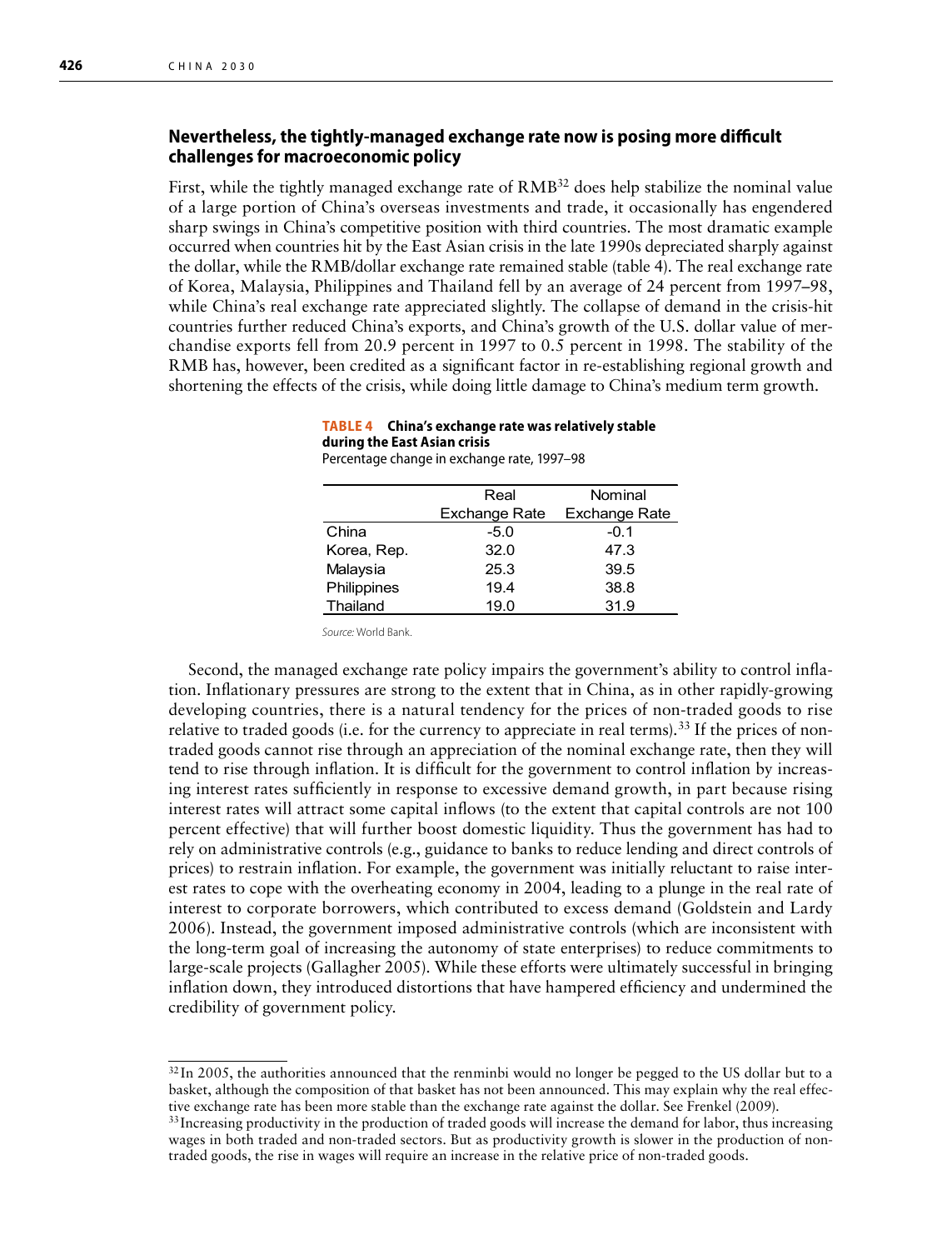## **Nevertheless, the tightly-managed exchange rate now is posing more difficult challenges for macroeconomic policy**

First, while the tightly managed exchange rate of  $RMB<sup>32</sup>$  does help stabilize the nominal value of a large portion of China's overseas investments and trade, it occasionally has engendered sharp swings in China's competitive position with third countries. The most dramatic example occurred when countries hit by the East Asian crisis in the late 1990s depreciated sharply against the dollar, while the RMB/dollar exchange rate remained stable (table 4). The real exchange rate of Korea, Malaysia, Philippines and Thailand fell by an average of 24 percent from 1997–98, while China's real exchange rate appreciated slightly. The collapse of demand in the crisis-hit countries further reduced China's exports, and China's growth of the U.S. dollar value of merchandise exports fell from 20.9 percent in 1997 to 0.5 percent in 1998. The stability of the RMB has, however, been credited as a significant factor in re-establishing regional growth and shortening the effects of the crisis, while doing little damage to China's medium term growth.

#### **Table 4 China's exchange rate was relatively stable during the East Asian crisis**

| Percentage change in exchange rate, 1997–98 |  |
|---------------------------------------------|--|
|---------------------------------------------|--|

|             | Real                 | Nominal              |
|-------------|----------------------|----------------------|
|             | <b>Exchange Rate</b> | <b>Exchange Rate</b> |
| China       | $-5.0$               | $-0.1$               |
| Korea, Rep. | 32.0                 | 47.3                 |
| Malaysia    | 25.3                 | 39.5                 |
| Philippines | 19.4                 | 38.8                 |
| Thailand    | 19.0                 | 31.9                 |

*Source:* World Bank.

Second, the managed exchange rate policy impairs the government's ability to control inflation. Inflationary pressures are strong to the extent that in China, as in other rapidly-growing developing countries, there is a natural tendency for the prices of non-traded goods to rise relative to traded goods (i.e. for the currency to appreciate in real terms).<sup>33</sup> If the prices of nontraded goods cannot rise through an appreciation of the nominal exchange rate, then they will tend to rise through inflation. It is difficult for the government to control inflation by increasing interest rates sufficiently in response to excessive demand growth, in part because rising interest rates will attract some capital inflows (to the extent that capital controls are not 100 percent effective) that will further boost domestic liquidity. Thus the government has had to rely on administrative controls (e.g., guidance to banks to reduce lending and direct controls of prices) to restrain inflation. For example, the government was initially reluctant to raise interest rates to cope with the overheating economy in 2004, leading to a plunge in the real rate of interest to corporate borrowers, which contributed to excess demand (Goldstein and Lardy 2006). Instead, the government imposed administrative controls (which are inconsistent with the long-term goal of increasing the autonomy of state enterprises) to reduce commitments to large-scale projects (Gallagher 2005). While these efforts were ultimately successful in bringing inflation down, they introduced distortions that have hampered efficiency and undermined the credibility of government policy.

 $32$  In 2005, the authorities announced that the renminbi would no longer be pegged to the US dollar but to a basket, although the composition of that basket has not been announced. This may explain why the real effective exchange rate has been more stable than the exchange rate against the dollar. See Frenkel (2009).

<sup>&</sup>lt;sup>33</sup> Increasing productivity in the production of traded goods will increase the demand for labor, thus increasing wages in both traded and non-traded sectors. But as productivity growth is slower in the production of nontraded goods, the rise in wages will require an increase in the relative price of non-traded goods.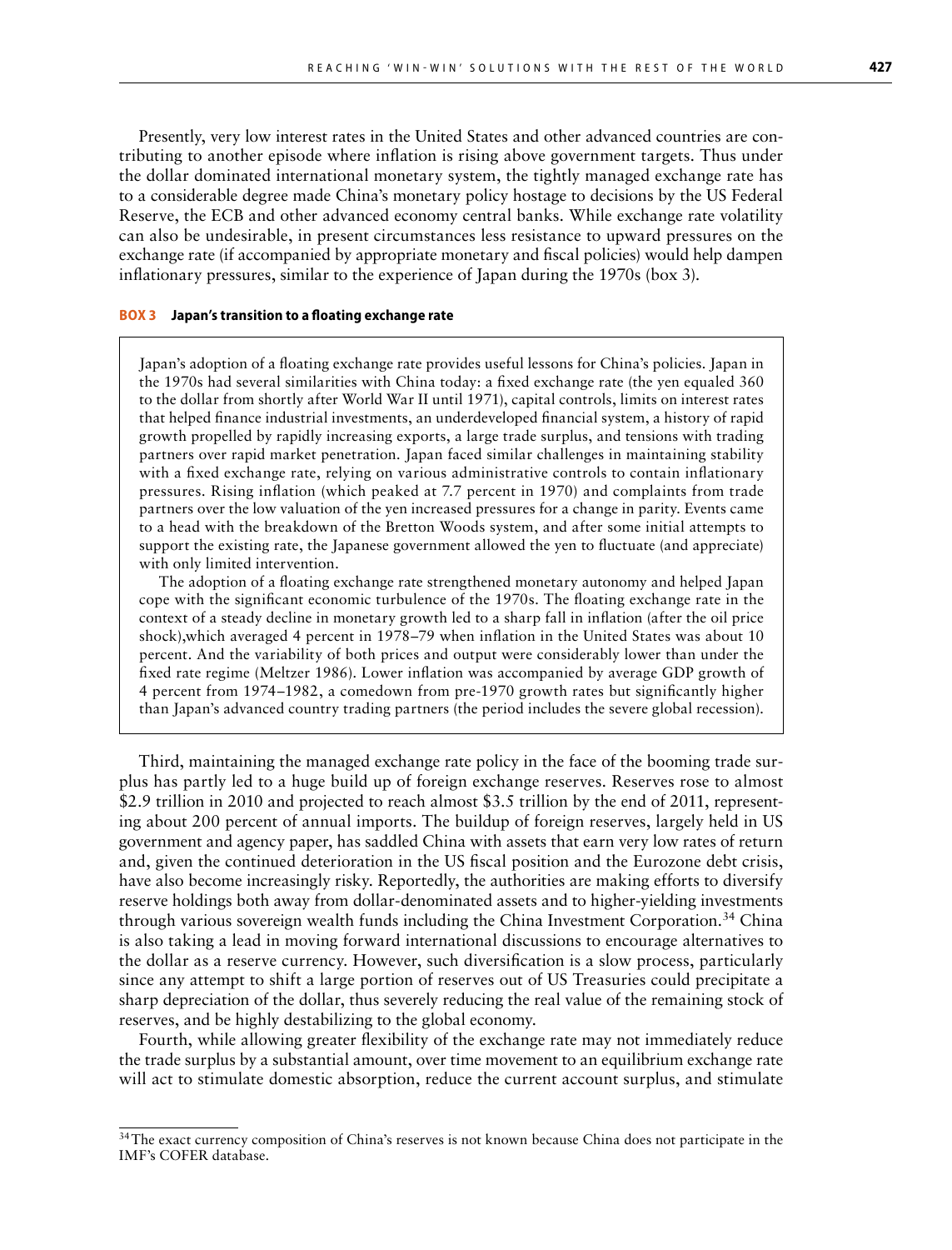Presently, very low interest rates in the United States and other advanced countries are contributing to another episode where inflation is rising above government targets. Thus under the dollar dominated international monetary system, the tightly managed exchange rate has to a considerable degree made China's monetary policy hostage to decisions by the US Federal Reserve, the ECB and other advanced economy central banks. While exchange rate volatility can also be undesirable, in present circumstances less resistance to upward pressures on the exchange rate (if accompanied by appropriate monetary and fiscal policies) would help dampen inflationary pressures, similar to the experience of Japan during the 1970s (box 3).

#### **Box 3 Japan's transition to a floating exchange rate**

Japan's adoption of a floating exchange rate provides useful lessons for China's policies. Japan in the 1970s had several similarities with China today: a fixed exchange rate (the yen equaled 360 to the dollar from shortly after World War II until 1971), capital controls, limits on interest rates that helped finance industrial investments, an underdeveloped financial system, a history of rapid growth propelled by rapidly increasing exports, a large trade surplus, and tensions with trading partners over rapid market penetration. Japan faced similar challenges in maintaining stability with a fixed exchange rate, relying on various administrative controls to contain inflationary pressures. Rising inflation (which peaked at 7.7 percent in 1970) and complaints from trade partners over the low valuation of the yen increased pressures for a change in parity. Events came to a head with the breakdown of the Bretton Woods system, and after some initial attempts to support the existing rate, the Japanese government allowed the yen to fluctuate (and appreciate) with only limited intervention.

The adoption of a floating exchange rate strengthened monetary autonomy and helped Japan cope with the significant economic turbulence of the 1970s. The floating exchange rate in the context of a steady decline in monetary growth led to a sharp fall in inflation (after the oil price shock),which averaged 4 percent in 1978–79 when inflation in the United States was about 10 percent. And the variability of both prices and output were considerably lower than under the fixed rate regime (Meltzer 1986). Lower inflation was accompanied by average GDP growth of 4 percent from 1974–1982, a comedown from pre-1970 growth rates but significantly higher than Japan's advanced country trading partners (the period includes the severe global recession).

Third, maintaining the managed exchange rate policy in the face of the booming trade surplus has partly led to a huge build up of foreign exchange reserves. Reserves rose to almost \$2.9 trillion in 2010 and projected to reach almost \$3.5 trillion by the end of 2011, representing about 200 percent of annual imports. The buildup of foreign reserves, largely held in US government and agency paper, has saddled China with assets that earn very low rates of return and, given the continued deterioration in the US fiscal position and the Eurozone debt crisis, have also become increasingly risky. Reportedly, the authorities are making efforts to diversify reserve holdings both away from dollar-denominated assets and to higher-yielding investments through various sovereign wealth funds including the China Investment Corporation.<sup>34</sup> China is also taking a lead in moving forward international discussions to encourage alternatives to the dollar as a reserve currency. However, such diversification is a slow process, particularly since any attempt to shift a large portion of reserves out of US Treasuries could precipitate a sharp depreciation of the dollar, thus severely reducing the real value of the remaining stock of reserves, and be highly destabilizing to the global economy.

Fourth, while allowing greater flexibility of the exchange rate may not immediately reduce the trade surplus by a substantial amount, over time movement to an equilibrium exchange rate will act to stimulate domestic absorption, reduce the current account surplus, and stimulate

<sup>34</sup>The exact currency composition of China's reserves is not known because China does not participate in the IMF's COFER database.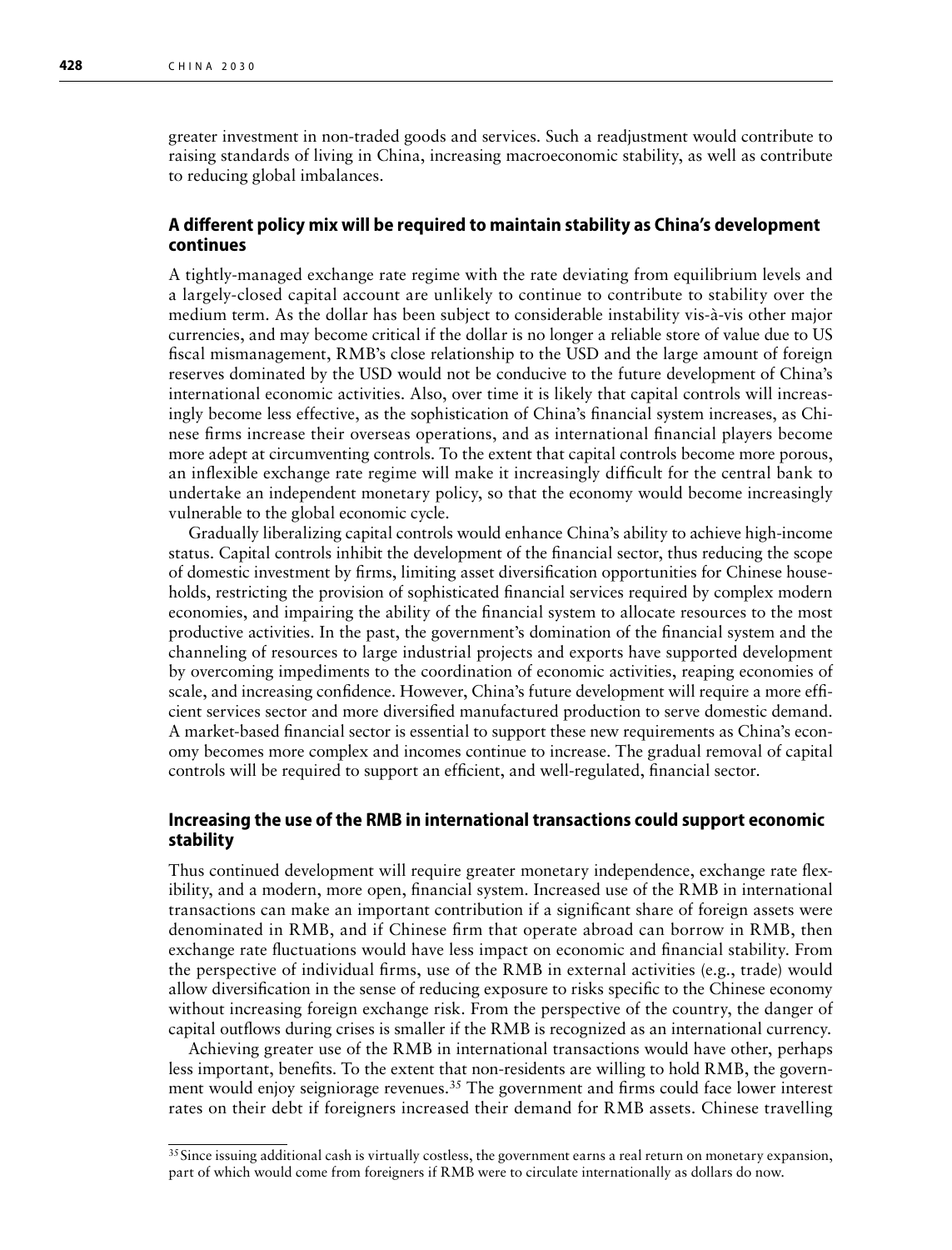greater investment in non-traded goods and services. Such a readjustment would contribute to raising standards of living in China, increasing macroeconomic stability, as well as contribute to reducing global imbalances.

## **A different policy mix will be required to maintain stability as China's development continues**

A tightly-managed exchange rate regime with the rate deviating from equilibrium levels and a largely-closed capital account are unlikely to continue to contribute to stability over the medium term. As the dollar has been subject to considerable instability vis-à-vis other major currencies, and may become critical if the dollar is no longer a reliable store of value due to US fiscal mismanagement, RMB's close relationship to the USD and the large amount of foreign reserves dominated by the USD would not be conducive to the future development of China's international economic activities. Also, over time it is likely that capital controls will increasingly become less effective, as the sophistication of China's financial system increases, as Chinese firms increase their overseas operations, and as international financial players become more adept at circumventing controls. To the extent that capital controls become more porous, an inflexible exchange rate regime will make it increasingly difficult for the central bank to undertake an independent monetary policy, so that the economy would become increasingly vulnerable to the global economic cycle.

Gradually liberalizing capital controls would enhance China's ability to achieve high-income status. Capital controls inhibit the development of the financial sector, thus reducing the scope of domestic investment by firms, limiting asset diversification opportunities for Chinese households, restricting the provision of sophisticated financial services required by complex modern economies, and impairing the ability of the financial system to allocate resources to the most productive activities. In the past, the government's domination of the financial system and the channeling of resources to large industrial projects and exports have supported development by overcoming impediments to the coordination of economic activities, reaping economies of scale, and increasing confidence. However, China's future development will require a more efficient services sector and more diversified manufactured production to serve domestic demand. A market-based financial sector is essential to support these new requirements as China's economy becomes more complex and incomes continue to increase. The gradual removal of capital controls will be required to support an efficient, and well-regulated, financial sector.

## **Increasing the use of the RMB in international transactions could support economic stability**

Thus continued development will require greater monetary independence, exchange rate flexibility, and a modern, more open, financial system. Increased use of the RMB in international transactions can make an important contribution if a significant share of foreign assets were denominated in RMB, and if Chinese firm that operate abroad can borrow in RMB, then exchange rate fluctuations would have less impact on economic and financial stability. From the perspective of individual firms, use of the RMB in external activities (e.g., trade) would allow diversification in the sense of reducing exposure to risks specific to the Chinese economy without increasing foreign exchange risk. From the perspective of the country, the danger of capital outflows during crises is smaller if the RMB is recognized as an international currency.

Achieving greater use of the RMB in international transactions would have other, perhaps less important, benefits. To the extent that non-residents are willing to hold RMB, the government would enjoy seigniorage revenues.<sup>35</sup> The government and firms could face lower interest rates on their debt if foreigners increased their demand for RMB assets. Chinese travelling

<sup>&</sup>lt;sup>35</sup> Since issuing additional cash is virtually costless, the government earns a real return on monetary expansion, part of which would come from foreigners if RMB were to circulate internationally as dollars do now.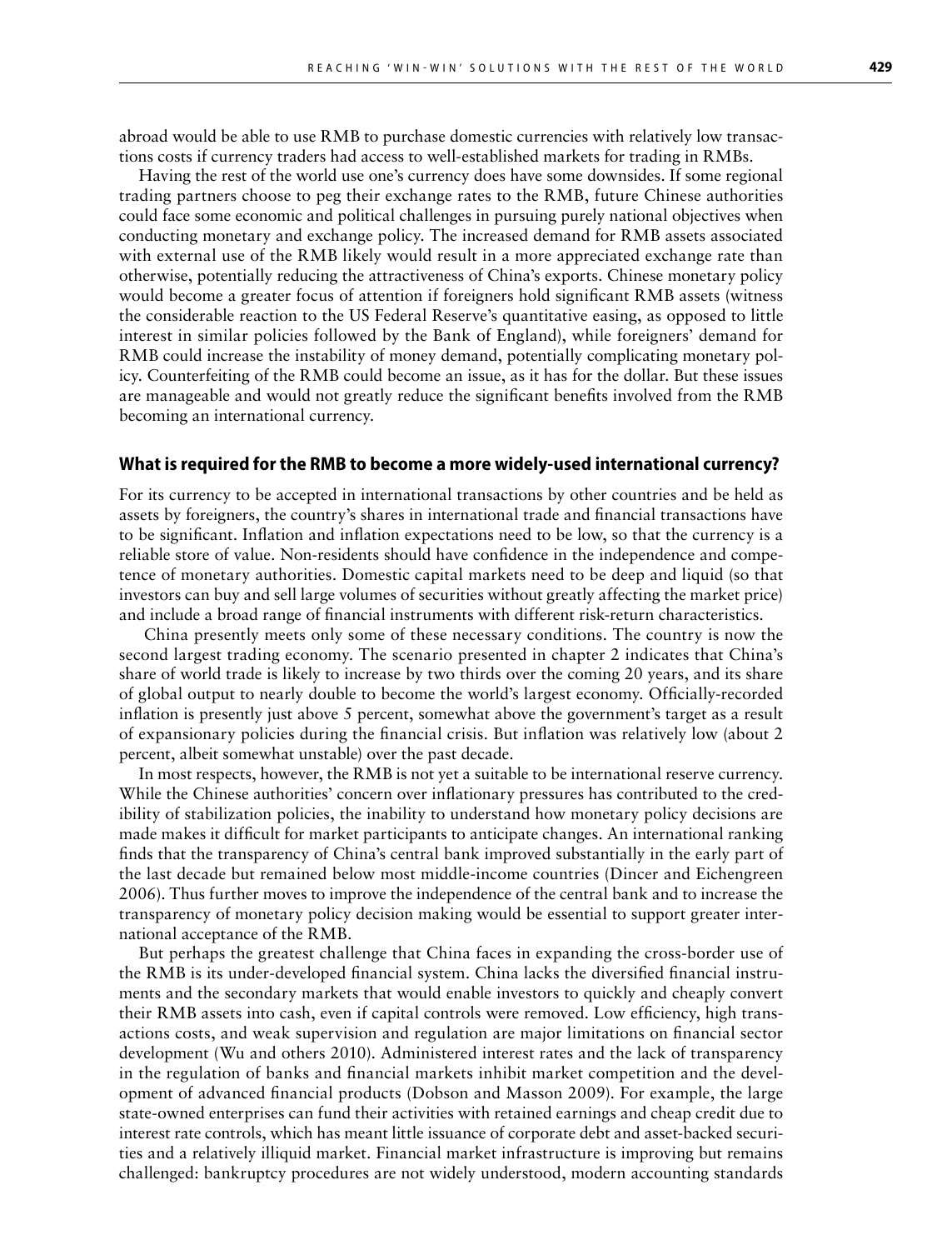abroad would be able to use RMB to purchase domestic currencies with relatively low transactions costs if currency traders had access to well-established markets for trading in RMBs.

Having the rest of the world use one's currency does have some downsides. If some regional trading partners choose to peg their exchange rates to the RMB, future Chinese authorities could face some economic and political challenges in pursuing purely national objectives when conducting monetary and exchange policy. The increased demand for RMB assets associated with external use of the RMB likely would result in a more appreciated exchange rate than otherwise, potentially reducing the attractiveness of China's exports. Chinese monetary policy would become a greater focus of attention if foreigners hold significant RMB assets (witness the considerable reaction to the US Federal Reserve's quantitative easing, as opposed to little interest in similar policies followed by the Bank of England), while foreigners' demand for RMB could increase the instability of money demand, potentially complicating monetary policy. Counterfeiting of the RMB could become an issue, as it has for the dollar. But these issues are manageable and would not greatly reduce the significant benefits involved from the RMB becoming an international currency.

#### **What is required for the RMB to become a more widely-used international currency?**

For its currency to be accepted in international transactions by other countries and be held as assets by foreigners, the country's shares in international trade and financial transactions have to be significant. Inflation and inflation expectations need to be low, so that the currency is a reliable store of value. Non-residents should have confidence in the independence and competence of monetary authorities. Domestic capital markets need to be deep and liquid (so that investors can buy and sell large volumes of securities without greatly affecting the market price) and include a broad range of financial instruments with different risk-return characteristics.

 China presently meets only some of these necessary conditions. The country is now the second largest trading economy. The scenario presented in chapter 2 indicates that China's share of world trade is likely to increase by two thirds over the coming 20 years, and its share of global output to nearly double to become the world's largest economy. Officially-recorded inflation is presently just above 5 percent, somewhat above the government's target as a result of expansionary policies during the financial crisis. But inflation was relatively low (about 2 percent, albeit somewhat unstable) over the past decade.

In most respects, however, the RMB is not yet a suitable to be international reserve currency. While the Chinese authorities' concern over inflationary pressures has contributed to the credibility of stabilization policies, the inability to understand how monetary policy decisions are made makes it difficult for market participants to anticipate changes. An international ranking finds that the transparency of China's central bank improved substantially in the early part of the last decade but remained below most middle-income countries (Dincer and Eichengreen 2006). Thus further moves to improve the independence of the central bank and to increase the transparency of monetary policy decision making would be essential to support greater international acceptance of the RMB.

But perhaps the greatest challenge that China faces in expanding the cross-border use of the RMB is its under-developed financial system. China lacks the diversified financial instruments and the secondary markets that would enable investors to quickly and cheaply convert their RMB assets into cash, even if capital controls were removed. Low efficiency, high transactions costs, and weak supervision and regulation are major limitations on financial sector development (Wu and others 2010). Administered interest rates and the lack of transparency in the regulation of banks and financial markets inhibit market competition and the development of advanced financial products (Dobson and Masson 2009). For example, the large state-owned enterprises can fund their activities with retained earnings and cheap credit due to interest rate controls, which has meant little issuance of corporate debt and asset-backed securities and a relatively illiquid market. Financial market infrastructure is improving but remains challenged: bankruptcy procedures are not widely understood, modern accounting standards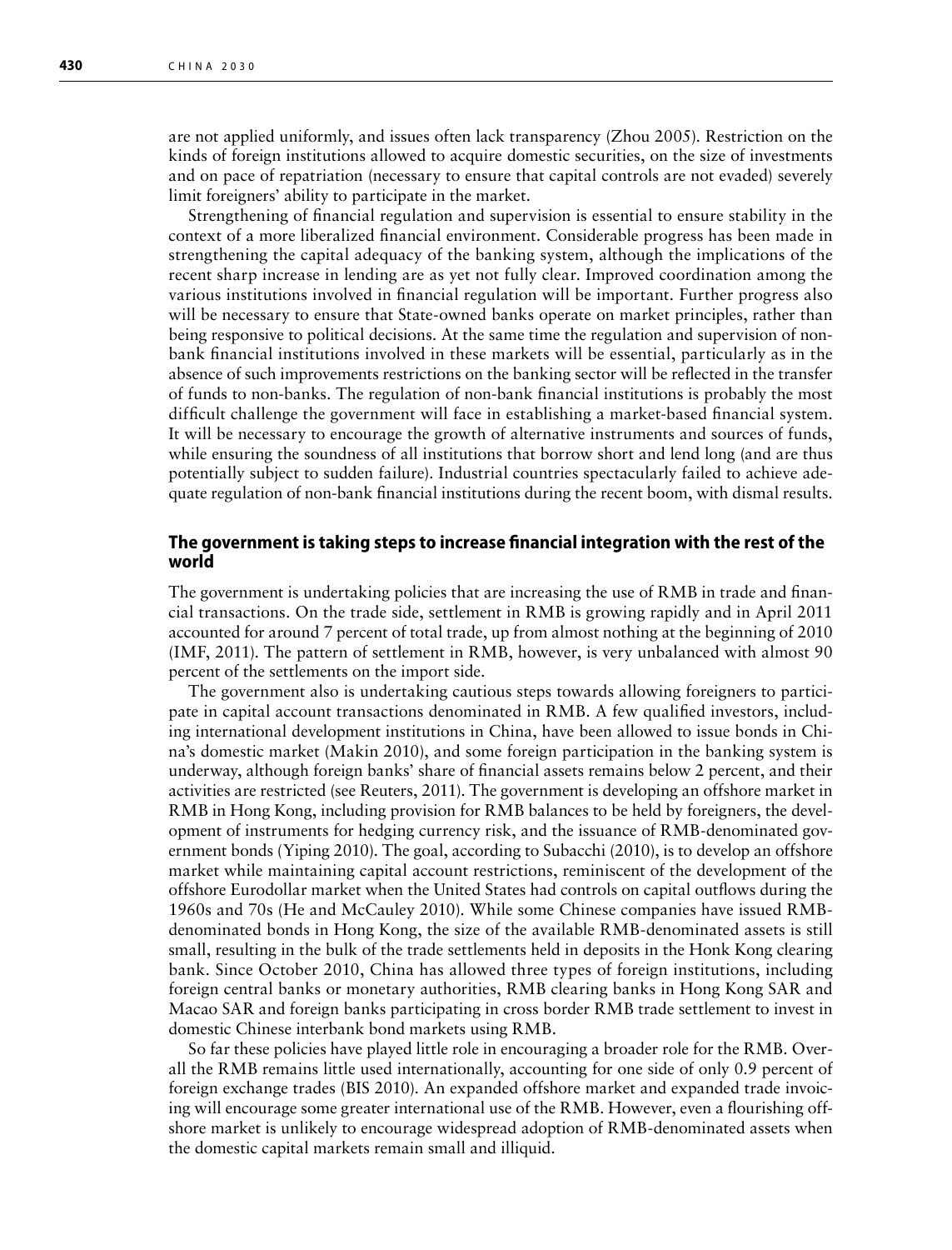are not applied uniformly, and issues often lack transparency (Zhou 2005). Restriction on the kinds of foreign institutions allowed to acquire domestic securities, on the size of investments and on pace of repatriation (necessary to ensure that capital controls are not evaded) severely limit foreigners' ability to participate in the market.

Strengthening of financial regulation and supervision is essential to ensure stability in the context of a more liberalized financial environment. Considerable progress has been made in strengthening the capital adequacy of the banking system, although the implications of the recent sharp increase in lending are as yet not fully clear. Improved coordination among the various institutions involved in financial regulation will be important. Further progress also will be necessary to ensure that State-owned banks operate on market principles, rather than being responsive to political decisions. At the same time the regulation and supervision of nonbank financial institutions involved in these markets will be essential, particularly as in the absence of such improvements restrictions on the banking sector will be reflected in the transfer of funds to non-banks. The regulation of non-bank financial institutions is probably the most difficult challenge the government will face in establishing a market-based financial system. It will be necessary to encourage the growth of alternative instruments and sources of funds, while ensuring the soundness of all institutions that borrow short and lend long (and are thus potentially subject to sudden failure). Industrial countries spectacularly failed to achieve adequate regulation of non-bank financial institutions during the recent boom, with dismal results.

## **The government is taking steps to increase financial integration with the rest of the world**

The government is undertaking policies that are increasing the use of RMB in trade and financial transactions. On the trade side, settlement in RMB is growing rapidly and in April 2011 accounted for around 7 percent of total trade, up from almost nothing at the beginning of 2010 (IMF, 2011). The pattern of settlement in RMB, however, is very unbalanced with almost 90 percent of the settlements on the import side.

The government also is undertaking cautious steps towards allowing foreigners to participate in capital account transactions denominated in RMB. A few qualified investors, including international development institutions in China, have been allowed to issue bonds in China's domestic market (Makin 2010), and some foreign participation in the banking system is underway, although foreign banks' share of financial assets remains below 2 percent, and their activities are restricted (see Reuters, 2011). The government is developing an offshore market in RMB in Hong Kong, including provision for RMB balances to be held by foreigners, the development of instruments for hedging currency risk, and the issuance of RMB-denominated government bonds (Yiping 2010). The goal, according to Subacchi (2010), is to develop an offshore market while maintaining capital account restrictions, reminiscent of the development of the offshore Eurodollar market when the United States had controls on capital outflows during the 1960s and 70s (He and McCauley 2010). While some Chinese companies have issued RMBdenominated bonds in Hong Kong, the size of the available RMB-denominated assets is still small, resulting in the bulk of the trade settlements held in deposits in the Honk Kong clearing bank. Since October 2010, China has allowed three types of foreign institutions, including foreign central banks or monetary authorities, RMB clearing banks in Hong Kong SAR and Macao SAR and foreign banks participating in cross border RMB trade settlement to invest in domestic Chinese interbank bond markets using RMB.

So far these policies have played little role in encouraging a broader role for the RMB. Overall the RMB remains little used internationally, accounting for one side of only 0.9 percent of foreign exchange trades (BIS 2010). An expanded offshore market and expanded trade invoicing will encourage some greater international use of the RMB. However, even a flourishing offshore market is unlikely to encourage widespread adoption of RMB-denominated assets when the domestic capital markets remain small and illiquid.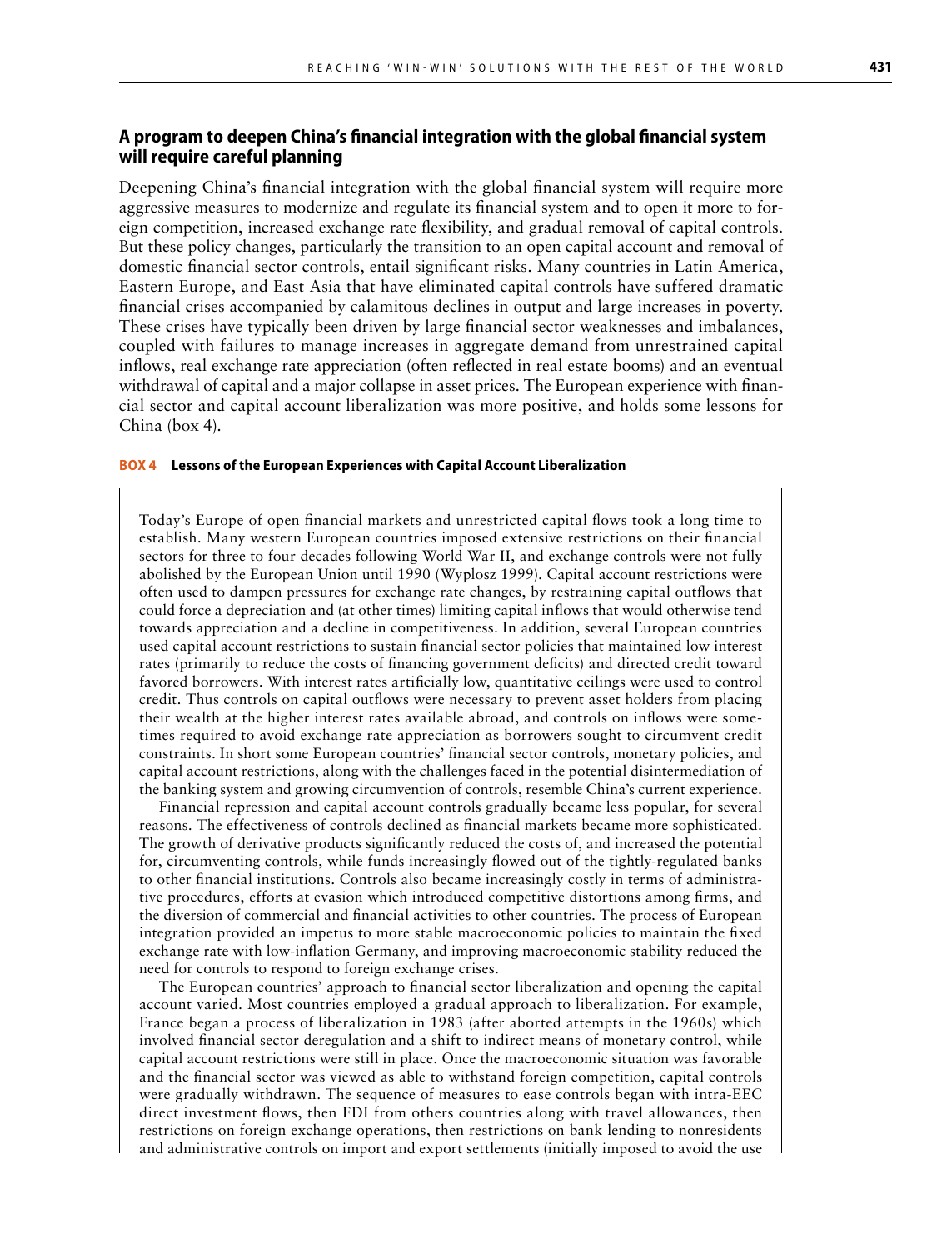## **A program to deepen China's financial integration with the global financial system will require careful planning**

Deepening China's financial integration with the global financial system will require more aggressive measures to modernize and regulate its financial system and to open it more to foreign competition, increased exchange rate flexibility, and gradual removal of capital controls. But these policy changes, particularly the transition to an open capital account and removal of domestic financial sector controls, entail significant risks. Many countries in Latin America, Eastern Europe, and East Asia that have eliminated capital controls have suffered dramatic financial crises accompanied by calamitous declines in output and large increases in poverty. These crises have typically been driven by large financial sector weaknesses and imbalances, coupled with failures to manage increases in aggregate demand from unrestrained capital inflows, real exchange rate appreciation (often reflected in real estate booms) and an eventual withdrawal of capital and a major collapse in asset prices. The European experience with financial sector and capital account liberalization was more positive, and holds some lessons for China (box 4).

#### **Box 4 Lessons of the European Experiences with Capital Account Liberalization**

Today's Europe of open financial markets and unrestricted capital flows took a long time to establish. Many western European countries imposed extensive restrictions on their financial sectors for three to four decades following World War II, and exchange controls were not fully abolished by the European Union until 1990 (Wyplosz 1999). Capital account restrictions were often used to dampen pressures for exchange rate changes, by restraining capital outflows that could force a depreciation and (at other times) limiting capital inflows that would otherwise tend towards appreciation and a decline in competitiveness. In addition, several European countries used capital account restrictions to sustain financial sector policies that maintained low interest rates (primarily to reduce the costs of financing government deficits) and directed credit toward favored borrowers. With interest rates artificially low, quantitative ceilings were used to control credit. Thus controls on capital outflows were necessary to prevent asset holders from placing their wealth at the higher interest rates available abroad, and controls on inflows were sometimes required to avoid exchange rate appreciation as borrowers sought to circumvent credit constraints. In short some European countries' financial sector controls, monetary policies, and capital account restrictions, along with the challenges faced in the potential disintermediation of the banking system and growing circumvention of controls, resemble China's current experience.

Financial repression and capital account controls gradually became less popular, for several reasons. The effectiveness of controls declined as financial markets became more sophisticated. The growth of derivative products significantly reduced the costs of, and increased the potential for, circumventing controls, while funds increasingly flowed out of the tightly-regulated banks to other financial institutions. Controls also became increasingly costly in terms of administrative procedures, efforts at evasion which introduced competitive distortions among firms, and the diversion of commercial and financial activities to other countries. The process of European integration provided an impetus to more stable macroeconomic policies to maintain the fixed exchange rate with low-inflation Germany, and improving macroeconomic stability reduced the need for controls to respond to foreign exchange crises.

The European countries' approach to financial sector liberalization and opening the capital account varied. Most countries employed a gradual approach to liberalization. For example, France began a process of liberalization in 1983 (after aborted attempts in the 1960s) which involved financial sector deregulation and a shift to indirect means of monetary control, while capital account restrictions were still in place. Once the macroeconomic situation was favorable and the financial sector was viewed as able to withstand foreign competition, capital controls were gradually withdrawn. The sequence of measures to ease controls began with intra-EEC direct investment flows, then FDI from others countries along with travel allowances, then restrictions on foreign exchange operations, then restrictions on bank lending to nonresidents and administrative controls on import and export settlements (initially imposed to avoid the use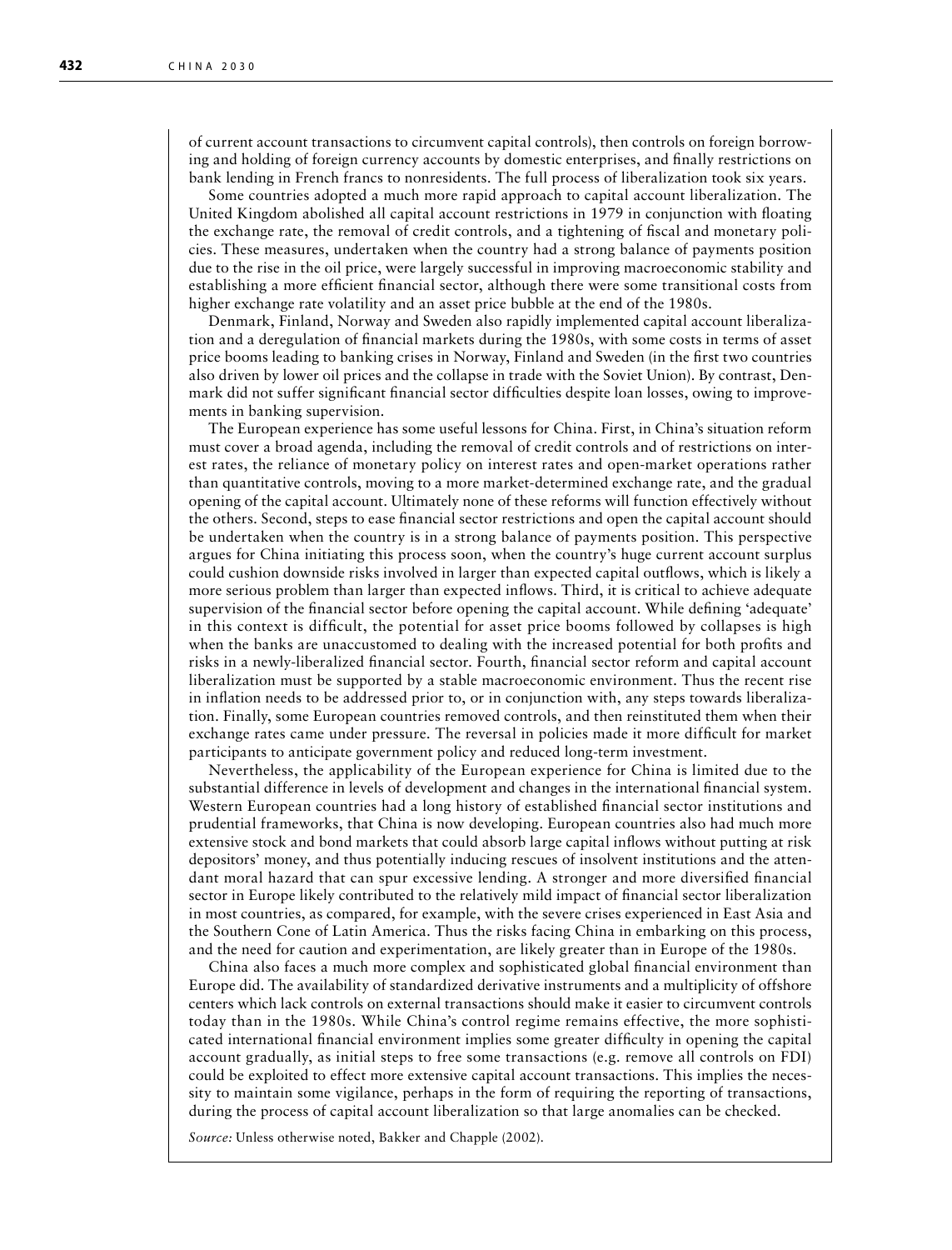of current account transactions to circumvent capital controls), then controls on foreign borrowing and holding of foreign currency accounts by domestic enterprises, and finally restrictions on bank lending in French francs to nonresidents. The full process of liberalization took six years.

Some countries adopted a much more rapid approach to capital account liberalization. The United Kingdom abolished all capital account restrictions in 1979 in conjunction with floating the exchange rate, the removal of credit controls, and a tightening of fiscal and monetary policies. These measures, undertaken when the country had a strong balance of payments position due to the rise in the oil price, were largely successful in improving macroeconomic stability and establishing a more efficient financial sector, although there were some transitional costs from higher exchange rate volatility and an asset price bubble at the end of the 1980s.

Denmark, Finland, Norway and Sweden also rapidly implemented capital account liberalization and a deregulation of financial markets during the 1980s, with some costs in terms of asset price booms leading to banking crises in Norway, Finland and Sweden (in the first two countries also driven by lower oil prices and the collapse in trade with the Soviet Union). By contrast, Denmark did not suffer significant financial sector difficulties despite loan losses, owing to improvements in banking supervision.

The European experience has some useful lessons for China. First, in China's situation reform must cover a broad agenda, including the removal of credit controls and of restrictions on interest rates, the reliance of monetary policy on interest rates and open-market operations rather than quantitative controls, moving to a more market-determined exchange rate, and the gradual opening of the capital account. Ultimately none of these reforms will function effectively without the others. Second, steps to ease financial sector restrictions and open the capital account should be undertaken when the country is in a strong balance of payments position. This perspective argues for China initiating this process soon, when the country's huge current account surplus could cushion downside risks involved in larger than expected capital outflows, which is likely a more serious problem than larger than expected inflows. Third, it is critical to achieve adequate supervision of the financial sector before opening the capital account. While defining 'adequate' in this context is difficult, the potential for asset price booms followed by collapses is high when the banks are unaccustomed to dealing with the increased potential for both profits and risks in a newly-liberalized financial sector. Fourth, financial sector reform and capital account liberalization must be supported by a stable macroeconomic environment. Thus the recent rise in inflation needs to be addressed prior to, or in conjunction with, any steps towards liberalization. Finally, some European countries removed controls, and then reinstituted them when their exchange rates came under pressure. The reversal in policies made it more difficult for market participants to anticipate government policy and reduced long-term investment.

Nevertheless, the applicability of the European experience for China is limited due to the substantial difference in levels of development and changes in the international financial system. Western European countries had a long history of established financial sector institutions and prudential frameworks, that China is now developing. European countries also had much more extensive stock and bond markets that could absorb large capital inflows without putting at risk depositors' money, and thus potentially inducing rescues of insolvent institutions and the attendant moral hazard that can spur excessive lending. A stronger and more diversified financial sector in Europe likely contributed to the relatively mild impact of financial sector liberalization in most countries, as compared, for example, with the severe crises experienced in East Asia and the Southern Cone of Latin America. Thus the risks facing China in embarking on this process, and the need for caution and experimentation, are likely greater than in Europe of the 1980s.

China also faces a much more complex and sophisticated global financial environment than Europe did. The availability of standardized derivative instruments and a multiplicity of offshore centers which lack controls on external transactions should make it easier to circumvent controls today than in the 1980s. While China's control regime remains effective, the more sophisticated international financial environment implies some greater difficulty in opening the capital account gradually, as initial steps to free some transactions (e.g. remove all controls on FDI) could be exploited to effect more extensive capital account transactions. This implies the necessity to maintain some vigilance, perhaps in the form of requiring the reporting of transactions, during the process of capital account liberalization so that large anomalies can be checked.

*Source:* Unless otherwise noted, Bakker and Chapple (2002).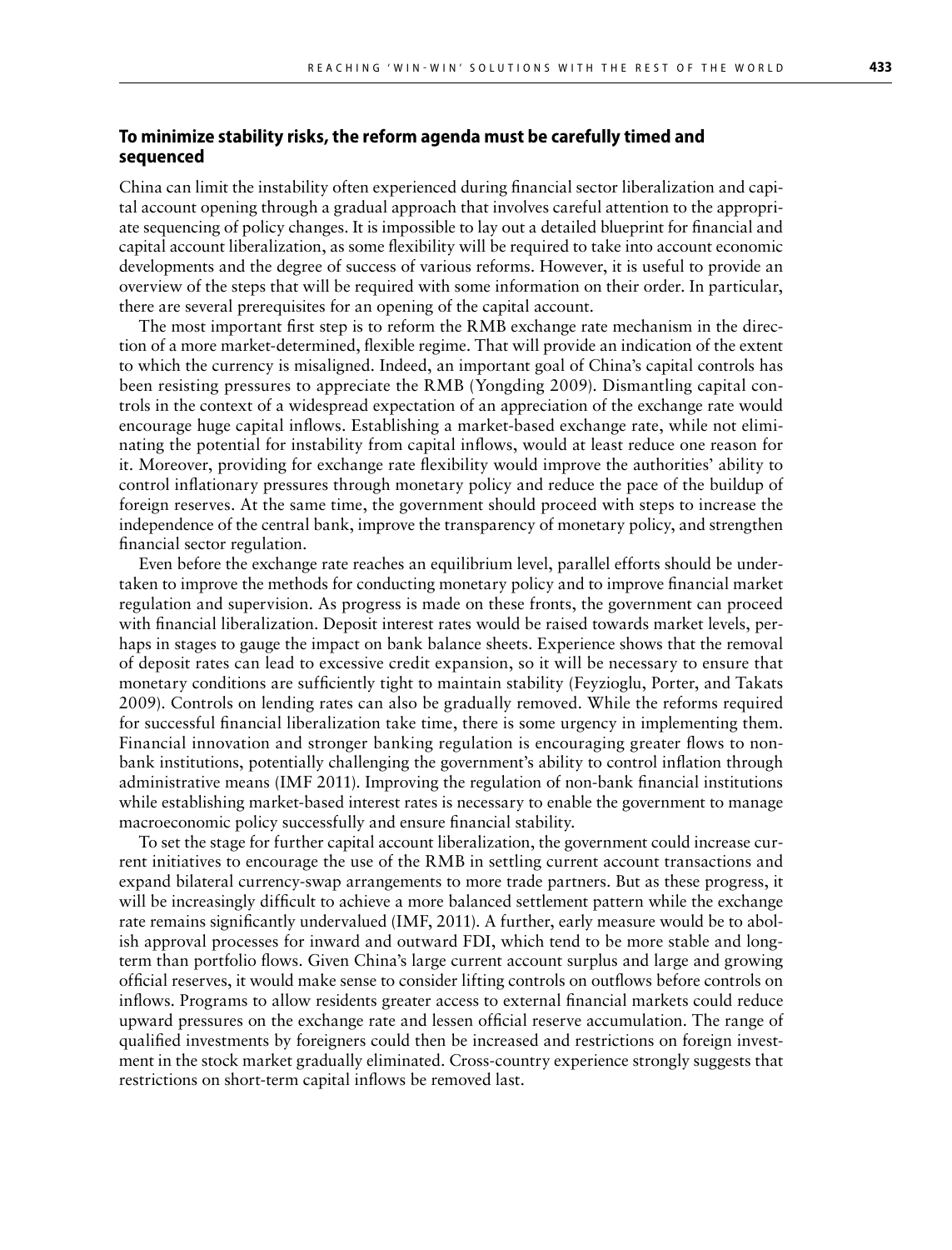## **To minimize stability risks, the reform agenda must be carefully timed and sequenced**

China can limit the instability often experienced during financial sector liberalization and capital account opening through a gradual approach that involves careful attention to the appropriate sequencing of policy changes. It is impossible to lay out a detailed blueprint for financial and capital account liberalization, as some flexibility will be required to take into account economic developments and the degree of success of various reforms. However, it is useful to provide an overview of the steps that will be required with some information on their order. In particular, there are several prerequisites for an opening of the capital account.

The most important first step is to reform the RMB exchange rate mechanism in the direction of a more market-determined, flexible regime. That will provide an indication of the extent to which the currency is misaligned. Indeed, an important goal of China's capital controls has been resisting pressures to appreciate the RMB (Yongding 2009). Dismantling capital controls in the context of a widespread expectation of an appreciation of the exchange rate would encourage huge capital inflows. Establishing a market-based exchange rate, while not eliminating the potential for instability from capital inflows, would at least reduce one reason for it. Moreover, providing for exchange rate flexibility would improve the authorities' ability to control inflationary pressures through monetary policy and reduce the pace of the buildup of foreign reserves. At the same time, the government should proceed with steps to increase the independence of the central bank, improve the transparency of monetary policy, and strengthen financial sector regulation.

Even before the exchange rate reaches an equilibrium level, parallel efforts should be undertaken to improve the methods for conducting monetary policy and to improve financial market regulation and supervision. As progress is made on these fronts, the government can proceed with financial liberalization. Deposit interest rates would be raised towards market levels, perhaps in stages to gauge the impact on bank balance sheets. Experience shows that the removal of deposit rates can lead to excessive credit expansion, so it will be necessary to ensure that monetary conditions are sufficiently tight to maintain stability (Feyzioglu, Porter, and Takats 2009). Controls on lending rates can also be gradually removed. While the reforms required for successful financial liberalization take time, there is some urgency in implementing them. Financial innovation and stronger banking regulation is encouraging greater flows to nonbank institutions, potentially challenging the government's ability to control inflation through administrative means (IMF 2011). Improving the regulation of non-bank financial institutions while establishing market-based interest rates is necessary to enable the government to manage macroeconomic policy successfully and ensure financial stability.

To set the stage for further capital account liberalization, the government could increase current initiatives to encourage the use of the RMB in settling current account transactions and expand bilateral currency-swap arrangements to more trade partners. But as these progress, it will be increasingly difficult to achieve a more balanced settlement pattern while the exchange rate remains significantly undervalued (IMF, 2011). A further, early measure would be to abolish approval processes for inward and outward FDI, which tend to be more stable and longterm than portfolio flows. Given China's large current account surplus and large and growing official reserves, it would make sense to consider lifting controls on outflows before controls on inflows. Programs to allow residents greater access to external financial markets could reduce upward pressures on the exchange rate and lessen official reserve accumulation. The range of qualified investments by foreigners could then be increased and restrictions on foreign investment in the stock market gradually eliminated. Cross-country experience strongly suggests that restrictions on short-term capital inflows be removed last.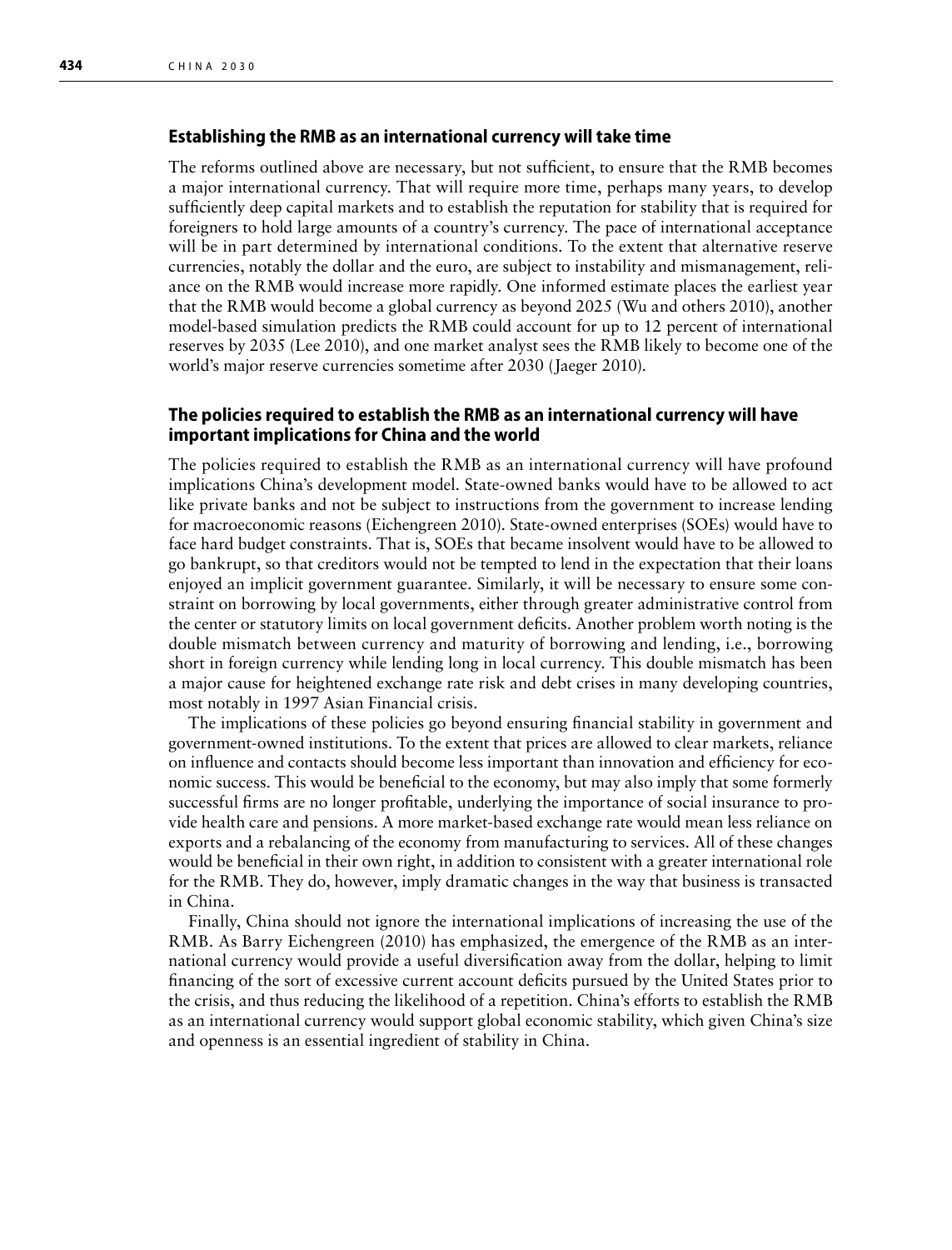#### **Establishing the RMB as an international currency will take time**

The reforms outlined above are necessary, but not sufficient, to ensure that the RMB becomes a major international currency. That will require more time, perhaps many years, to develop sufficiently deep capital markets and to establish the reputation for stability that is required for foreigners to hold large amounts of a country's currency. The pace of international acceptance will be in part determined by international conditions. To the extent that alternative reserve currencies, notably the dollar and the euro, are subject to instability and mismanagement, reliance on the RMB would increase more rapidly. One informed estimate places the earliest year that the RMB would become a global currency as beyond 2025 (Wu and others 2010), another model-based simulation predicts the RMB could account for up to 12 percent of international reserves by 2035 (Lee 2010), and one market analyst sees the RMB likely to become one of the world's major reserve currencies sometime after 2030 (Jaeger 2010).

#### **The policies required to establish the RMB as an international currency will have important implications for China and the world**

The policies required to establish the RMB as an international currency will have profound implications China's development model. State-owned banks would have to be allowed to act like private banks and not be subject to instructions from the government to increase lending for macroeconomic reasons (Eichengreen 2010). State-owned enterprises (SOEs) would have to face hard budget constraints. That is, SOEs that became insolvent would have to be allowed to go bankrupt, so that creditors would not be tempted to lend in the expectation that their loans enjoyed an implicit government guarantee. Similarly, it will be necessary to ensure some constraint on borrowing by local governments, either through greater administrative control from the center or statutory limits on local government deficits. Another problem worth noting is the double mismatch between currency and maturity of borrowing and lending, i.e., borrowing short in foreign currency while lending long in local currency. This double mismatch has been a major cause for heightened exchange rate risk and debt crises in many developing countries, most notably in 1997 Asian Financial crisis.

The implications of these policies go beyond ensuring financial stability in government and government-owned institutions. To the extent that prices are allowed to clear markets, reliance on influence and contacts should become less important than innovation and efficiency for economic success. This would be beneficial to the economy, but may also imply that some formerly successful firms are no longer profitable, underlying the importance of social insurance to provide health care and pensions. A more market-based exchange rate would mean less reliance on exports and a rebalancing of the economy from manufacturing to services. All of these changes would be beneficial in their own right, in addition to consistent with a greater international role for the RMB. They do, however, imply dramatic changes in the way that business is transacted in China.

Finally, China should not ignore the international implications of increasing the use of the RMB. As Barry Eichengreen (2010) has emphasized, the emergence of the RMB as an international currency would provide a useful diversification away from the dollar, helping to limit financing of the sort of excessive current account deficits pursued by the United States prior to the crisis, and thus reducing the likelihood of a repetition. China's efforts to establish the RMB as an international currency would support global economic stability, which given China's size and openness is an essential ingredient of stability in China.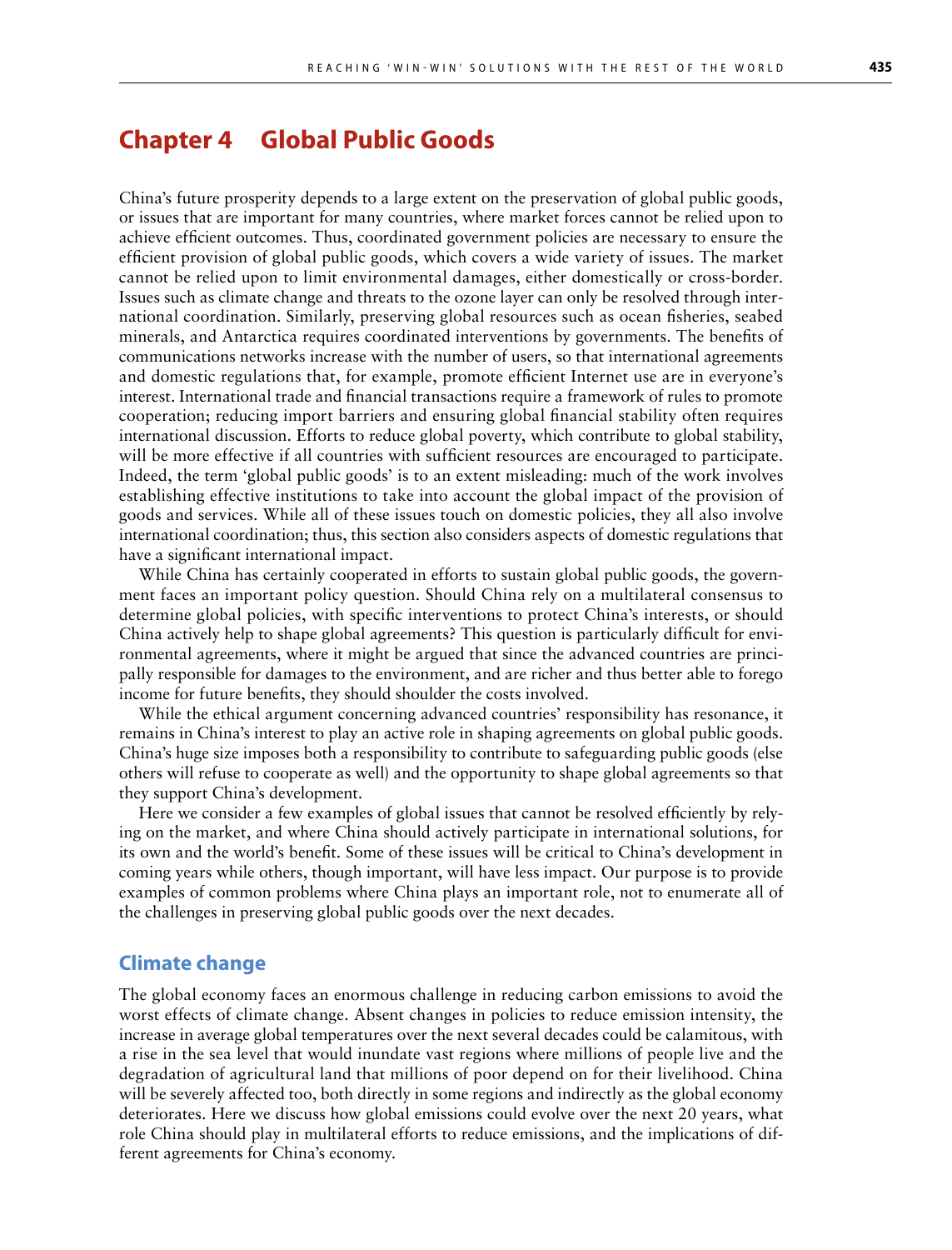# **Chapter 4 Global Public Goods**

China's future prosperity depends to a large extent on the preservation of global public goods, or issues that are important for many countries, where market forces cannot be relied upon to achieve efficient outcomes. Thus, coordinated government policies are necessary to ensure the efficient provision of global public goods, which covers a wide variety of issues. The market cannot be relied upon to limit environmental damages, either domestically or cross-border. Issues such as climate change and threats to the ozone layer can only be resolved through international coordination. Similarly, preserving global resources such as ocean fisheries, seabed minerals, and Antarctica requires coordinated interventions by governments. The benefits of communications networks increase with the number of users, so that international agreements and domestic regulations that, for example, promote efficient Internet use are in everyone's interest. International trade and financial transactions require a framework of rules to promote cooperation; reducing import barriers and ensuring global financial stability often requires international discussion. Efforts to reduce global poverty, which contribute to global stability, will be more effective if all countries with sufficient resources are encouraged to participate. Indeed, the term 'global public goods' is to an extent misleading: much of the work involves establishing effective institutions to take into account the global impact of the provision of goods and services. While all of these issues touch on domestic policies, they all also involve international coordination; thus, this section also considers aspects of domestic regulations that have a significant international impact.

While China has certainly cooperated in efforts to sustain global public goods, the government faces an important policy question. Should China rely on a multilateral consensus to determine global policies, with specific interventions to protect China's interests, or should China actively help to shape global agreements? This question is particularly difficult for environmental agreements, where it might be argued that since the advanced countries are principally responsible for damages to the environment, and are richer and thus better able to forego income for future benefits, they should shoulder the costs involved.

While the ethical argument concerning advanced countries' responsibility has resonance, it remains in China's interest to play an active role in shaping agreements on global public goods. China's huge size imposes both a responsibility to contribute to safeguarding public goods (else others will refuse to cooperate as well) and the opportunity to shape global agreements so that they support China's development.

Here we consider a few examples of global issues that cannot be resolved efficiently by relying on the market, and where China should actively participate in international solutions, for its own and the world's benefit. Some of these issues will be critical to China's development in coming years while others, though important, will have less impact. Our purpose is to provide examples of common problems where China plays an important role, not to enumerate all of the challenges in preserving global public goods over the next decades.

## **Climate change**

The global economy faces an enormous challenge in reducing carbon emissions to avoid the worst effects of climate change. Absent changes in policies to reduce emission intensity, the increase in average global temperatures over the next several decades could be calamitous, with a rise in the sea level that would inundate vast regions where millions of people live and the degradation of agricultural land that millions of poor depend on for their livelihood. China will be severely affected too, both directly in some regions and indirectly as the global economy deteriorates. Here we discuss how global emissions could evolve over the next 20 years, what role China should play in multilateral efforts to reduce emissions, and the implications of different agreements for China's economy.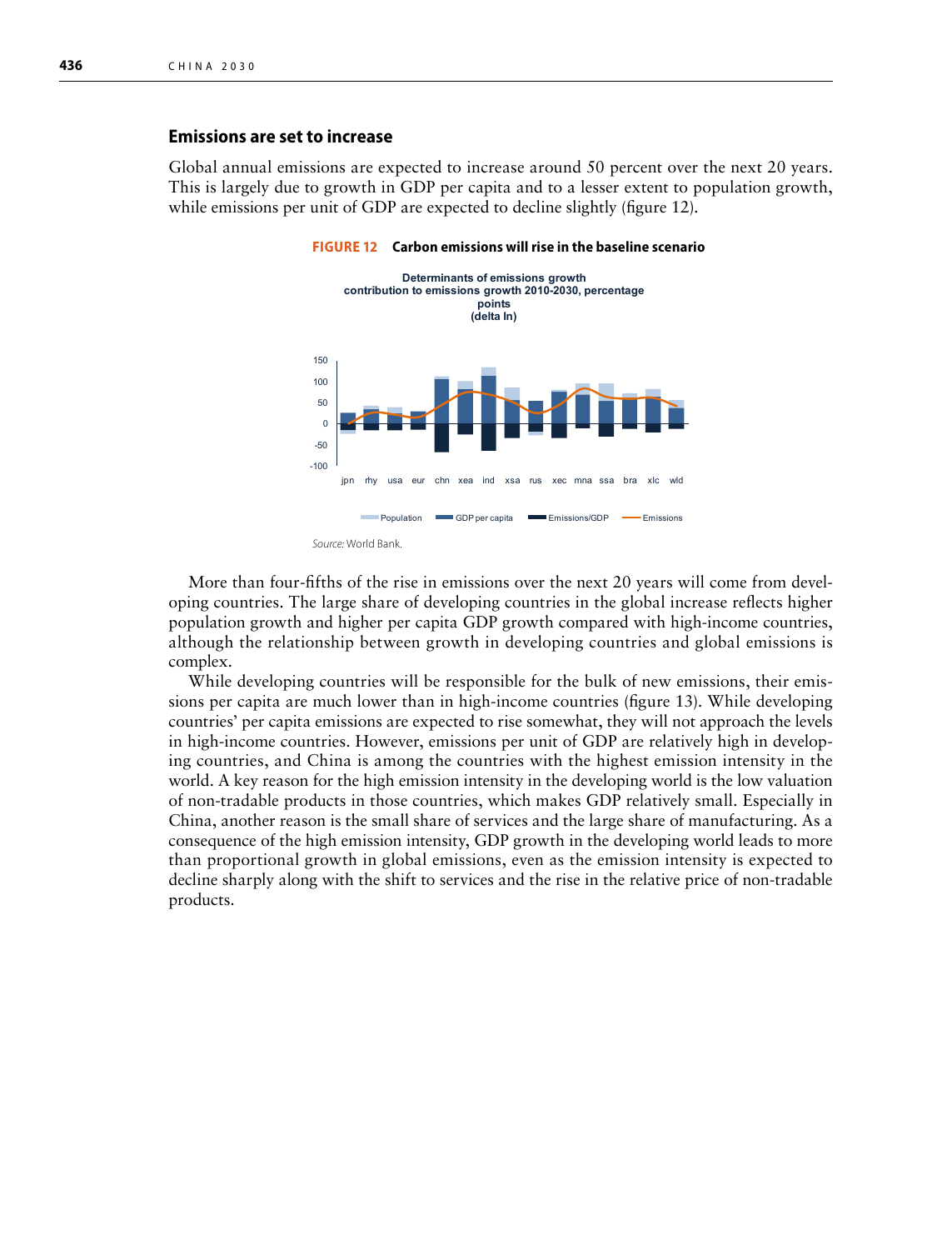#### **Emissions are set to increase**

Global annual emissions are expected to increase around 50 percent over the next 20 years. This is largely due to growth in GDP per capita and to a lesser extent to population growth, while emissions per unit of GDP are expected to decline slightly (figure 12).



#### **Figure 12 Carbon emissions will rise in the baseline scenario**

More than four-fifths of the rise in emissions over the next 20 years will come from developing countries. The large share of developing countries in the global increase reflects higher

population growth and higher per capita GDP growth compared with high-income countries, although the relationship between growth in developing countries and global emissions is complex. While developing countries will be responsible for the bulk of new emissions, their emis-

sions per capita are much lower than in high-income countries (figure 13). While developing countries' per capita emissions are expected to rise somewhat, they will not approach the levels in high-income countries. However, emissions per unit of GDP are relatively high in developing countries, and China is among the countries with the highest emission intensity in the world. A key reason for the high emission intensity in the developing world is the low valuation of non-tradable products in those countries, which makes GDP relatively small. Especially in China, another reason is the small share of services and the large share of manufacturing. As a consequence of the high emission intensity, GDP growth in the developing world leads to more than proportional growth in global emissions, even as the emission intensity is expected to decline sharply along with the shift to services and the rise in the relative price of non-tradable products.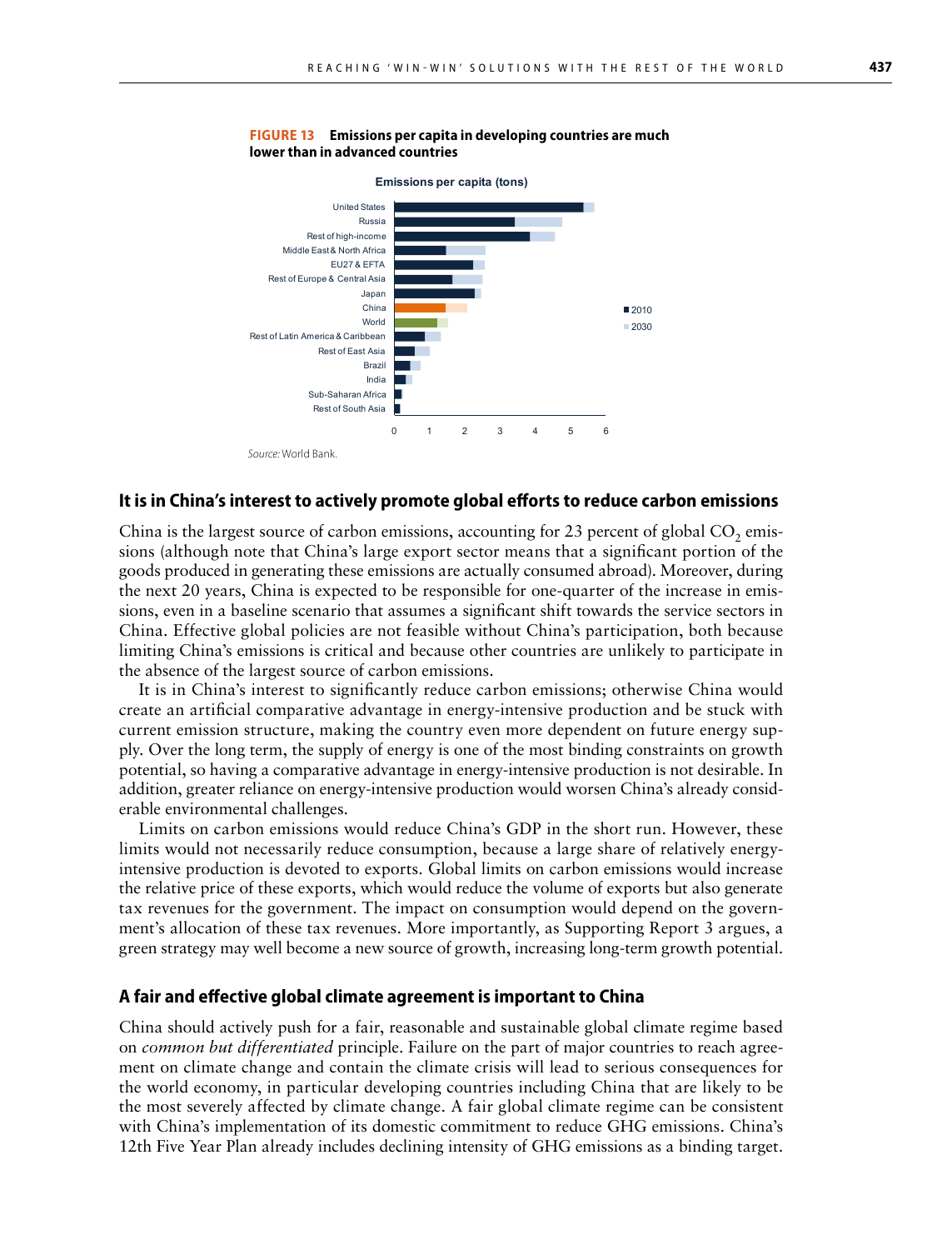

#### **Figure 13 Emissions per capita in developing countries are much lower than in advanced countries**

#### **It is in China's interest to actively promote global efforts to reduce carbon emissions**

China is the largest source of carbon emissions, accounting for 23 percent of global  $CO$ <sub>2</sub> emissions (although note that China's large export sector means that a significant portion of the goods produced in generating these emissions are actually consumed abroad). Moreover, during the next 20 years, China is expected to be responsible for one-quarter of the increase in emissions, even in a baseline scenario that assumes a significant shift towards the service sectors in China. Effective global policies are not feasible without China's participation, both because limiting China's emissions is critical and because other countries are unlikely to participate in the absence of the largest source of carbon emissions.

It is in China's interest to significantly reduce carbon emissions; otherwise China would create an artificial comparative advantage in energy-intensive production and be stuck with current emission structure, making the country even more dependent on future energy supply. Over the long term, the supply of energy is one of the most binding constraints on growth potential, so having a comparative advantage in energy-intensive production is not desirable. In addition, greater reliance on energy-intensive production would worsen China's already considerable environmental challenges.

Limits on carbon emissions would reduce China's GDP in the short run. However, these limits would not necessarily reduce consumption, because a large share of relatively energyintensive production is devoted to exports. Global limits on carbon emissions would increase the relative price of these exports, which would reduce the volume of exports but also generate tax revenues for the government. The impact on consumption would depend on the government's allocation of these tax revenues. More importantly, as Supporting Report 3 argues, a green strategy may well become a new source of growth, increasing long-term growth potential.

#### **A fair and effective global climate agreement is important to China**

China should actively push for a fair, reasonable and sustainable global climate regime based on *common but differentiated* principle. Failure on the part of major countries to reach agreement on climate change and contain the climate crisis will lead to serious consequences for the world economy, in particular developing countries including China that are likely to be the most severely affected by climate change. A fair global climate regime can be consistent with China's implementation of its domestic commitment to reduce GHG emissions. China's 12th Five Year Plan already includes declining intensity of GHG emissions as a binding target.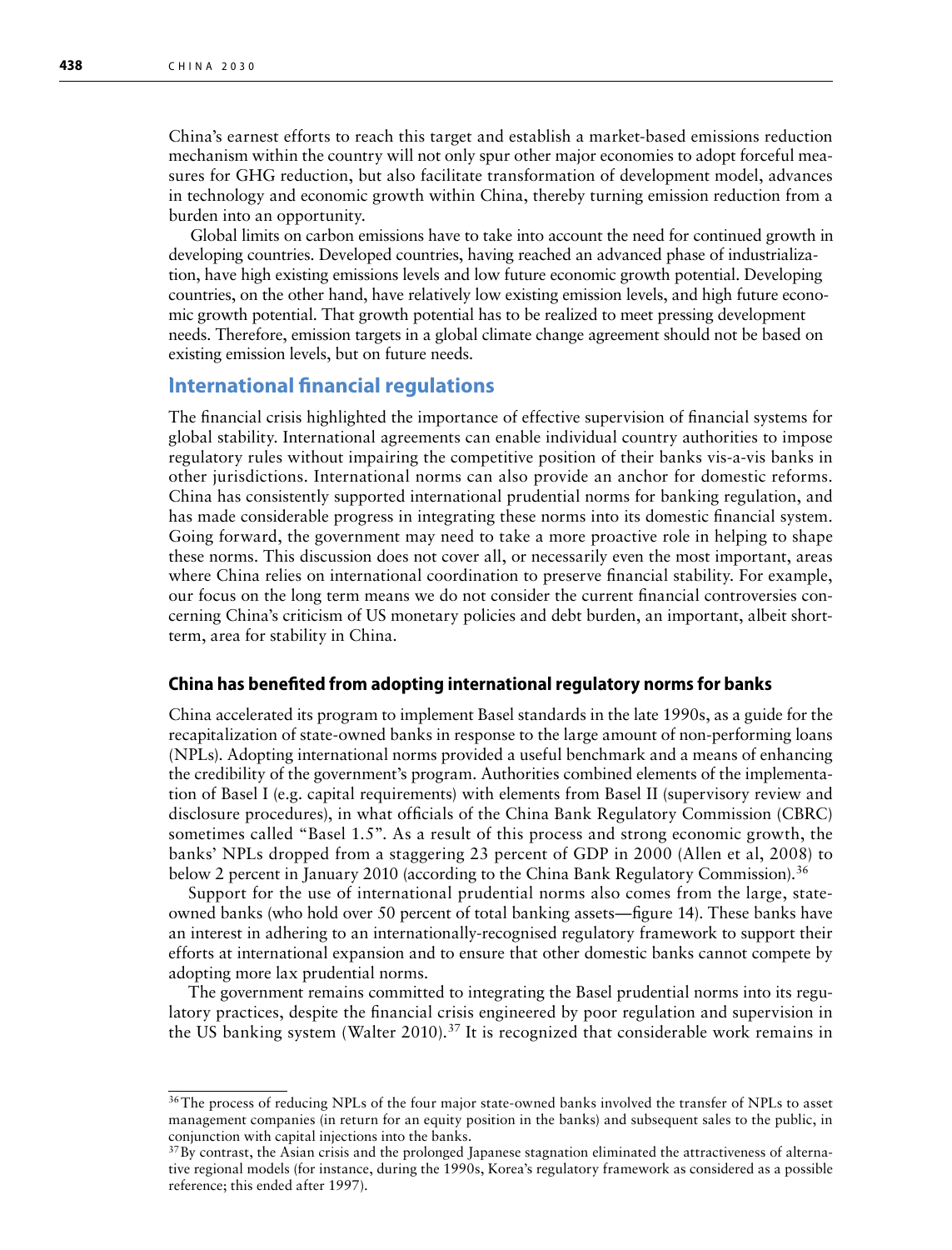China's earnest efforts to reach this target and establish a market-based emissions reduction mechanism within the country will not only spur other major economies to adopt forceful measures for GHG reduction, but also facilitate transformation of development model, advances in technology and economic growth within China, thereby turning emission reduction from a burden into an opportunity.

 Global limits on carbon emissions have to take into account the need for continued growth in developing countries. Developed countries, having reached an advanced phase of industrialization, have high existing emissions levels and low future economic growth potential. Developing countries, on the other hand, have relatively low existing emission levels, and high future economic growth potential. That growth potential has to be realized to meet pressing development needs. Therefore, emission targets in a global climate change agreement should not be based on existing emission levels, but on future needs.

# . **International financial regulations**

The financial crisis highlighted the importance of effective supervision of financial systems for global stability. International agreements can enable individual country authorities to impose regulatory rules without impairing the competitive position of their banks vis-a-vis banks in other jurisdictions. International norms can also provide an anchor for domestic reforms. China has consistently supported international prudential norms for banking regulation, and has made considerable progress in integrating these norms into its domestic financial system. Going forward, the government may need to take a more proactive role in helping to shape these norms. This discussion does not cover all, or necessarily even the most important, areas where China relies on international coordination to preserve financial stability. For example, our focus on the long term means we do not consider the current financial controversies concerning China's criticism of US monetary policies and debt burden, an important, albeit shortterm, area for stability in China.

#### **China has benefited from adopting international regulatory norms for banks**

China accelerated its program to implement Basel standards in the late 1990s, as a guide for the recapitalization of state-owned banks in response to the large amount of non-performing loans (NPLs). Adopting international norms provided a useful benchmark and a means of enhancing the credibility of the government's program. Authorities combined elements of the implementation of Basel I (e.g. capital requirements) with elements from Basel II (supervisory review and disclosure procedures), in what officials of the China Bank Regulatory Commission (CBRC) sometimes called "Basel 1.5". As a result of this process and strong economic growth, the banks' NPLs dropped from a staggering 23 percent of GDP in 2000 (Allen et al, 2008) to below 2 percent in January 2010 (according to the China Bank Regulatory Commission).<sup>36</sup>

Support for the use of international prudential norms also comes from the large, stateowned banks (who hold over 50 percent of total banking assets—figure 14). These banks have an interest in adhering to an internationally-recognised regulatory framework to support their efforts at international expansion and to ensure that other domestic banks cannot compete by adopting more lax prudential norms.

The government remains committed to integrating the Basel prudential norms into its regulatory practices, despite the financial crisis engineered by poor regulation and supervision in the US banking system (Walter 2010).<sup>37</sup> It is recognized that considerable work remains in

<sup>&</sup>lt;sup>36</sup>The process of reducing NPLs of the four major state-owned banks involved the transfer of NPLs to asset management companies (in return for an equity position in the banks) and subsequent sales to the public, in conjunction with capital injections into the banks.

<sup>&</sup>lt;sup>37</sup>By contrast, the Asian crisis and the prolonged Japanese stagnation eliminated the attractiveness of alternative regional models (for instance, during the 1990s, Korea's regulatory framework as considered as a possible reference; this ended after 1997).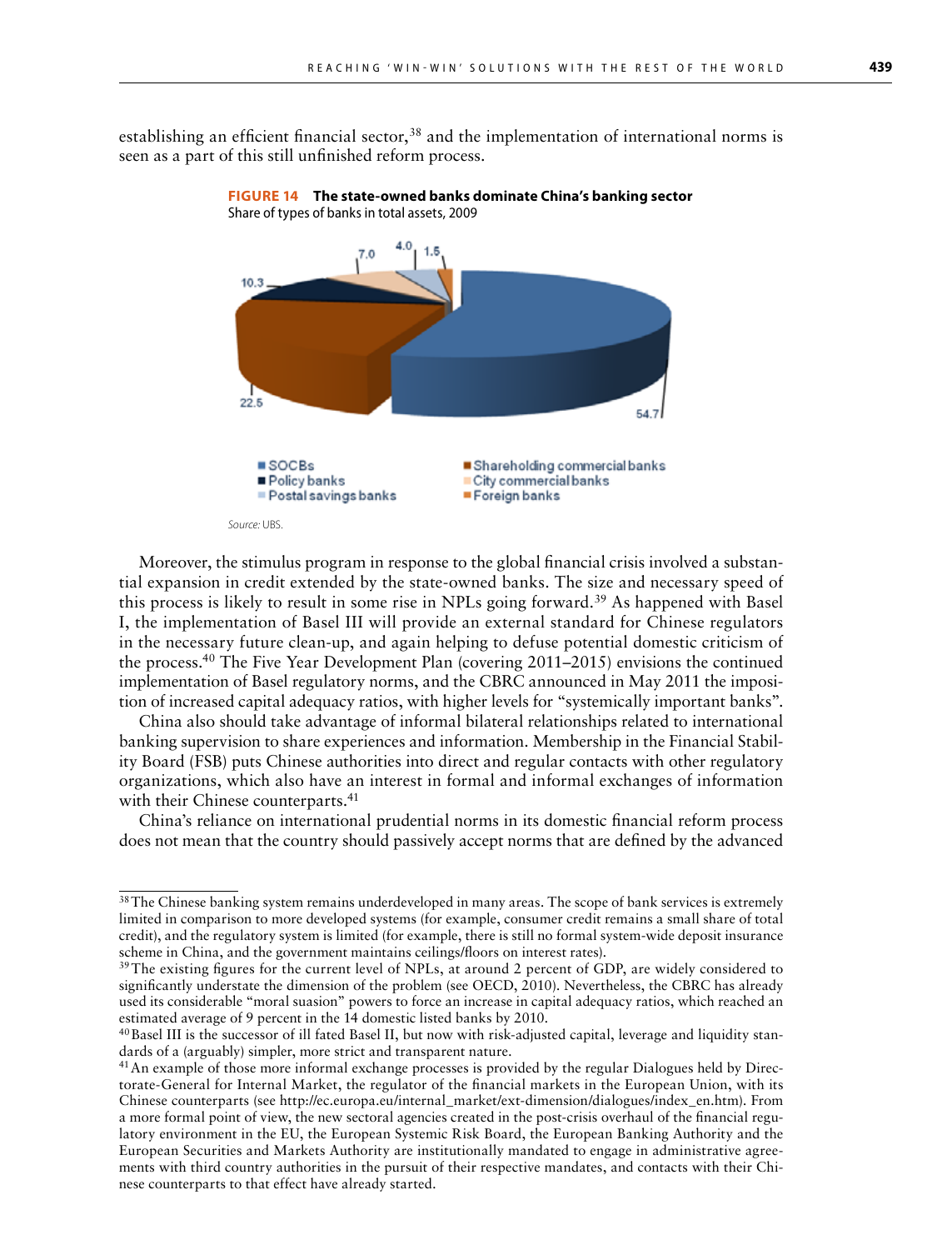establishing an efficient financial sector,  $38$  and the implementation of international norms is seen as a part of this still unfinished reform process.

**Figure 14 The state-owned banks dominate China's banking sector**



Moreover, the stimulus program in response to the global financial crisis involved a substantial expansion in credit extended by the state-owned banks. The size and necessary speed of this process is likely to result in some rise in NPLs going forward.39 As happened with Basel I, the implementation of Basel III will provide an external standard for Chinese regulators in the necessary future clean-up, and again helping to defuse potential domestic criticism of the process.40 The Five Year Development Plan (covering 2011–2015) envisions the continued implementation of Basel regulatory norms, and the CBRC announced in May 2011 the imposition of increased capital adequacy ratios, with higher levels for "systemically important banks".

China also should take advantage of informal bilateral relationships related to international banking supervision to share experiences and information. Membership in the Financial Stability Board (FSB) puts Chinese authorities into direct and regular contacts with other regulatory organizations, which also have an interest in formal and informal exchanges of information with their Chinese counterparts.<sup>41</sup>

China's reliance on international prudential norms in its domestic financial reform process does not mean that the country should passively accept norms that are defined by the advanced

<sup>&</sup>lt;sup>38</sup>The Chinese banking system remains underdeveloped in many areas. The scope of bank services is extremely limited in comparison to more developed systems (for example, consumer credit remains a small share of total credit), and the regulatory system is limited (for example, there is still no formal system-wide deposit insurance scheme in China, and the government maintains ceilings/floors on interest rates).

<sup>&</sup>lt;sup>39</sup>The existing figures for the current level of NPLs, at around 2 percent of GDP, are widely considered to significantly understate the dimension of the problem (see OECD, 2010). Nevertheless, the CBRC has already used its considerable "moral suasion" powers to force an increase in capital adequacy ratios, which reached an estimated average of 9 percent in the 14 domestic listed banks by 2010.

<sup>40</sup>Basel III is the successor of ill fated Basel II, but now with risk-adjusted capital, leverage and liquidity standards of a (arguably) simpler, more strict and transparent nature.

<sup>41</sup>An example of those more informal exchange processes is provided by the regular Dialogues held by Directorate-General for Internal Market, the regulator of the financial markets in the European Union, with its Chinese counterparts (see http://ec.europa.eu/internal\_market/ext-dimension/dialogues/index\_en.htm). From a more formal point of view, the new sectoral agencies created in the post-crisis overhaul of the financial regulatory environment in the EU, the European Systemic Risk Board, the European Banking Authority and the European Securities and Markets Authority are institutionally mandated to engage in administrative agreements with third country authorities in the pursuit of their respective mandates, and contacts with their Chinese counterparts to that effect have already started.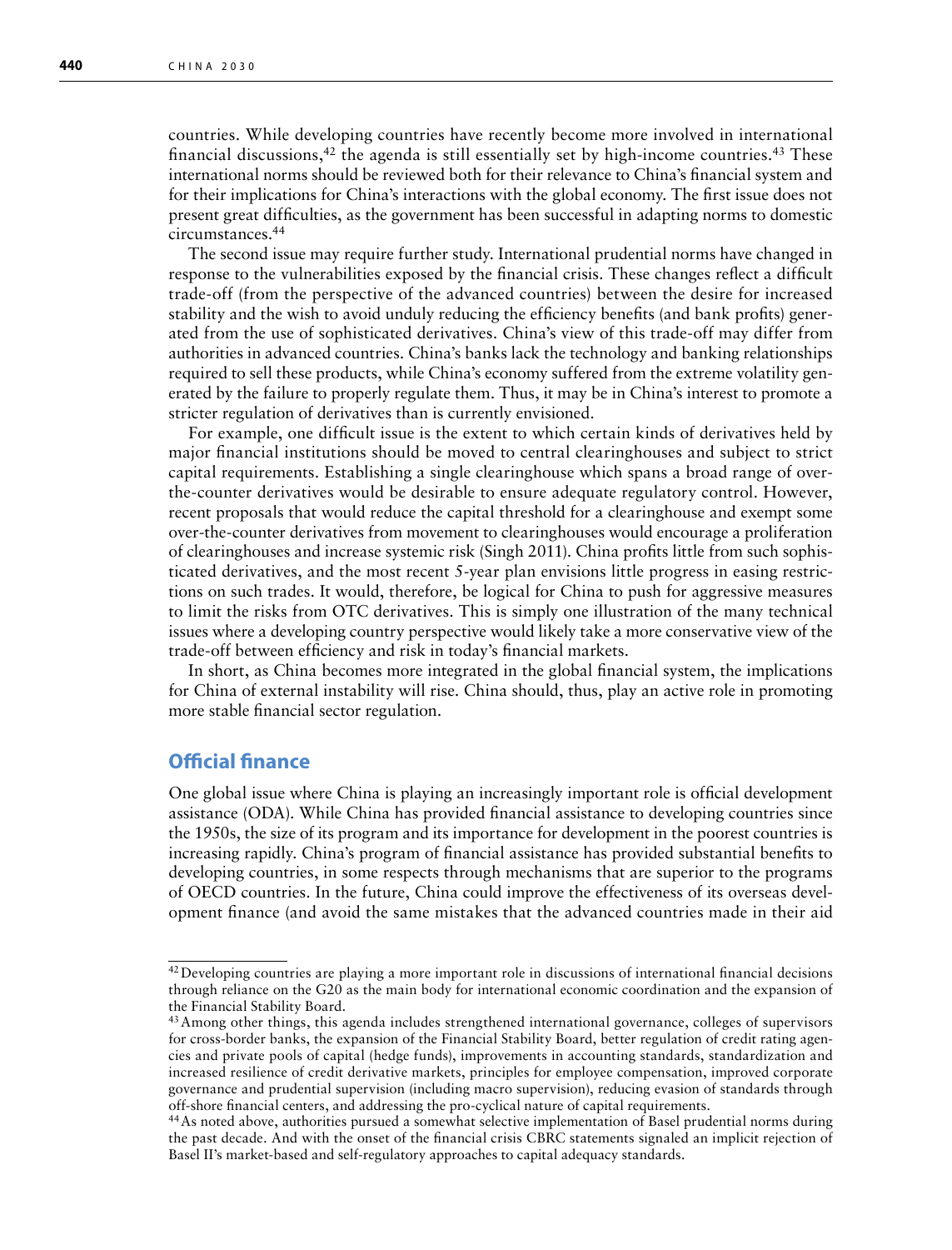countries. While developing countries have recently become more involved in international financial discussions,<sup>42</sup> the agenda is still essentially set by high-income countries.<sup>43</sup> These international norms should be reviewed both for their relevance to China's financial system and for their implications for China's interactions with the global economy. The first issue does not present great difficulties, as the government has been successful in adapting norms to domestic circumstances.44

The second issue may require further study. International prudential norms have changed in response to the vulnerabilities exposed by the financial crisis. These changes reflect a difficult trade-off (from the perspective of the advanced countries) between the desire for increased stability and the wish to avoid unduly reducing the efficiency benefits (and bank profits) generated from the use of sophisticated derivatives. China's view of this trade-off may differ from authorities in advanced countries. China's banks lack the technology and banking relationships required to sell these products, while China's economy suffered from the extreme volatility generated by the failure to properly regulate them. Thus, it may be in China's interest to promote a stricter regulation of derivatives than is currently envisioned.

For example, one difficult issue is the extent to which certain kinds of derivatives held by major financial institutions should be moved to central clearinghouses and subject to strict capital requirements. Establishing a single clearinghouse which spans a broad range of overthe-counter derivatives would be desirable to ensure adequate regulatory control. However, recent proposals that would reduce the capital threshold for a clearinghouse and exempt some over-the-counter derivatives from movement to clearinghouses would encourage a proliferation of clearinghouses and increase systemic risk (Singh 2011). China profits little from such sophisticated derivatives, and the most recent 5-year plan envisions little progress in easing restrictions on such trades. It would, therefore, be logical for China to push for aggressive measures to limit the risks from OTC derivatives. This is simply one illustration of the many technical issues where a developing country perspective would likely take a more conservative view of the trade-off between efficiency and risk in today's financial markets.

In short, as China becomes more integrated in the global financial system, the implications for China of external instability will rise. China should, thus, play an active role in promoting more stable financial sector regulation.

## **Official finance**

One global issue where China is playing an increasingly important role is official development assistance (ODA). While China has provided financial assistance to developing countries since the 1950s, the size of its program and its importance for development in the poorest countries is increasing rapidly. China's program of financial assistance has provided substantial benefits to developing countries, in some respects through mechanisms that are superior to the programs of OECD countries. In the future, China could improve the effectiveness of its overseas development finance (and avoid the same mistakes that the advanced countries made in their aid

<sup>42</sup>Developing countries are playing a more important role in discussions of international financial decisions through reliance on the G20 as the main body for international economic coordination and the expansion of the Financial Stability Board.

<sup>43</sup> Among other things, this agenda includes strengthened international governance, colleges of supervisors for cross-border banks, the expansion of the Financial Stability Board, better regulation of credit rating agencies and private pools of capital (hedge funds), improvements in accounting standards, standardization and increased resilience of credit derivative markets, principles for employee compensation, improved corporate governance and prudential supervision (including macro supervision), reducing evasion of standards through off-shore financial centers, and addressing the pro-cyclical nature of capital requirements.

<sup>44</sup>As noted above, authorities pursued a somewhat selective implementation of Basel prudential norms during the past decade. And with the onset of the financial crisis CBRC statements signaled an implicit rejection of Basel II's market-based and self-regulatory approaches to capital adequacy standards.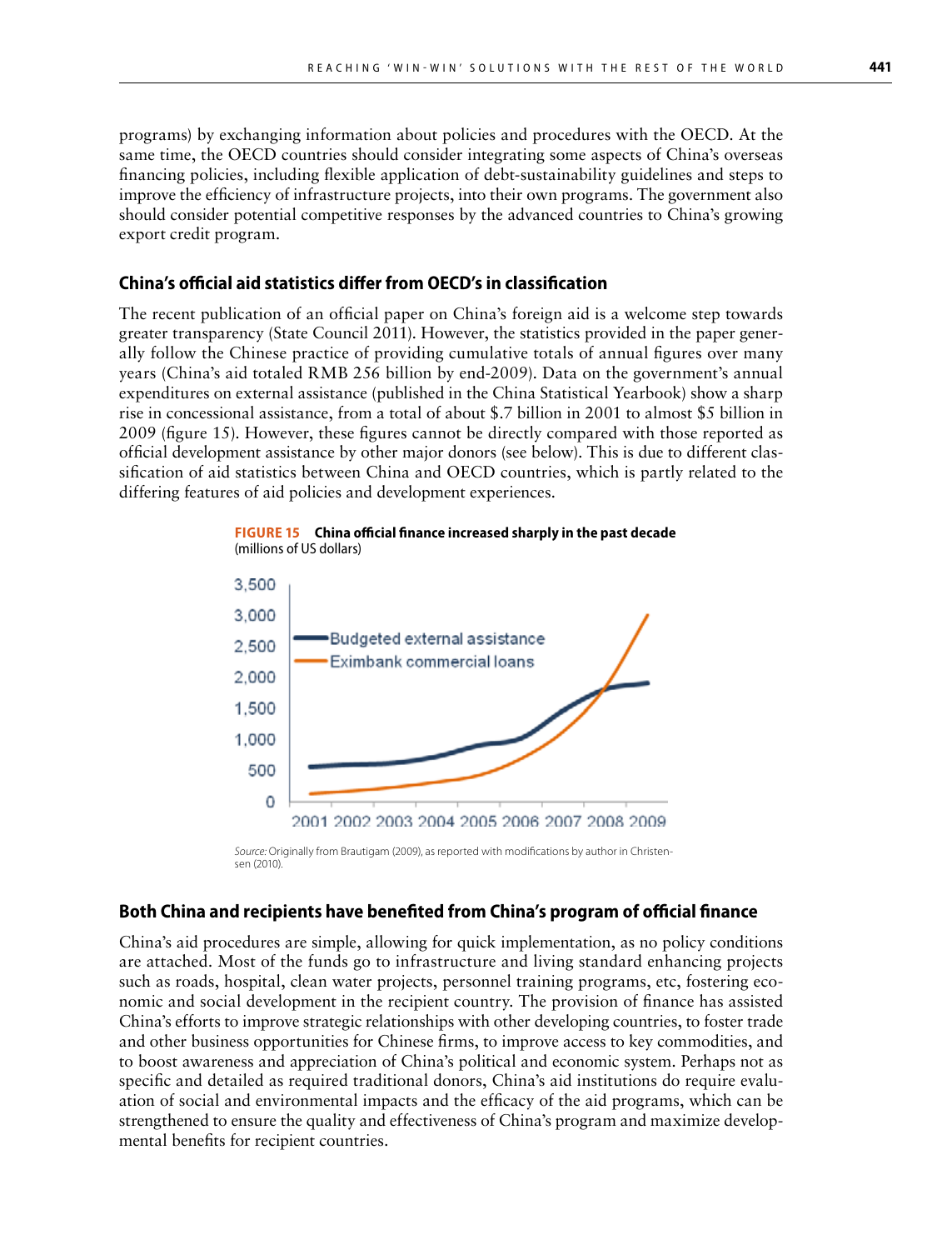programs) by exchanging information about policies and procedures with the OECD. At the same time, the OECD countries should consider integrating some aspects of China's overseas financing policies, including flexible application of debt-sustainability guidelines and steps to improve the efficiency of infrastructure projects, into their own programs. The government also should consider potential competitive responses by the advanced countries to China's growing export credit program.

#### **China's official aid statistics differ from OECD's in classification**

The recent publication of an official paper on China's foreign aid is a welcome step towards greater transparency (State Council 2011). However, the statistics provided in the paper generally follow the Chinese practice of providing cumulative totals of annual figures over many years (China's aid totaled RMB 256 billion by end-2009). Data on the government's annual expenditures on external assistance (published in the China Statistical Yearbook) show a sharp rise in concessional assistance, from a total of about \$.7 billion in 2001 to almost \$5 billion in 2009 (figure 15). However, these figures cannot be directly compared with those reported as official development assistance by other major donors (see below). This is due to different classification of aid statistics between China and OECD countries, which is partly related to the differing features of aid policies and development experiences.





## **Both China and recipients have benefited from China's program of official finance**

China's aid procedures are simple, allowing for quick implementation, as no policy conditions are attached. Most of the funds go to infrastructure and living standard enhancing projects such as roads, hospital, clean water projects, personnel training programs, etc, fostering economic and social development in the recipient country. The provision of finance has assisted China's efforts to improve strategic relationships with other developing countries, to foster trade and other business opportunities for Chinese firms, to improve access to key commodities, and to boost awareness and appreciation of China's political and economic system. Perhaps not as specific and detailed as required traditional donors, China's aid institutions do require evaluation of social and environmental impacts and the efficacy of the aid programs, which can be strengthened to ensure the quality and effectiveness of China's program and maximize developmental benefits for recipient countries.

*Source:* Originally from Brautigam (2009), as reported with modifications by author in Christensen (2010).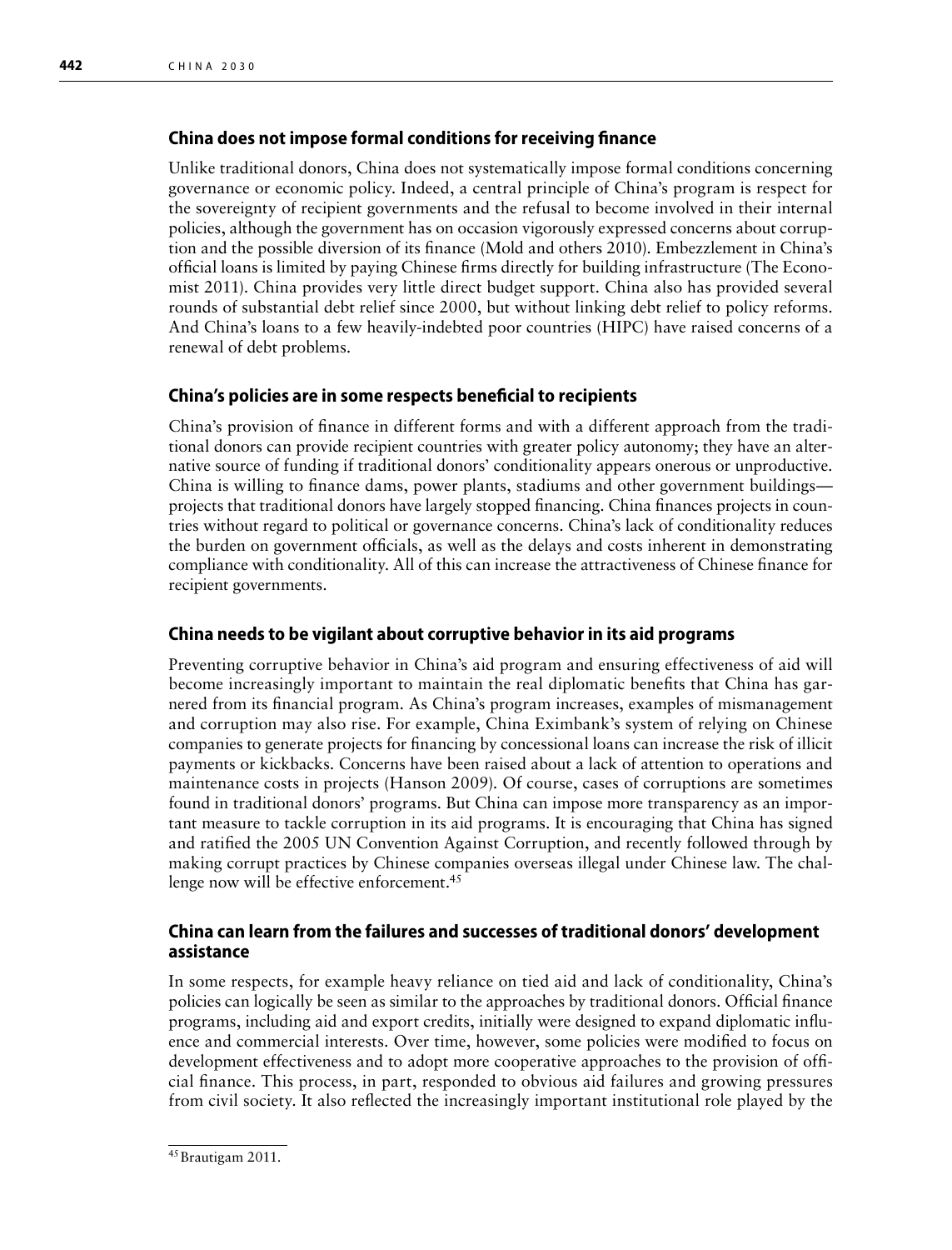#### **China does not impose formal conditions for receiving finance**

Unlike traditional donors, China does not systematically impose formal conditions concerning governance or economic policy. Indeed, a central principle of China's program is respect for the sovereignty of recipient governments and the refusal to become involved in their internal policies, although the government has on occasion vigorously expressed concerns about corruption and the possible diversion of its finance (Mold and others 2010). Embezzlement in China's official loans is limited by paying Chinese firms directly for building infrastructure (The Economist 2011). China provides very little direct budget support. China also has provided several rounds of substantial debt relief since 2000, but without linking debt relief to policy reforms. And China's loans to a few heavily-indebted poor countries (HIPC) have raised concerns of a renewal of debt problems.

#### **China's policies are in some respects beneficial to recipients**

China's provision of finance in different forms and with a different approach from the traditional donors can provide recipient countries with greater policy autonomy; they have an alternative source of funding if traditional donors' conditionality appears onerous or unproductive. China is willing to finance dams, power plants, stadiums and other government buildings projects that traditional donors have largely stopped financing. China finances projects in countries without regard to political or governance concerns. China's lack of conditionality reduces the burden on government officials, as well as the delays and costs inherent in demonstrating compliance with conditionality. All of this can increase the attractiveness of Chinese finance for recipient governments.

#### **China needs to be vigilant about corruptive behavior in its aid programs**

Preventing corruptive behavior in China's aid program and ensuring effectiveness of aid will become increasingly important to maintain the real diplomatic benefits that China has garnered from its financial program. As China's program increases, examples of mismanagement and corruption may also rise. For example, China Eximbank's system of relying on Chinese companies to generate projects for financing by concessional loans can increase the risk of illicit payments or kickbacks. Concerns have been raised about a lack of attention to operations and maintenance costs in projects (Hanson 2009). Of course, cases of corruptions are sometimes found in traditional donors' programs. But China can impose more transparency as an important measure to tackle corruption in its aid programs. It is encouraging that China has signed and ratified the 2005 UN Convention Against Corruption, and recently followed through by making corrupt practices by Chinese companies overseas illegal under Chinese law. The challenge now will be effective enforcement.<sup>45</sup>

## **China can learn from the failures and successes of traditional donors' development assistance**

In some respects, for example heavy reliance on tied aid and lack of conditionality, China's policies can logically be seen as similar to the approaches by traditional donors. Official finance programs, including aid and export credits, initially were designed to expand diplomatic influence and commercial interests. Over time, however, some policies were modified to focus on development effectiveness and to adopt more cooperative approaches to the provision of official finance. This process, in part, responded to obvious aid failures and growing pressures from civil society. It also reflected the increasingly important institutional role played by the

<sup>&</sup>lt;sup>45</sup> Brautigam 2011.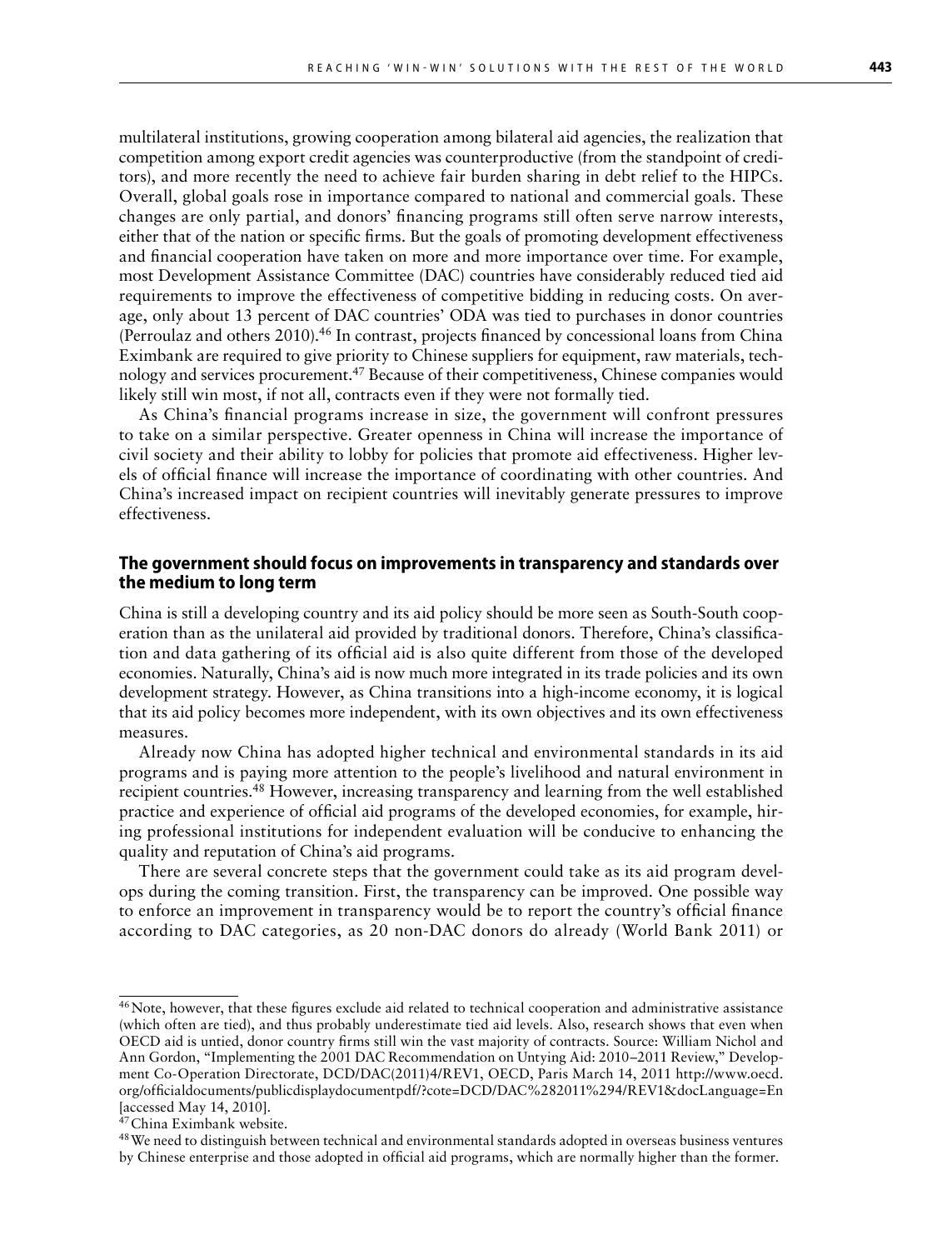multilateral institutions, growing cooperation among bilateral aid agencies, the realization that competition among export credit agencies was counterproductive (from the standpoint of creditors), and more recently the need to achieve fair burden sharing in debt relief to the HIPCs. Overall, global goals rose in importance compared to national and commercial goals. These changes are only partial, and donors' financing programs still often serve narrow interests, either that of the nation or specific firms. But the goals of promoting development effectiveness and financial cooperation have taken on more and more importance over time. For example, most Development Assistance Committee (DAC) countries have considerably reduced tied aid requirements to improve the effectiveness of competitive bidding in reducing costs. On average, only about 13 percent of DAC countries' ODA was tied to purchases in donor countries (Perroulaz and others 2010).46 In contrast, projects financed by concessional loans from China Eximbank are required to give priority to Chinese suppliers for equipment, raw materials, technology and services procurement.47 Because of their competitiveness, Chinese companies would likely still win most, if not all, contracts even if they were not formally tied.

As China's financial programs increase in size, the government will confront pressures to take on a similar perspective. Greater openness in China will increase the importance of civil society and their ability to lobby for policies that promote aid effectiveness. Higher levels of official finance will increase the importance of coordinating with other countries. And China's increased impact on recipient countries will inevitably generate pressures to improve effectiveness.

## **The government should focus on improvements in transparency and standards over the medium to long term**

China is still a developing country and its aid policy should be more seen as South-South cooperation than as the unilateral aid provided by traditional donors. Therefore, China's classification and data gathering of its official aid is also quite different from those of the developed economies. Naturally, China's aid is now much more integrated in its trade policies and its own development strategy. However, as China transitions into a high-income economy, it is logical that its aid policy becomes more independent, with its own objectives and its own effectiveness measures.

Already now China has adopted higher technical and environmental standards in its aid programs and is paying more attention to the people's livelihood and natural environment in recipient countries.48 However, increasing transparency and learning from the well established practice and experience of official aid programs of the developed economies, for example, hiring professional institutions for independent evaluation will be conducive to enhancing the quality and reputation of China's aid programs.

There are several concrete steps that the government could take as its aid program develops during the coming transition. First, the transparency can be improved. One possible way to enforce an improvement in transparency would be to report the country's official finance according to DAC categories, as 20 non-DAC donors do already (World Bank 2011) or

<sup>46</sup>Note, however, that these figures exclude aid related to technical cooperation and administrative assistance (which often are tied), and thus probably underestimate tied aid levels. Also, research shows that even when OECD aid is untied, donor country firms still win the vast majority of contracts. Source: William Nichol and Ann Gordon, "Implementing the 2001 DAC Recommendation on Untying Aid: 2010–2011 Review," Development Co-Operation Directorate, DCD/DAC(2011)4/REV1, OECD, Paris March 14, 2011 http://www.oecd. org/officialdocuments/publicdisplaydocumentpdf/?cote=DCD/DAC%282011%294/REV1&docLanguage=En [accessed May 14, 2010].

<sup>47</sup>China Eximbank website.

<sup>48</sup>We need to distinguish between technical and environmental standards adopted in overseas business ventures by Chinese enterprise and those adopted in official aid programs, which are normally higher than the former.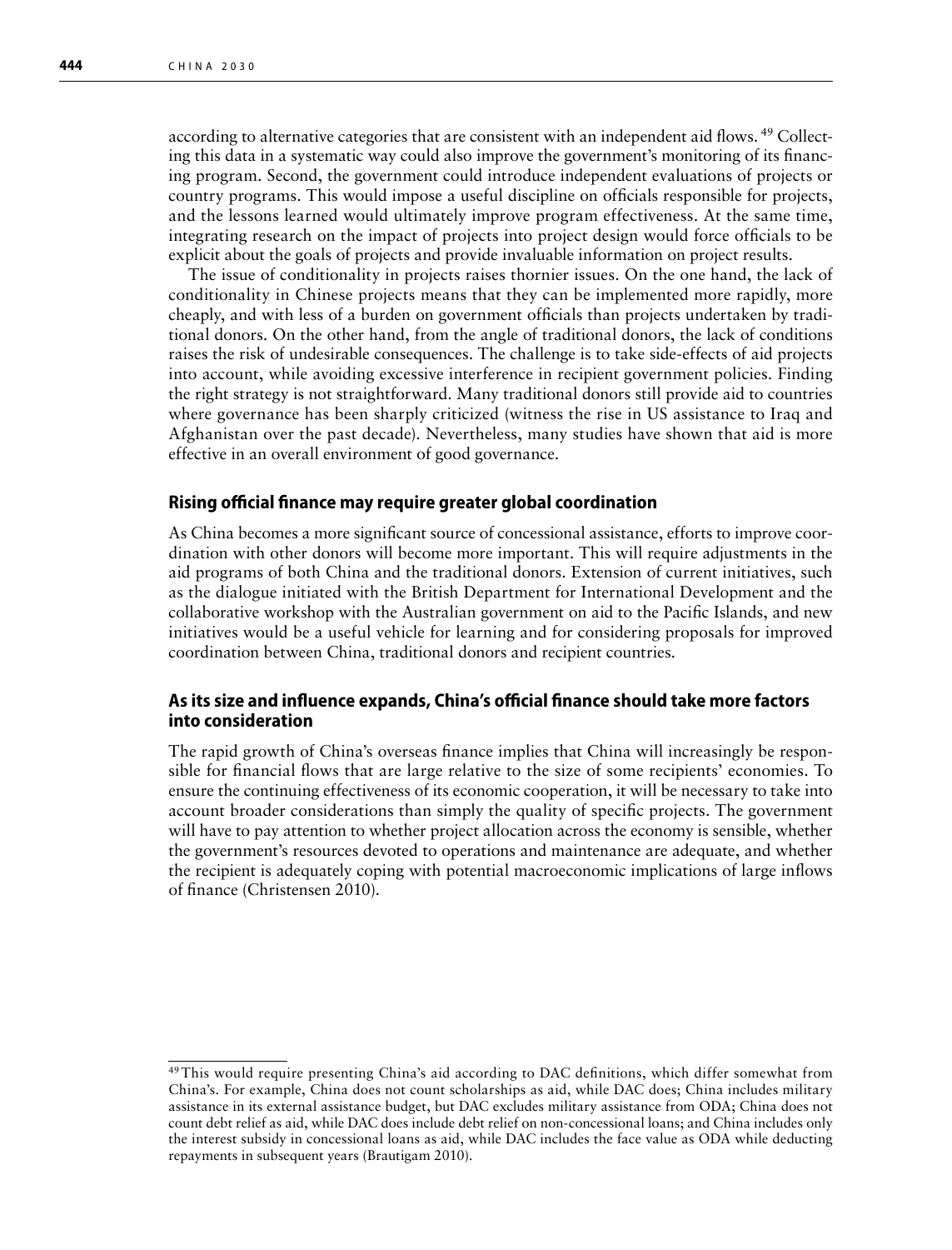according to alternative categories that are consistent with an independent aid flows.<sup>49</sup> Collecting this data in a systematic way could also improve the government's monitoring of its financing program. Second, the government could introduce independent evaluations of projects or country programs. This would impose a useful discipline on officials responsible for projects, and the lessons learned would ultimately improve program effectiveness. At the same time, integrating research on the impact of projects into project design would force officials to be explicit about the goals of projects and provide invaluable information on project results.

The issue of conditionality in projects raises thornier issues. On the one hand, the lack of conditionality in Chinese projects means that they can be implemented more rapidly, more cheaply, and with less of a burden on government officials than projects undertaken by traditional donors. On the other hand, from the angle of traditional donors, the lack of conditions raises the risk of undesirable consequences. The challenge is to take side-effects of aid projects into account, while avoiding excessive interference in recipient government policies. Finding the right strategy is not straightforward. Many traditional donors still provide aid to countries where governance has been sharply criticized (witness the rise in US assistance to Iraq and Afghanistan over the past decade). Nevertheless, many studies have shown that aid is more effective in an overall environment of good governance.

#### **Rising official finance may require greater global coordination**

As China becomes a more significant source of concessional assistance, efforts to improve coordination with other donors will become more important. This will require adjustments in the aid programs of both China and the traditional donors. Extension of current initiatives, such as the dialogue initiated with the British Department for International Development and the collaborative workshop with the Australian government on aid to the Pacific Islands, and new initiatives would be a useful vehicle for learning and for considering proposals for improved coordination between China, traditional donors and recipient countries.

## **As its size and influence expands, China's official finance should take more factors into consideration**

The rapid growth of China's overseas finance implies that China will increasingly be responsible for financial flows that are large relative to the size of some recipients' economies. To ensure the continuing effectiveness of its economic cooperation, it will be necessary to take into account broader considerations than simply the quality of specific projects. The government will have to pay attention to whether project allocation across the economy is sensible, whether the government's resources devoted to operations and maintenance are adequate, and whether the recipient is adequately coping with potential macroeconomic implications of large inflows of finance (Christensen 2010).

<sup>&</sup>lt;sup>49</sup>This would require presenting China's aid according to DAC definitions, which differ somewhat from China's. For example, China does not count scholarships as aid, while DAC does; China includes military assistance in its external assistance budget, but DAC excludes military assistance from ODA; China does not count debt relief as aid, while DAC does include debt relief on non-concessional loans; and China includes only the interest subsidy in concessional loans as aid, while DAC includes the face value as ODA while deducting repayments in subsequent years (Brautigam 2010).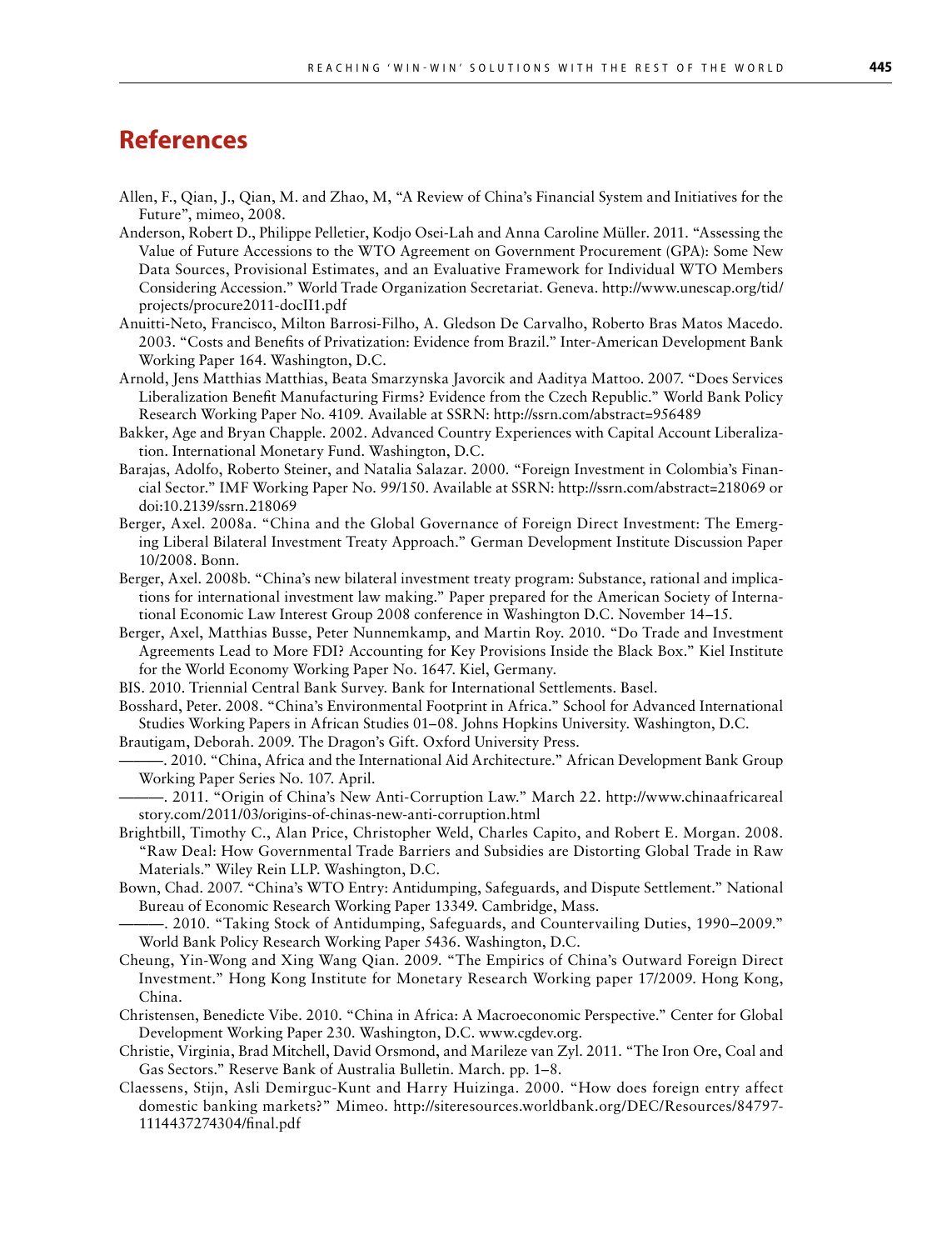## **References**

- Allen, F., Qian, J., Qian, M. and Zhao, M, "A Review of China's Financial System and Initiatives for the Future", mimeo, 2008.
- Anderson, Robert D., Philippe Pelletier, Kodjo Osei-Lah and Anna Caroline Müller. 2011. "Assessing the Value of Future Accessions to the WTO Agreement on Government Procurement (GPA): Some New Data Sources, Provisional Estimates, and an Evaluative Framework for Individual WTO Members Considering Accession." World Trade Organization Secretariat. Geneva. http://www.unescap.org/tid/ projects/procure2011-docII1.pdf
- Anuitti-Neto, Francisco, Milton Barrosi-Filho, A. Gledson De Carvalho, Roberto Bras Matos Macedo. 2003. "Costs and Benefits of Privatization: Evidence from Brazil." Inter-American Development Bank Working Paper 164. Washington, D.C.
- Arnold, Jens Matthias Matthias, Beata Smarzynska Javorcik and Aaditya Mattoo. 2007. "Does Services Liberalization Benefit Manufacturing Firms? Evidence from the Czech Republic." World Bank Policy Research Working Paper No. 4109. Available at SSRN: http://ssrn.com/abstract=956489
- Bakker, Age and Bryan Chapple. 2002. Advanced Country Experiences with Capital Account Liberalization. International Monetary Fund. Washington, D.C.
- Barajas, Adolfo, Roberto Steiner, and Natalia Salazar. 2000. "Foreign Investment in Colombia's Financial Sector." IMF Working Paper No. 99/150. Available at SSRN: http://ssrn.com/abstract=218069 or doi:10.2139/ssrn.218069
- Berger, Axel. 2008a. "China and the Global Governance of Foreign Direct Investment: The Emerging Liberal Bilateral Investment Treaty Approach." German Development Institute Discussion Paper 10/2008. Bonn.
- Berger, Axel. 2008b. "China's new bilateral investment treaty program: Substance, rational and implications for international investment law making." Paper prepared for the American Society of International Economic Law Interest Group 2008 conference in Washington D.C. November 14–15.
- Berger, Axel, Matthias Busse, Peter Nunnemkamp, and Martin Roy. 2010. "Do Trade and Investment Agreements Lead to More FDI? Accounting for Key Provisions Inside the Black Box." Kiel Institute for the World Economy Working Paper No. 1647. Kiel, Germany.
- BIS. 2010. Triennial Central Bank Survey. Bank for International Settlements. Basel.
- Bosshard, Peter. 2008. "China's Environmental Footprint in Africa." School for Advanced International Studies Working Papers in African Studies 01–08. Johns Hopkins University. Washington, D.C.
- Brautigam, Deborah. 2009. The Dragon's Gift. Oxford University Press.
- ———. 2010. "China, Africa and the International Aid Architecture." African Development Bank Group Working Paper Series No. 107. April.
- ———. 2011. "Origin of China's New Anti-Corruption Law." March 22. http://www.chinaafricareal story.com/2011/03/origins-of-chinas-new-anti-corruption.html
- Brightbill, Timothy C., Alan Price, Christopher Weld, Charles Capito, and Robert E. Morgan. 2008. "Raw Deal: How Governmental Trade Barriers and Subsidies are Distorting Global Trade in Raw Materials." Wiley Rein LLP. Washington, D.C.
- Bown, Chad. 2007. "China's WTO Entry: Antidumping, Safeguards, and Dispute Settlement." National Bureau of Economic Research Working Paper 13349. Cambridge, Mass.
- ———. 2010. "Taking Stock of Antidumping, Safeguards, and Countervailing Duties, 1990–2009." World Bank Policy Research Working Paper 5436. Washington, D.C.
- Cheung, Yin-Wong and Xing Wang Qian. 2009. "The Empirics of China's Outward Foreign Direct Investment." Hong Kong Institute for Monetary Research Working paper 17/2009. Hong Kong, China.
- Christensen, Benedicte Vibe. 2010. "China in Africa: A Macroeconomic Perspective." Center for Global Development Working Paper 230. Washington, D.C. www.cgdev.org.
- Christie, Virginia, Brad Mitchell, David Orsmond, and Marileze van Zyl. 2011. "The Iron Ore, Coal and Gas Sectors." Reserve Bank of Australia Bulletin. March. pp. 1–8.
- Claessens, Stijn, Asli Demirguc-Kunt and Harry Huizinga. 2000. "How does foreign entry affect domestic banking markets?" Mimeo. http://siteresources.worldbank.org/DEC/Resources/84797- 1114437274304/final.pdf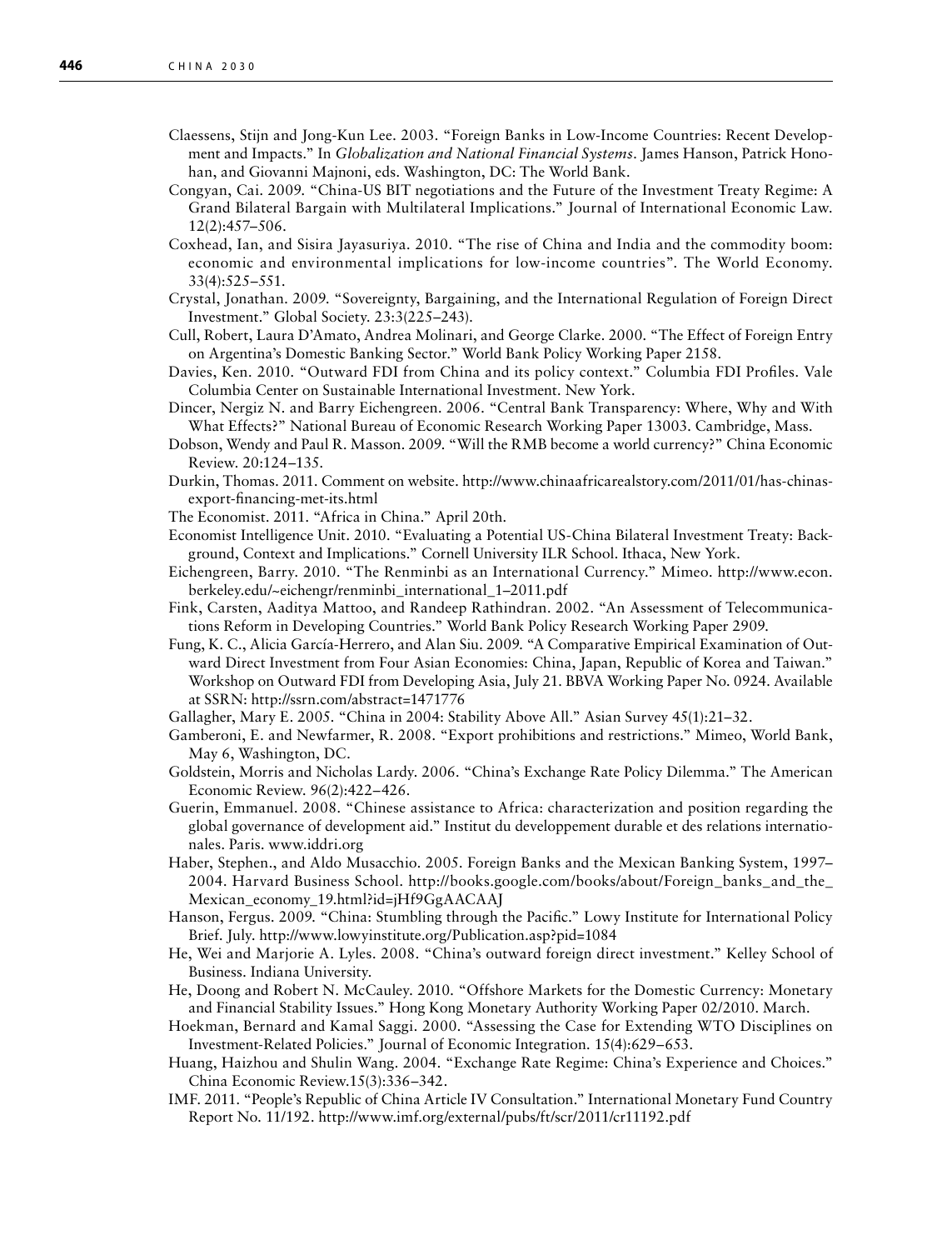- Claessens, Stijn and Jong-Kun Lee. 2003. "Foreign Banks in Low-Income Countries: Recent Development and Impacts." In *Globalization and National Financial Systems*. James Hanson, Patrick Honohan, and Giovanni Majnoni, eds. Washington, DC: The World Bank.
- Congyan, Cai. 2009. "China-US BIT negotiations and the Future of the Investment Treaty Regime: A Grand Bilateral Bargain with Multilateral Implications." Journal of International Economic Law. 12(2):457–506.
- Coxhead, Ian, and Sisira Jayasuriya. 2010. "The rise of China and India and the commodity boom: economic and environmental implications for low-income countries". The World Economy. 33(4):525–551.
- Crystal, Jonathan. 2009. "Sovereignty, Bargaining, and the International Regulation of Foreign Direct Investment." Global Society. 23:3(225–243).
- Cull, Robert, Laura D'Amato, Andrea Molinari, and George Clarke. 2000. "The Effect of Foreign Entry on Argentina's Domestic Banking Sector." World Bank Policy Working Paper 2158.
- Davies, Ken. 2010. "Outward FDI from China and its policy context." Columbia FDI Profiles. Vale Columbia Center on Sustainable International Investment. New York.
- Dincer, Nergiz N. and Barry Eichengreen. 2006. "Central Bank Transparency: Where, Why and With What Effects?" National Bureau of Economic Research Working Paper 13003. Cambridge, Mass.
- Dobson, Wendy and Paul R. Masson. 2009. "Will the RMB become a world currency?" China Economic Review. 20:124–135.
- Durkin, Thomas. 2011. Comment on website. http://www.chinaafricarealstory.com/2011/01/has-chinasexport-financing-met-its.html
- The Economist. 2011. "Africa in China." April 20th.
- Economist Intelligence Unit. 2010. "Evaluating a Potential US-China Bilateral Investment Treaty: Background, Context and Implications." Cornell University ILR School. Ithaca, New York.
- Eichengreen, Barry. 2010. "The Renminbi as an International Currency." Mimeo. http://www.econ. berkeley.edu/~eichengr/renminbi\_international\_1–2011.pdf
- Fink, Carsten, Aaditya Mattoo, and Randeep Rathindran. 2002. "An Assessment of Telecommunications Reform in Developing Countries." World Bank Policy Research Working Paper 2909.
- Fung, K. C., Alicia García-Herrero, and Alan Siu. 2009. "A Comparative Empirical Examination of Outward Direct Investment from Four Asian Economies: China, Japan, Republic of Korea and Taiwan." Workshop on Outward FDI from Developing Asia, July 21. BBVA Working Paper No. 0924. Available at SSRN: http://ssrn.com/abstract=1471776
- Gallagher, Mary E. 2005. "China in 2004: Stability Above All." Asian Survey 45(1):21–32.
- Gamberoni, E. and Newfarmer, R. 2008. "Export prohibitions and restrictions." Mimeo, World Bank, May 6, Washington, DC.
- Goldstein, Morris and Nicholas Lardy. 2006. "China's Exchange Rate Policy Dilemma." The American Economic Review. 96(2):422–426.
- Guerin, Emmanuel. 2008. "Chinese assistance to Africa: characterization and position regarding the global governance of development aid." Institut du developpement durable et des relations internationales. Paris. www.iddri.org
- Haber, Stephen., and Aldo Musacchio. 2005. Foreign Banks and the Mexican Banking System, 1997– 2004. Harvard Business School. http://books.google.com/books/about/Foreign\_banks\_and\_the\_ Mexican\_economy\_19.html?id=jHf9GgAACAAJ
- Hanson, Fergus. 2009. "China: Stumbling through the Pacific." Lowy Institute for International Policy Brief. July. http://www.lowyinstitute.org/Publication.asp?pid=1084
- He, Wei and Marjorie A. Lyles. 2008. "China's outward foreign direct investment." Kelley School of Business. Indiana University.
- He, Doong and Robert N. McCauley. 2010. "Offshore Markets for the Domestic Currency: Monetary and Financial Stability Issues." Hong Kong Monetary Authority Working Paper 02/2010. March.
- Hoekman, Bernard and Kamal Saggi. 2000. "Assessing the Case for Extending WTO Disciplines on Investment-Related Policies." Journal of Economic Integration. 15(4):629–653.
- Huang, Haizhou and Shulin Wang. 2004. "Exchange Rate Regime: China's Experience and Choices." China Economic Review.15(3):336–342.
- IMF. 2011. "People's Republic of China Article IV Consultation." International Monetary Fund Country Report No. 11/192. http://www.imf.org/external/pubs/ft/scr/2011/cr11192.pdf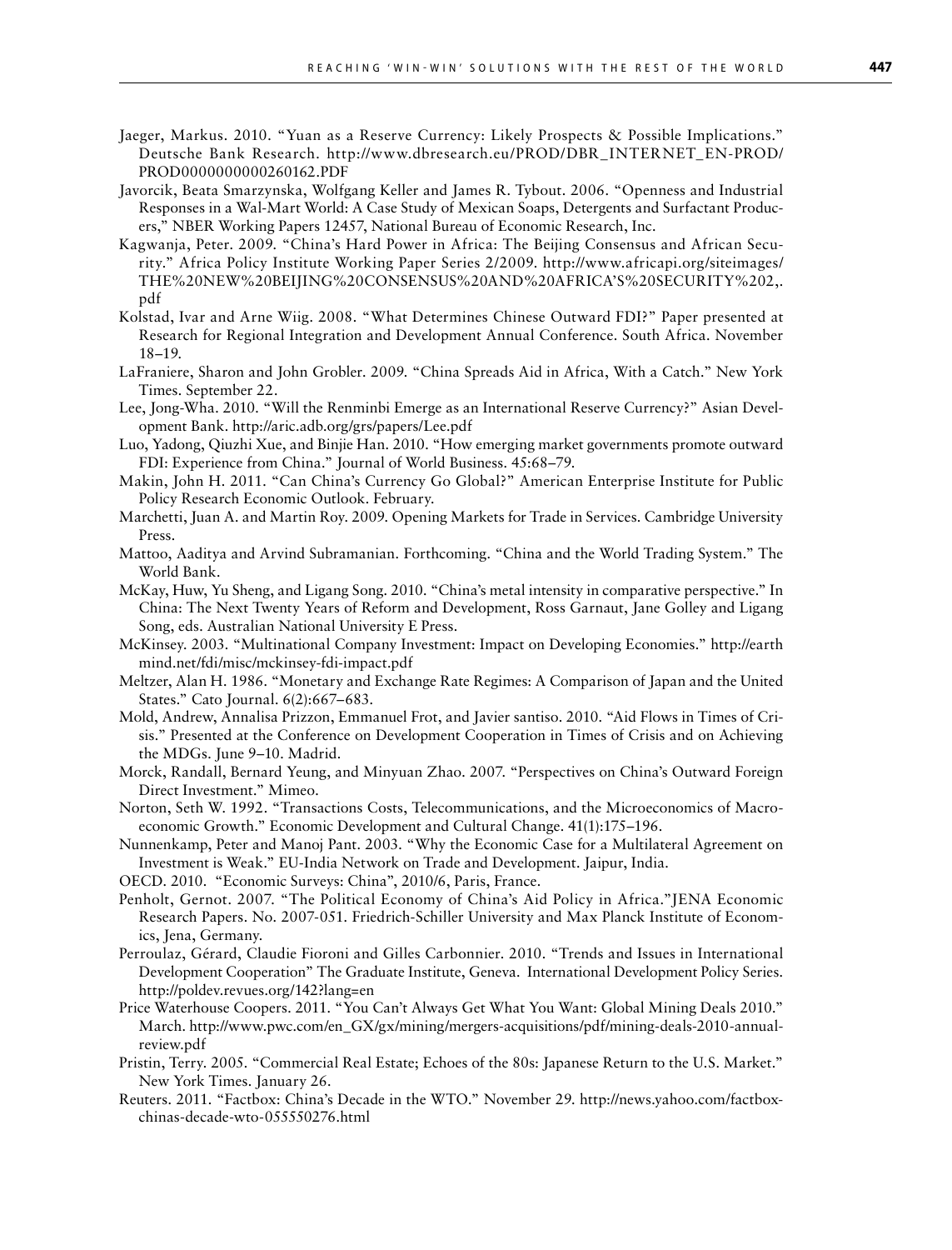- Jaeger, Markus. 2010. "Yuan as a Reserve Currency: Likely Prospects & Possible Implications." Deutsche Bank Research. http://www.dbresearch.eu/PROD/DBR\_INTERNET\_EN-PROD/ PROD0000000000260162.PDF
- Javorcik, Beata Smarzynska, Wolfgang Keller and James R. Tybout. 2006. "Openness and Industrial Responses in a Wal-Mart World: A Case Study of Mexican Soaps, Detergents and Surfactant Producers," NBER Working Papers 12457, National Bureau of Economic Research, Inc.
- Kagwanja, Peter. 2009. "China's Hard Power in Africa: The Beijing Consensus and African Security." Africa Policy Institute Working Paper Series 2/2009. http://www.africapi.org/siteimages/ THE%20NEW%20BEIJING%20CONSENSUS%20AND%20AFRICA'S%20SECURITY%202,. pdf
- Kolstad, Ivar and Arne Wiig. 2008. "What Determines Chinese Outward FDI?" Paper presented at Research for Regional Integration and Development Annual Conference. South Africa. November 18–19.
- LaFraniere, Sharon and John Grobler. 2009. "China Spreads Aid in Africa, With a Catch." New York Times. September 22.
- Lee, Jong-Wha. 2010. "Will the Renminbi Emerge as an International Reserve Currency?" Asian Development Bank. http://aric.adb.org/grs/papers/Lee.pdf
- Luo, Yadong, Qiuzhi Xue, and Binjie Han. 2010. "How emerging market governments promote outward FDI: Experience from China." Journal of World Business. 45:68–79.
- Makin, John H. 2011. "Can China's Currency Go Global?" American Enterprise Institute for Public Policy Research Economic Outlook. February.
- Marchetti, Juan A. and Martin Roy. 2009. Opening Markets for Trade in Services. Cambridge University Press.
- Mattoo, Aaditya and Arvind Subramanian. Forthcoming. "China and the World Trading System." The World Bank.
- McKay, Huw, Yu Sheng, and Ligang Song. 2010. "China's metal intensity in comparative perspective." In China: The Next Twenty Years of Reform and Development, Ross Garnaut, Jane Golley and Ligang Song, eds. Australian National University E Press.
- McKinsey. 2003. "Multinational Company Investment: Impact on Developing Economies." http://earth mind.net/fdi/misc/mckinsey-fdi-impact.pdf
- Meltzer, Alan H. 1986. "Monetary and Exchange Rate Regimes: A Comparison of Japan and the United States." Cato Journal. 6(2):667–683.
- Mold, Andrew, Annalisa Prizzon, Emmanuel Frot, and Javier santiso. 2010. "Aid Flows in Times of Crisis." Presented at the Conference on Development Cooperation in Times of Crisis and on Achieving the MDGs. June 9–10. Madrid.
- Morck, Randall, Bernard Yeung, and Minyuan Zhao. 2007. "Perspectives on China's Outward Foreign Direct Investment." Mimeo.
- Norton, Seth W. 1992. "Transactions Costs, Telecommunications, and the Microeconomics of Macroeconomic Growth." Economic Development and Cultural Change. 41(1):175–196.
- Nunnenkamp, Peter and Manoj Pant. 2003. "Why the Economic Case for a Multilateral Agreement on Investment is Weak." EU-India Network on Trade and Development. Jaipur, India.
- OECD. 2010. "Economic Surveys: China", 2010/6, Paris, France.
- Penholt, Gernot. 2007. "The Political Economy of China's Aid Policy in Africa."JENA Economic Research Papers. No. 2007-051. Friedrich-Schiller University and Max Planck Institute of Economics, Jena, Germany.
- Perroulaz, Gérard, Claudie Fioroni and Gilles Carbonnier. 2010. "Trends and Issues in International Development Cooperation" The Graduate Institute, Geneva. International Development Policy Series. http://poldev.revues.org/142?lang=en
- Price Waterhouse Coopers. 2011. "You Can't Always Get What You Want: Global Mining Deals 2010." March. http://www.pwc.com/en\_GX/gx/mining/mergers-acquisitions/pdf/mining-deals-2010-annualreview.pdf
- Pristin, Terry. 2005. "Commercial Real Estate; Echoes of the 80s: Japanese Return to the U.S. Market." New York Times. January 26.
- Reuters. 2011. "Factbox: China's Decade in the WTO." November 29. http://news.yahoo.com/factboxchinas-decade-wto-055550276.html